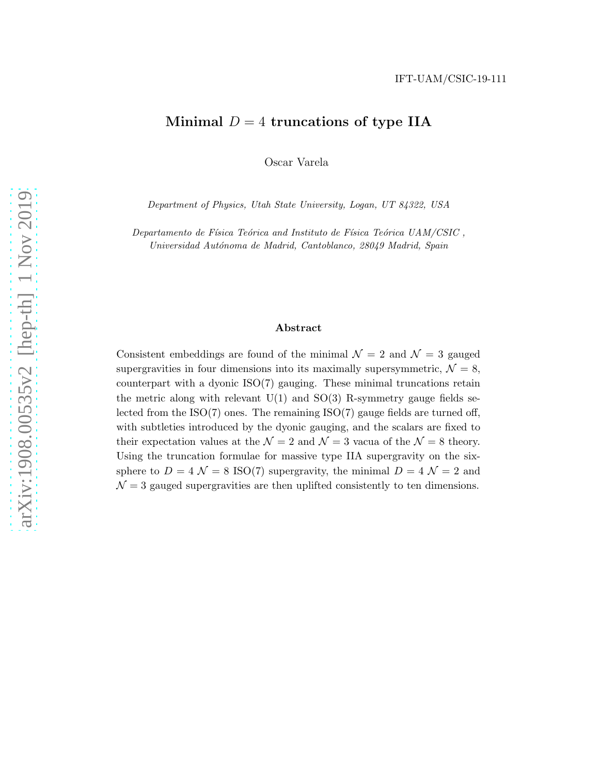# Minimal  $D = 4$  truncations of type IIA

Oscar Varela

*Department of Physics, Utah State University, Logan, UT 84322, USA*

*Departamento de Física Teórica and Instituto de Física Teórica UAM/CSIC*, *Universidad Aut´onoma de Madrid, Cantoblanco, 28049 Madrid, Spain*

#### Abstract

Consistent embeddings are found of the minimal  $\mathcal{N}=2$  and  $\mathcal{N}=3$  gauged supergravities in four dimensions into its maximally supersymmetric,  $\mathcal{N} = 8$ , counterpart with a dyonic ISO(7) gauging. These minimal truncations retain the metric along with relevant  $U(1)$  and  $SO(3)$  R-symmetry gauge fields selected from the  $ISO(7)$  ones. The remaining  $ISO(7)$  gauge fields are turned off, with subtleties introduced by the dyonic gauging, and the scalars are fixed to their expectation values at the  $\mathcal{N}=2$  and  $\mathcal{N}=3$  vacua of the  $\mathcal{N}=8$  theory. Using the truncation formulae for massive type IIA supergravity on the sixsphere to  $D = 4 \mathcal{N} = 8$  ISO(7) supergravity, the minimal  $D = 4 \mathcal{N} = 2$  and  $\mathcal{N}=3$  gauged supergravities are then uplifted consistently to ten dimensions.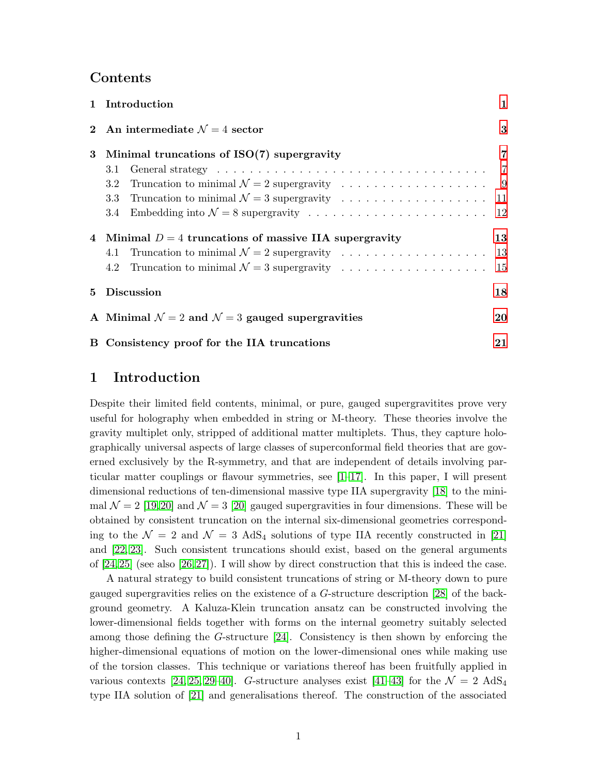## Contents

|                | 1 Introduction                                                      | $\mathbf{1}$   |
|----------------|---------------------------------------------------------------------|----------------|
|                | 2 An intermediate $\mathcal{N}=4$ sector                            | $\bf{3}$       |
| 3              | Minimal truncations of $ISO(7)$ supergravity                        | $\overline{7}$ |
|                | 3.1                                                                 |                |
|                | 3.2                                                                 |                |
|                |                                                                     |                |
|                |                                                                     |                |
|                | 4 Minimal $D = 4$ truncations of massive IIA supergravity           | 13             |
|                |                                                                     |                |
|                |                                                                     |                |
| 5 <sup>5</sup> | <b>Discussion</b>                                                   | 18             |
|                | A Minimal $\mathcal{N}=2$ and $\mathcal{N}=3$ gauged supergravities | 20             |
|                | B Consistency proof for the IIA truncations                         | 21             |

# <span id="page-1-0"></span>1 Introduction

Despite their limited field contents, minimal, or pure, gauged supergravitites prove very useful for holography when embedded in string or M-theory. These theories involve the gravity multiplet only, stripped of additional matter multiplets. Thus, they capture holographically universal aspects of large classes of superconformal field theories that are governed exclusively by the R-symmetry, and that are independent of details involving particular matter couplings or flavour symmetries, see  $[1-17]$  $[1-17]$ . In this paper, I will present dimensional reductions of ten-dimensional massive type IIA supergravity [\[18\]](#page-31-1) to the minimal  $\mathcal{N} = 2$  [\[19,](#page-31-2)[20\]](#page-31-3) and  $\mathcal{N} = 3$  [\[20\]](#page-31-3) gauged supergravities in four dimensions. These will be obtained by consistent truncation on the internal six-dimensional geometries corresponding to the  $\mathcal{N} = 2$  and  $\mathcal{N} = 3$  AdS<sub>4</sub> solutions of type IIA recently constructed in [\[21\]](#page-31-4) and [\[22,](#page-32-0) [23\]](#page-32-1). Such consistent truncations should exist, based on the general arguments of  $[24,25]$  $[24,25]$  (see also  $[26,27]$  $[26,27]$ ). I will show by direct construction that this is indeed the case.

A natural strategy to build consistent truncations of string or M-theory down to pure gauged supergravities relies on the existence of a G-structure description [\[28\]](#page-32-6) of the background geometry. A Kaluza-Klein truncation ansatz can be constructed involving the lower-dimensional fields together with forms on the internal geometry suitably selected among those defining the G-structure [\[24\]](#page-32-2). Consistency is then shown by enforcing the higher-dimensional equations of motion on the lower-dimensional ones while making use of the torsion classes. This technique or variations thereof has been fruitfully applied in various contexts [\[24,](#page-32-2) [25,](#page-32-3) [29](#page-32-7)[–40\]](#page-33-0). G-structure analyses exist [\[41–](#page-33-1)[43\]](#page-33-2) for the  $\mathcal{N} = 2$  AdS<sub>4</sub> type IIA solution of [\[21\]](#page-31-4) and generalisations thereof. The construction of the associated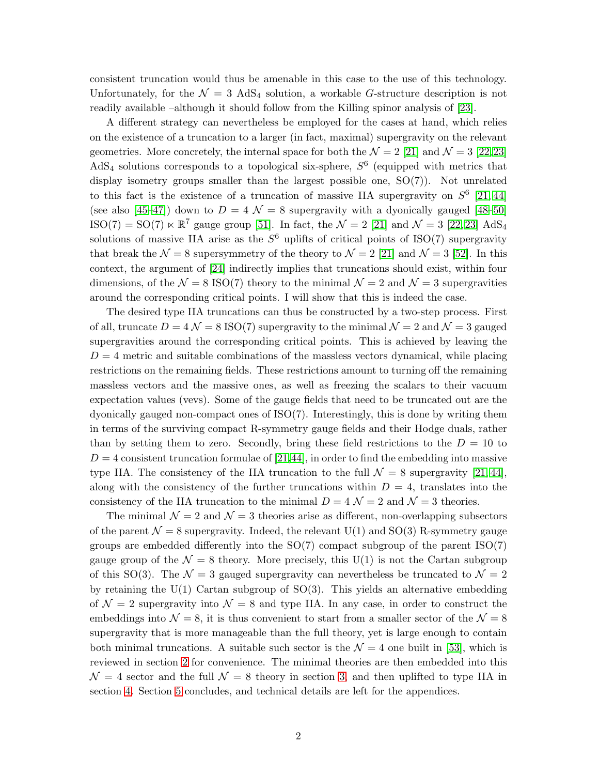consistent truncation would thus be amenable in this case to the use of this technology. Unfortunately, for the  $\mathcal{N} = 3$  AdS<sub>4</sub> solution, a workable G-structure description is not readily available –although it should follow from the Killing spinor analysis of [\[23\]](#page-32-1).

A different strategy can nevertheless be employed for the cases at hand, which relies on the existence of a truncation to a larger (in fact, maximal) supergravity on the relevant geometries. More concretely, the internal space for both the  $\mathcal{N} = 2$  [\[21\]](#page-31-4) and  $\mathcal{N} = 3$  [\[22,](#page-32-0)[23\]](#page-32-1) AdS<sub>4</sub> solutions corresponds to a topological six-sphere,  $S^6$  (equipped with metrics that display isometry groups smaller than the largest possible one, SO(7)). Not unrelated to this fact is the existence of a truncation of massive IIA supergravity on  $S^6$  [\[21,](#page-31-4) [44\]](#page-33-3) (see also [\[45](#page-33-4)[–47\]](#page-33-5)) down to  $D = 4 \mathcal{N} = 8$  supergravity with a dyonically gauged [\[48](#page-33-6)[–50\]](#page-33-7) ISO(7) = SO(7)  $\ltimes \mathbb{R}^7$  gauge group [\[51\]](#page-33-8). In fact, the  $\mathcal{N}=2$  [\[21\]](#page-31-4) and  $\mathcal{N}=3$  [\[22,](#page-32-0) [23\]](#page-32-1) AdS<sub>4</sub> solutions of massive IIA arise as the  $S^6$  uplifts of critical points of ISO(7) supergravity that break the  $\mathcal{N} = 8$  supersymmetry of the theory to  $\mathcal{N} = 2$  [\[21\]](#page-31-4) and  $\mathcal{N} = 3$  [\[52\]](#page-33-9). In this context, the argument of [\[24\]](#page-32-2) indirectly implies that truncations should exist, within four dimensions, of the  $\mathcal{N} = 8$  ISO(7) theory to the minimal  $\mathcal{N} = 2$  and  $\mathcal{N} = 3$  supergravities around the corresponding critical points. I will show that this is indeed the case.

The desired type IIA truncations can thus be constructed by a two-step process. First of all, truncate  $D = 4 \mathcal{N} = 8$  ISO(7) supergravity to the minimal  $\mathcal{N} = 2$  and  $\mathcal{N} = 3$  gauged supergravities around the corresponding critical points. This is achieved by leaving the  $D = 4$  metric and suitable combinations of the massless vectors dynamical, while placing restrictions on the remaining fields. These restrictions amount to turning off the remaining massless vectors and the massive ones, as well as freezing the scalars to their vacuum expectation values (vevs). Some of the gauge fields that need to be truncated out are the dyonically gauged non-compact ones of ISO(7). Interestingly, this is done by writing them in terms of the surviving compact R-symmetry gauge fields and their Hodge duals, rather than by setting them to zero. Secondly, bring these field restrictions to the  $D = 10$  to  $D = 4$  consistent truncation formulae of [\[21,](#page-31-4)[44\]](#page-33-3), in order to find the embedding into massive type IIA. The consistency of the IIA truncation to the full  $\mathcal{N} = 8$  supergravity [\[21,](#page-31-4) [44\]](#page-33-3), along with the consistency of the further truncations within  $D = 4$ , translates into the consistency of the IIA truncation to the minimal  $D = 4 \mathcal{N} = 2$  and  $\mathcal{N} = 3$  theories.

The minimal  $\mathcal{N} = 2$  and  $\mathcal{N} = 3$  theories arise as different, non-overlapping subsectors of the parent  $\mathcal{N} = 8$  supergravity. Indeed, the relevant U(1) and SO(3) R-symmetry gauge groups are embedded differently into the  $SO(7)$  compact subgroup of the parent  $ISO(7)$ gauge group of the  $\mathcal{N} = 8$  theory. More precisely, this U(1) is not the Cartan subgroup of this SO(3). The  $\mathcal{N} = 3$  gauged supergravity can nevertheless be truncated to  $\mathcal{N} = 2$ by retaining the  $U(1)$  Cartan subgroup of  $SO(3)$ . This yields an alternative embedding of  $\mathcal{N}=2$  supergravity into  $\mathcal{N}=8$  and type IIA. In any case, in order to construct the embeddings into  $\mathcal{N} = 8$ , it is thus convenient to start from a smaller sector of the  $\mathcal{N} = 8$ supergravity that is more manageable than the full theory, yet is large enough to contain both minimal truncations. A suitable such sector is the  $\mathcal{N}=4$  one built in [\[53\]](#page-33-10), which is reviewed in section [2](#page-3-0) for convenience. The minimal theories are then embedded into this  $\mathcal{N} = 4$  sector and the full  $\mathcal{N} = 8$  theory in section [3,](#page-7-0) and then uplifted to type IIA in section [4.](#page-13-0) Section [5](#page-18-0) concludes, and technical details are left for the appendices.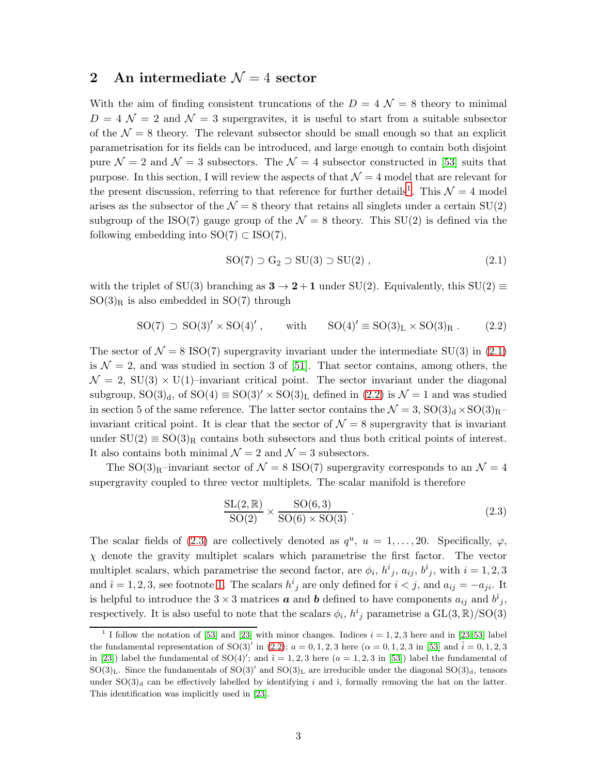# <span id="page-3-0"></span>2 An intermediate  $\mathcal{N}=4$  sector

With the aim of finding consistent truncations of the  $D = 4 \mathcal{N} = 8$  theory to minimal  $D = 4 \mathcal{N} = 2$  and  $\mathcal{N} = 3$  supergravites, it is useful to start from a suitable subsector of the  $\mathcal{N} = 8$  theory. The relevant subsector should be small enough so that an explicit parametrisation for its fields can be introduced, and large enough to contain both disjoint pure  $\mathcal{N} = 2$  and  $\mathcal{N} = 3$  subsectors. The  $\mathcal{N} = 4$  subsector constructed in [\[53\]](#page-33-10) suits that purpose. In this section, I will review the aspects of that  $\mathcal{N}=4$  model that are relevant for the present discussion, referring to that reference for further details<sup>[1](#page-3-1)</sup>. This  $\mathcal{N} = 4$  model arises as the subsector of the  $\mathcal{N} = 8$  theory that retains all singlets under a certain SU(2) subgroup of the ISO(7) gauge group of the  $\mathcal{N} = 8$  theory. This SU(2) is defined via the following embedding into  $SO(7) \subset ISO(7)$ ,

<span id="page-3-2"></span>
$$
SO(7) \supset G_2 \supset SU(3) \supset SU(2) , \qquad (2.1)
$$

with the triplet of SU(3) branching as  $3 \rightarrow 2+1$  under SU(2). Equivalently, this SU(2)  $\equiv$  $SO(3)<sub>R</sub>$  is also embedded in  $SO(7)$  through

<span id="page-3-3"></span>
$$
SO(7) \supset SO(3)' \times SO(4)' , \qquad \text{with} \qquad SO(4)' \equiv SO(3)_L \times SO(3)_R . \tag{2.2}
$$

The sector of  $\mathcal{N} = 8$  ISO(7) supergravity invariant under the intermediate SU(3) in [\(2.1\)](#page-3-2) is  $\mathcal{N} = 2$ , and was studied in section 3 of [\[51\]](#page-33-8). That sector contains, among others, the  $\mathcal{N} = 2$ , SU(3)  $\times$  U(1)–invariant critical point. The sector invariant under the diagonal subgroup,  $SO(3)<sub>d</sub>$ , of  $SO(4) \equiv SO(3)' \times SO(3)<sub>L</sub>$  defined in [\(2.2\)](#page-3-3) is  $\mathcal{N}=1$  and was studied in section 5 of the same reference. The latter sector contains the  $\mathcal{N} = 3$ ,  $\text{SO}(3)_{\text{d}} \times \text{SO}(3)_{\text{R}}$ invariant critical point. It is clear that the sector of  $\mathcal{N}=8$  supergravity that is invariant under  $SU(2) \equiv SO(3)_R$  contains both subsectors and thus both critical points of interest. It also contains both minimal  $\mathcal{N}=2$  and  $\mathcal{N}=3$  subsectors.

The SO(3)<sub>R</sub>-invariant sector of  $\mathcal{N} = 8$  ISO(7) supergravity corresponds to an  $\mathcal{N} = 4$ supergravity coupled to three vector multiplets. The scalar manifold is therefore

<span id="page-3-4"></span>
$$
\frac{\text{SL}(2,\mathbb{R})}{\text{SO}(2)} \times \frac{\text{SO}(6,3)}{\text{SO}(6)\times\text{SO}(3)}\,. \tag{2.3}
$$

The scalar fields of [\(2.3\)](#page-3-4) are collectively denoted as  $q^u$ ,  $u = 1, \ldots, 20$ . Specifically,  $\varphi$ ,  $\chi$  denote the gravity multiplet scalars which parametrise the first factor. The vector multiplet scalars, which parametrise the second factor, are  $\phi_i$ ,  $h^i_j$ ,  $a_{ij}$ ,  $b^i_j$ , with  $i = 1, 2, 3$ and  $\hat{i} = 1, 2, 3$ , see footnote [1.](#page-3-1) The scalars  $h^i{}_j$  are only defined for  $i < j$ , and  $a_{ij} = -a_{ji}$ . It is helpful to introduce the  $3 \times 3$  matrices **a** and **b** defined to have components  $a_{ij}$  and  $b^{\hat{i}}_{j}$ , respectively. It is also useful to note that the scalars  $\phi_i$ ,  $h^i{}_j$  parametrise a  $GL(3,\mathbb{R})/SO(3)$ 

<span id="page-3-1"></span><sup>&</sup>lt;sup>1</sup> I follow the notation of [\[53\]](#page-33-10) and [\[23\]](#page-32-1) with minor changes. Indices  $i = 1, 2, 3$  here and in [\[23,](#page-32-1) [53\]](#page-33-10) label the fundamental representation of SO(3)' in [\(2.2\)](#page-3-3);  $a = 0, 1, 2, 3$  here  $(\alpha = 0, 1, 2, 3$  in [\[53\]](#page-33-10) and  $\hat{i} = 0, 1, 2, 3$ in [\[23\]](#page-32-1)) label the fundamental of SO(4)'; and  $\hat{i} = 1, 2, 3$  here  $(a = 1, 2, 3$  in [\[53\]](#page-33-10)) label the fundamental of SO(3)<sub>L</sub>. Since the fundamentals of SO(3)' and SO(3)<sub>L</sub> are irreducible under the diagonal SO(3)<sub>d</sub>, tensors under  $SO(3)<sub>d</sub>$  can be effectively labelled by identifying i and  $\hat{i}$ , formally removing the hat on the latter. This identification was implicitly used in [\[23\]](#page-32-1).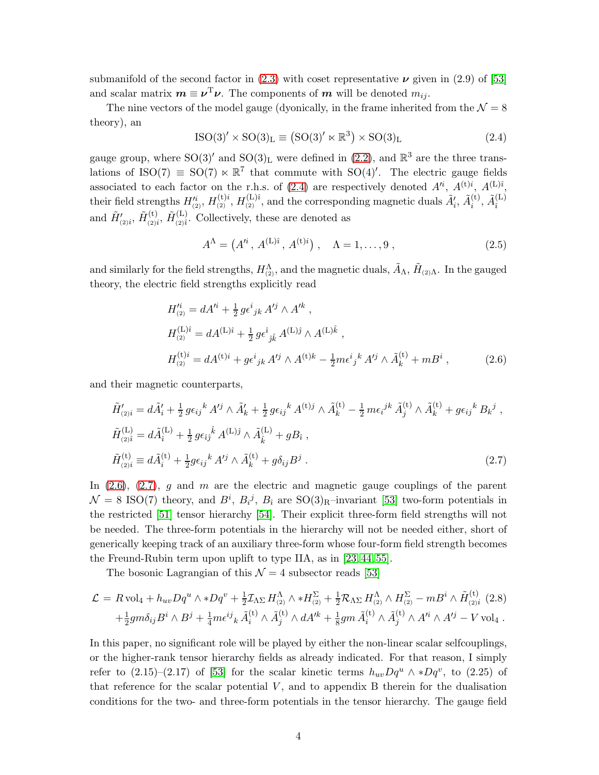submanifold of the second factor in  $(2.3)$  with coset representative  $\nu$  given in  $(2.9)$  of [\[53\]](#page-33-10) and scalar matrix  $m \equiv \nu^{\mathrm{T}} \nu$ . The components of m will be denoted  $m_{ij}$ .

The nine vectors of the model gauge (dyonically, in the frame inherited from the  $\mathcal{N} = 8$ theory), an

<span id="page-4-0"></span>
$$
ISO(3)' \times SO(3)L \equiv (SO(3)' \ltimes \mathbb{R}^3) \times SO(3)L
$$
 (2.4)

gauge group, where  $SO(3)$ ' and  $SO(3)_L$  were defined in  $(2.2)$ , and  $\mathbb{R}^3$  are the three translations of ISO(7)  $\leq$  SO(7)  $\ltimes \mathbb{R}^7$  that commute with SO(4)'. The electric gauge fields associated to each factor on the r.h.s. of [\(2.4\)](#page-4-0) are respectively denoted  $A^{i}$ ,  $A^{(t)i}$ ,  $A^{(L)i}$ , their field strengths  $H_{(2)}'$ ,  $H_{(2)}^{(t)i}$ ,  $H_{(2)}^{(L)i}$ , and the corresponding magnetic duals  $\tilde{A}'_i$ ,  $\tilde{A}_i^{(t)}$  $\widetilde{A}^{(\mathrm{L})}_i, \widetilde{A}^{(\mathrm{L})}_i$  $\hat{i}$ and  $\tilde{H}'_{(2)i}$ ,  $\tilde{H}_{(2)i}^{(t)}$  $\tilde{H}^{(L)}_{(2)i},\,\tilde{H}^{(L)}_{(2)\hat{i}}$  $\sum_{(2)\hat{i}}^{(L)}$ . Collectively, these are denoted as

<span id="page-4-3"></span>
$$
A^{\Lambda} = (A'^{i}, A^{(L)\hat{i}}, A^{(t)i}), \quad \Lambda = 1, ..., 9, \qquad (2.5)
$$

and similarly for the field strengths,  $H_{(2)}^{\Lambda}$ , and the magnetic duals,  $\tilde{A}_{\Lambda}$ ,  $\tilde{H}_{(2)\Lambda}$ . In the gauged theory, the electric field strengths explicitly read

<span id="page-4-1"></span>
$$
H_{(2)}'^i = dA'^i + \frac{1}{2} g \epsilon^i{}_{jk} A'^j \wedge A'^k ,
$$
  
\n
$$
H_{(2)}^{(L)i} = dA^{(L)i} + \frac{1}{2} g \epsilon^i{}_{jk} A^{(L)j} \wedge A^{(L)k} ,
$$
  
\n
$$
H_{(2)}^{(t)i} = dA^{(t)i} + g \epsilon^i{}_{jk} A'^j \wedge A^{(t)k} - \frac{1}{2} m \epsilon^i{}_{j}{}^k A'^j \wedge \tilde{A}_k^{(t)} + m B^i ,
$$
\n(2.6)

and their magnetic counterparts,

<span id="page-4-2"></span>
$$
\tilde{H}'_{(2)i} = d\tilde{A}'_i + \frac{1}{2} g \epsilon_{ij}{}^k A'^j \wedge \tilde{A}'_k + \frac{1}{2} g \epsilon_{ij}{}^k A^{(t)j} \wedge \tilde{A}^{(t)}_k - \frac{1}{2} m \epsilon_{i}{}^{jk} \tilde{A}^{(t)}_j \wedge \tilde{A}^{(t)}_k + g \epsilon_{ij}{}^k B_k{}^j ,
$$
\n
$$
\tilde{H}^{(L)}_{(2)i} = d\tilde{A}^{(L)}_i + \frac{1}{2} g \epsilon_{ij}{}^k A^{(L)j} \wedge \tilde{A}^{(L)}_k + g B_i ,
$$
\n
$$
\tilde{H}^{(t)}_{(2)i} \equiv d\tilde{A}^{(t)}_i + \frac{1}{2} g \epsilon_{ij}{}^k A'^j \wedge \tilde{A}^{(t)}_k + g \delta_{ij} B^j .
$$
\n(2.7)

In  $(2.6)$ ,  $(2.7)$ , g and m are the electric and magnetic gauge couplings of the parent  $\mathcal{N} = 8$  ISO(7) theory, and  $B^i$ ,  $B_i^j$ ,  $B_i$  are SO(3)<sub>R</sub>-invariant [\[53\]](#page-33-10) two-form potentials in the restricted [\[51\]](#page-33-8) tensor hierarchy [\[54\]](#page-34-0). Their explicit three-form field strengths will not be needed. The three-form potentials in the hierarchy will not be needed either, short of generically keeping track of an auxiliary three-form whose four-form field strength becomes the Freund-Rubin term upon uplift to type IIA, as in [\[23,](#page-32-1) [44,](#page-33-3) [55\]](#page-34-1).

The bosonic Lagrangian of this  $\mathcal{N} = 4$  subsector reads [\[53\]](#page-33-10)

<span id="page-4-4"></span>
$$
\mathcal{L} = R \text{ vol}_{4} + h_{uv} Dq^{u} \wedge *Dq^{v} + \frac{1}{2} \mathcal{I}_{\Lambda\Sigma} H^{\Lambda}_{(2)} \wedge *H^{\Sigma}_{(2)} + \frac{1}{2} \mathcal{R}_{\Lambda\Sigma} H^{\Lambda}_{(2)} \wedge H^{\Sigma}_{(2)} - mB^{i} \wedge \tilde{H}^{(t)}_{(2)i} (2.8) + \frac{1}{2} g m \delta_{ij} B^{i} \wedge B^{j} + \frac{1}{4} m \epsilon^{ij}{}_{k} \tilde{A}^{(t)}_{i} \wedge \tilde{A}^{(t)}_{j} \wedge dA'^{k} + \frac{1}{8} g m \tilde{A}^{(t)}_{i} \wedge \tilde{A}^{(t)}_{j} \wedge A'^{i} \wedge A'^{j} - V \text{ vol}_{4} .
$$

In this paper, no significant role will be played by either the non-linear scalar selfcouplings, or the higher-rank tensor hierarchy fields as already indicated. For that reason, I simply refer to  $(2.15)-(2.17)$  of [\[53\]](#page-33-10) for the scalar kinetic terms  $h_{uv}Dq^u \wedge *Dq^v$ , to  $(2.25)$  of that reference for the scalar potential  $V$ , and to appendix  $B$  therein for the dualisation conditions for the two- and three-form potentials in the tensor hierarchy. The gauge field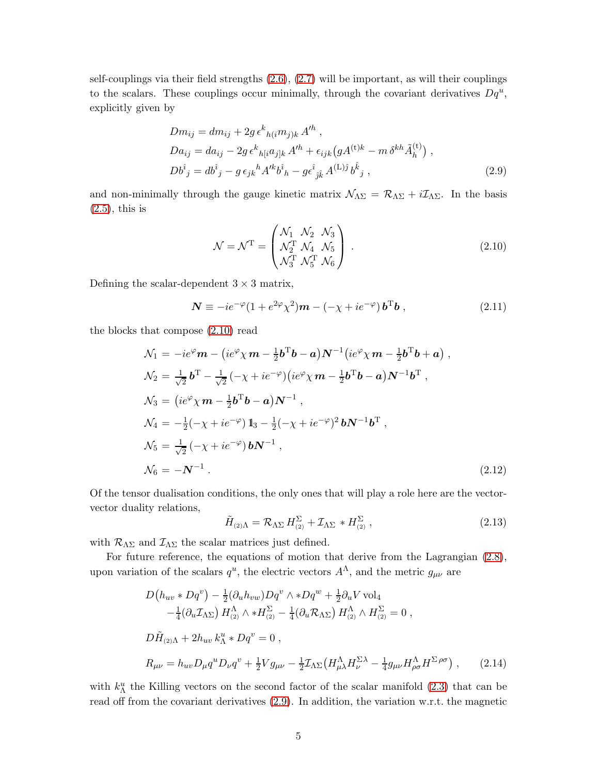self-couplings via their field strengths [\(2.6\)](#page-4-1), [\(2.7\)](#page-4-2) will be important, as will their couplings to the scalars. These couplings occur minimally, through the covariant derivatives  $Dq^u$ , explicitly given by

<span id="page-5-1"></span>
$$
Dm_{ij} = dm_{ij} + 2g \epsilon^{k}{}_{h(i}m_{j)k} A'^{h} ,
$$
  
\n
$$
Da_{ij} = da_{ij} - 2g \epsilon^{k}{}_{h[i}a_{j]k} A'^{h} + \epsilon_{ijk} (g A^{(t)k} - m \delta^{kh} \tilde{A}^{(t)}_{h}) ,
$$
  
\n
$$
Db^{\hat{i}}{}_{j} = db^{\hat{i}}{}_{j} - g \epsilon_{jk}{}^{h} A'^{k} b^{\hat{i}}{}_{h} - g \epsilon^{\hat{i}}{}_{j\hat{k}} A^{(L)\hat{j}} b^{\hat{k}}{}_{j} ,
$$
\n(2.9)

and non-minimally through the gauge kinetic matrix  $\mathcal{N}_{\Lambda\Sigma} = \mathcal{R}_{\Lambda\Sigma} + i\mathcal{I}_{\Lambda\Sigma}$ . In the basis  $(2.5)$ , this is

<span id="page-5-0"></span>
$$
\mathcal{N} = \mathcal{N}^{\mathrm{T}} = \begin{pmatrix} \mathcal{N}_1 & \mathcal{N}_2 & \mathcal{N}_3 \\ \mathcal{N}_2^{\mathrm{T}} & \mathcal{N}_4 & \mathcal{N}_5 \\ \mathcal{N}_3^{\mathrm{T}} & \mathcal{N}_5^{\mathrm{T}} & \mathcal{N}_6 \end{pmatrix} . \tag{2.10}
$$

Defining the scalar-dependent  $3 \times 3$  matrix,

$$
\mathbf{N} \equiv -ie^{-\varphi}(1+e^{2\varphi}\chi^2)\mathbf{m} - (-\chi + ie^{-\varphi})\mathbf{b}^{\mathrm{T}}\mathbf{b} , \qquad (2.11)
$$

the blocks that compose [\(2.10\)](#page-5-0) read

<span id="page-5-4"></span>
$$
\mathcal{N}_1 = -ie^{\varphi} \mathbf{m} - (ie^{\varphi} \chi \mathbf{m} - \frac{1}{2} \mathbf{b}^{\mathrm{T}} \mathbf{b} - \mathbf{a}) \mathbf{N}^{-1} (ie^{\varphi} \chi \mathbf{m} - \frac{1}{2} \mathbf{b}^{\mathrm{T}} \mathbf{b} + \mathbf{a}) ,
$$
  
\n
$$
\mathcal{N}_2 = \frac{1}{\sqrt{2}} \mathbf{b}^{\mathrm{T}} - \frac{1}{\sqrt{2}} (-\chi + ie^{-\varphi}) (ie^{\varphi} \chi \mathbf{m} - \frac{1}{2} \mathbf{b}^{\mathrm{T}} \mathbf{b} - \mathbf{a}) \mathbf{N}^{-1} \mathbf{b}^{\mathrm{T}} ,
$$
  
\n
$$
\mathcal{N}_3 = (ie^{\varphi} \chi \mathbf{m} - \frac{1}{2} \mathbf{b}^{\mathrm{T}} \mathbf{b} - \mathbf{a}) \mathbf{N}^{-1} ,
$$
  
\n
$$
\mathcal{N}_4 = -\frac{1}{2} (-\chi + ie^{-\varphi}) \mathbf{1}_3 - \frac{1}{2} (-\chi + ie^{-\varphi})^2 \mathbf{b} \mathbf{N}^{-1} \mathbf{b}^{\mathrm{T}} ,
$$
  
\n
$$
\mathcal{N}_5 = \frac{1}{\sqrt{2}} (-\chi + ie^{-\varphi}) \mathbf{b} \mathbf{N}^{-1} ,
$$
  
\n
$$
\mathcal{N}_6 = -\mathbf{N}^{-1} .
$$
\n(2.12)

Of the tensor dualisation conditions, the only ones that will play a role here are the vectorvector duality relations,

<span id="page-5-2"></span>
$$
\tilde{H}_{(2)\Lambda} = \mathcal{R}_{\Lambda\Sigma} H_{(2)}^{\Sigma} + \mathcal{I}_{\Lambda\Sigma} * H_{(2)}^{\Sigma} , \qquad (2.13)
$$

with  $\mathcal{R}_{\Lambda\Sigma}$  and  $\mathcal{I}_{\Lambda\Sigma}$  the scalar matrices just defined.

For future reference, the equations of motion that derive from the Lagrangian [\(2.8\)](#page-4-4), upon variation of the scalars  $q^u$ , the electric vectors  $A^{\Lambda}$ , and the metric  $g_{\mu\nu}$  are

<span id="page-5-3"></span>
$$
D(h_{uv} * Dq^v) - \frac{1}{2} (\partial_u h_{vw}) Dq^v \wedge * Dq^w + \frac{1}{2} \partial_u V \text{ vol}_4
$$
  

$$
- \frac{1}{4} (\partial_u \mathcal{I}_{\Lambda \Sigma}) H_{(2)}^{\Lambda} \wedge * H_{(2)}^{\Sigma} - \frac{1}{4} (\partial_u \mathcal{R}_{\Lambda \Sigma}) H_{(2)}^{\Lambda} \wedge H_{(2)}^{\Sigma} = 0 ,
$$
  

$$
D\tilde{H}_{(2)\Lambda} + 2h_{uv} k_{\Lambda}^u * Dq^v = 0 ,
$$
  

$$
R_{\mu\nu} = h_{uv} D_{\mu} q^u D_{\nu} q^v + \frac{1}{2} V g_{\mu\nu} - \frac{1}{2} \mathcal{I}_{\Lambda \Sigma} (H_{\mu\lambda}^{\Lambda} H_{\nu}^{\Sigma \lambda} - \frac{1}{4} g_{\mu\nu} H_{\rho\sigma}^{\Lambda} H^{\Sigma \rho\sigma} ) , \qquad (2.14)
$$

with  $k_{\Lambda}^{u}$  the Killing vectors on the second factor of the scalar manifold [\(2.3\)](#page-3-4) that can be read off from the covariant derivatives [\(2.9\)](#page-5-1). In addition, the variation w.r.t. the magnetic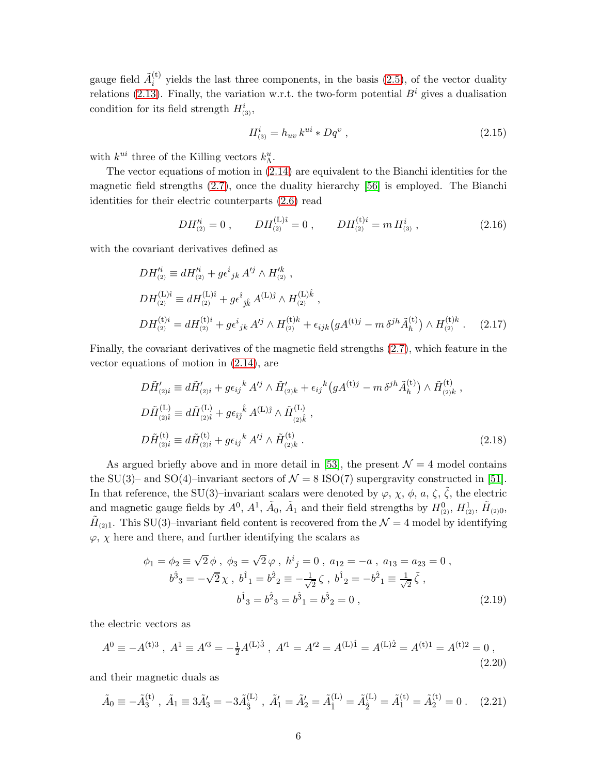gauge field  $\tilde{A}_i^{(t)}$  $i_j^{(t)}$  yields the last three components, in the basis  $(2.5)$ , of the vector duality relations [\(2.13\)](#page-5-2). Finally, the variation w.r.t. the two-form potential  $B^i$  gives a dualisation condition for its field strength  $H^i_{(3)}$ ,

<span id="page-6-3"></span>
$$
H_{(3)}^i = h_{uv} k^{ui} * Dq^v , \qquad (2.15)
$$

with  $k^{ui}$  three of the Killing vectors  $k_{\Lambda}^{u}$ .

The vector equations of motion in [\(2.14\)](#page-5-3) are equivalent to the Bianchi identities for the magnetic field strengths [\(2.7\)](#page-4-2), once the duality hierarchy [\[56\]](#page-34-2) is employed. The Bianchi identities for their electric counterparts [\(2.6\)](#page-4-1) read

<span id="page-6-0"></span>
$$
DH_{(2)}^{'i} = 0 , \qquad DH_{(2)}^{(L)i} = 0 , \qquad DH_{(2)}^{(t)i} = m H_{(3)}^{i} , \qquad (2.16)
$$

with the covariant derivatives defined as

<span id="page-6-1"></span>
$$
DH_{(2)}^{t_i} \equiv dH_{(2)}^{t_i} + g \epsilon_{jk}^{i} A^{tj} \wedge H_{(2)}^{tk} ,
$$
  
\n
$$
DH_{(2)}^{(L)\hat{i}} \equiv dH_{(2)}^{(L)\hat{i}} + g \epsilon_{jk}^{\hat{i}} A^{(L)\hat{j}} \wedge H_{(2)}^{(L)\hat{k}} ,
$$
  
\n
$$
DH_{(2)}^{(t)i} = dH_{(2)}^{(t)i} + g \epsilon_{jk}^{i} A^{tj} \wedge H_{(2)}^{(t)k} + \epsilon_{ijk} (g A^{(t)j} - m \delta^{jh} \tilde{A}_{h}^{(t)}) \wedge H_{(2)}^{(t)k} .
$$
 (2.17)

Finally, the covariant derivatives of the magnetic field strengths [\(2.7\)](#page-4-2), which feature in the vector equations of motion in [\(2.14\)](#page-5-3), are

<span id="page-6-2"></span>
$$
D\tilde{H}'_{(2)i} \equiv d\tilde{H}'_{(2)i} + g\epsilon_{ij}{}^{k} A'^{j} \wedge \tilde{H}'_{(2)k} + \epsilon_{ij}{}^{k} (gA^{(t)j} - m \delta^{jh}\tilde{A}^{(t)}_{h}) \wedge \tilde{H}^{(t)}_{(2)k} ,
$$
  
\n
$$
D\tilde{H}^{(L)}_{(2)\hat{i}} \equiv d\tilde{H}^{(L)}_{(2)\hat{i}} + g\epsilon_{ij}{}^{\hat{k}} A^{(L)\hat{j}} \wedge \tilde{H}^{(L)}_{(2)\hat{k}} ,
$$
  
\n
$$
D\tilde{H}^{(t)}_{(2)i} \equiv d\tilde{H}^{(t)}_{(2)i} + g\epsilon_{ij}{}^{k} A'^{j} \wedge \tilde{H}^{(t)}_{(2)k} .
$$
\n(2.18)

As argued briefly above and in more detail in [\[53\]](#page-33-10), the present  $\mathcal{N}=4$  model contains the SU(3)– and SO(4)–invariant sectors of  $\mathcal{N} = 8$  ISO(7) supergravity constructed in [\[51\]](#page-33-8). In that reference, the SU(3)–invariant scalars were denoted by  $\varphi, \chi, \phi, a, \zeta, \tilde{\zeta}$ , the electric and magnetic gauge fields by  $A^0$ ,  $A^1$ ,  $\tilde{A}_0$ ,  $\tilde{A}_1$  and their field strengths by  $H^0_{(2)}$ ,  $H^1_{(2)}$ ,  $\tilde{H}_{(2)0}$ ,  $\tilde{H}_{(2)1}$ . This SU(3)-invariant field content is recovered from the  $\mathcal{N}=4$  model by identifying  $\varphi$ ,  $\chi$  here and there, and further identifying the scalars as

$$
\phi_1 = \phi_2 \equiv \sqrt{2} \phi \,, \ \phi_3 = \sqrt{2} \varphi \,, \ h^i{}_j = 0 \,, \ a_{12} = -a \,, \ a_{13} = a_{23} = 0 \,,
$$
  

$$
b^{\hat{3}}{}_3 = -\sqrt{2} \chi \,, \ b^{\hat{1}}{}_1 = b^{\hat{2}}{}_2 = -\frac{1}{\sqrt{2}} \zeta \,, \ b^{\hat{1}}{}_2 = -b^{\hat{2}}{}_1 = \frac{1}{\sqrt{2}} \tilde{\zeta} \,,
$$
  

$$
b^{\hat{1}}{}_3 = b^{\hat{2}}{}_3 = b^{\hat{3}}{}_1 = b^{\hat{3}}{}_2 = 0 \,,
$$
 (2.19)

the electric vectors as

<span id="page-6-4"></span>
$$
A^{0} \equiv -A^{(t)3} , A^{1} \equiv A^{t3} = -\frac{1}{2}A^{(L)\hat{3}} , A'^{1} = A'^{2} = A^{(L)\hat{1}} = A^{(L)\hat{2}} = A^{(t)1} = A^{(t)2} = 0 ,
$$
\n(2.20)

and their magnetic duals as

$$
\tilde{A}_0 \equiv -\tilde{A}_3^{(t)}, \ \tilde{A}_1 \equiv 3\tilde{A}_3' = -3\tilde{A}_3^{(L)}, \ \tilde{A}_1' = \tilde{A}_2' = \tilde{A}_1^{(L)} = \tilde{A}_2^{(L)} = \tilde{A}_1^{(t)} = \tilde{A}_2^{(t)} = 0 \ . \tag{2.21}
$$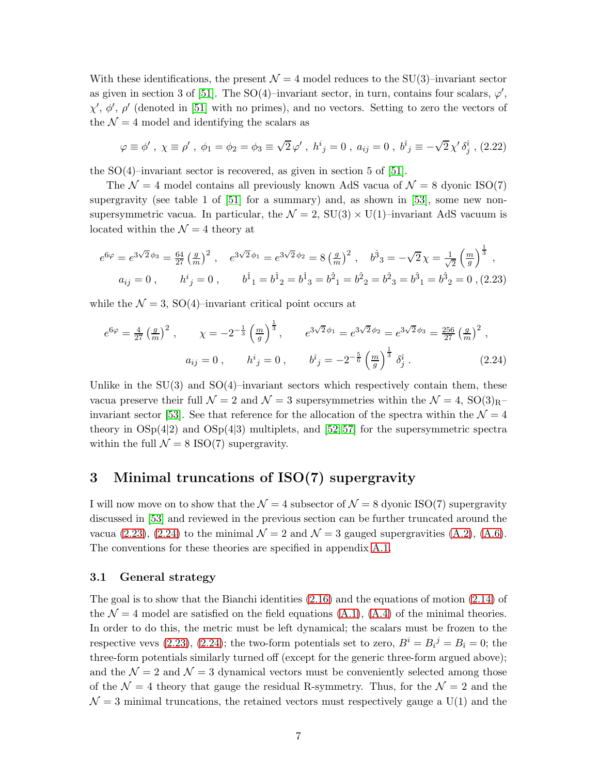With these identifications, the present  $\mathcal{N} = 4$  model reduces to the SU(3)–invariant sector as given in section 3 of [\[51\]](#page-33-8). The SO(4)–invariant sector, in turn, contains four scalars,  $\varphi'$ ,  $\chi', \phi', \rho'$  (denoted in [\[51\]](#page-33-8) with no primes), and no vectors. Setting to zero the vectors of the  $\mathcal{N} = 4$  model and identifying the scalars as

$$
\varphi \equiv \phi', \ \chi \equiv \rho', \ \phi_1 = \phi_2 = \phi_3 \equiv \sqrt{2} \varphi', \ h^i{}_j = 0 \ , \ a_{ij} = 0 \ , \ b^{\hat{i}}{}_j \equiv -\sqrt{2} \chi' \delta^{\hat{i}}_j \ , (2.22)
$$

the  $SO(4)$ –invariant sector is recovered, as given in section 5 of [\[51\]](#page-33-8).

The  $\mathcal{N} = 4$  model contains all previously known AdS vacua of  $\mathcal{N} = 8$  dyonic ISO(7) supergravity (see table 1 of  $[51]$  for a summary) and, as shown in  $[53]$ , some new nonsupersymmetric vacua. In particular, the  $\mathcal{N} = 2$ , SU(3)  $\times$  U(1)–invariant AdS vacuum is located within the  $\mathcal{N}=4$  theory at

<span id="page-7-2"></span>
$$
e^{6\varphi} = e^{3\sqrt{2}\phi_3} = \frac{64}{27} \left(\frac{g}{m}\right)^2, \quad e^{3\sqrt{2}\phi_1} = e^{3\sqrt{2}\phi_2} = 8\left(\frac{g}{m}\right)^2, \quad b^3{}_3 = -\sqrt{2}\chi = \frac{1}{\sqrt{2}} \left(\frac{m}{g}\right)^{\frac{1}{3}},
$$
  
\n
$$
a_{ij} = 0, \qquad h^i{}_j = 0, \qquad b^{\hat{1}}{}_1 = b^{\hat{1}}{}_2 = b^{\hat{1}}{}_3 = b^{\hat{2}}{}_1 = b^{\hat{2}}{}_2 = b^{\hat{2}}{}_3 = b^{\hat{3}}{}_1 = b^{\hat{3}}{}_2 = 0, \quad (2.23)
$$

while the  $\mathcal{N} = 3$ , SO(4)–invariant critical point occurs at

<span id="page-7-3"></span>
$$
e^{6\varphi} = \frac{4}{27} \left(\frac{g}{m}\right)^2, \qquad \chi = -2^{-\frac{1}{3}} \left(\frac{m}{g}\right)^{\frac{1}{3}}, \qquad e^{3\sqrt{2}\phi_1} = e^{3\sqrt{2}\phi_2} = e^{3\sqrt{2}\phi_3} = \frac{256}{27} \left(\frac{g}{m}\right)^2,
$$
  

$$
a_{ij} = 0, \qquad h^i{}_j = 0, \qquad b^{\hat{i}}{}_j = -2^{-\frac{5}{6}} \left(\frac{m}{g}\right)^{\frac{1}{3}} \delta^{\hat{i}}_j.
$$
 (2.24)

Unlike in the  $SU(3)$  and  $SO(4)$ –invariant sectors which respectively contain them, these vacua preserve their full  $\mathcal{N} = 2$  and  $\mathcal{N} = 3$  supersymmetries within the  $\mathcal{N} = 4$ , SO(3)<sub>R</sub>– invariant sector [\[53\]](#page-33-10). See that reference for the allocation of the spectra within the  $\mathcal{N} = 4$ theory in  $OSp(4|2)$  and  $OSp(4|3)$  multiplets, and [\[52,](#page-33-9) [57\]](#page-34-3) for the supersymmetric spectra within the full  $\mathcal{N} = 8$  ISO(7) supergravity.

# <span id="page-7-0"></span>3 Minimal truncations of ISO(7) supergravity

I will now move on to show that the  $\mathcal{N} = 4$  subsector of  $\mathcal{N} = 8$  dyonic ISO(7) supergravity discussed in [\[53\]](#page-33-10) and reviewed in the previous section can be further truncated around the vacua [\(2.23\)](#page-7-2), [\(2.24\)](#page-7-3) to the minimal  $\mathcal{N}=2$  and  $\mathcal{N}=3$  gauged supergravities [\(A.2\)](#page-20-1), [\(A.6\)](#page-20-2). The conventions for these theories are specified in appendix [A.1.](#page-20-3)

#### <span id="page-7-1"></span>3.1 General strategy

The goal is to show that the Bianchi identities [\(2.16\)](#page-6-0) and the equations of motion [\(2.14\)](#page-5-3) of the  $\mathcal{N} = 4$  model are satisfied on the field equations [\(A.1\)](#page-20-4), [\(A.4\)](#page-20-5) of the minimal theories. In order to do this, the metric must be left dynamical; the scalars must be frozen to the respective vevs [\(2.23\)](#page-7-2), [\(2.24\)](#page-7-3); the two-form potentials set to zero,  $B^i = B_i^j = B_i = 0$ ; the three-form potentials similarly turned off (except for the generic three-form argued above); and the  $\mathcal{N} = 2$  and  $\mathcal{N} = 3$  dynamical vectors must be conveniently selected among those of the  $\mathcal{N} = 4$  theory that gauge the residual R-symmetry. Thus, for the  $\mathcal{N} = 2$  and the  $\mathcal{N} = 3$  minimal truncations, the retained vectors must respectively gauge a U(1) and the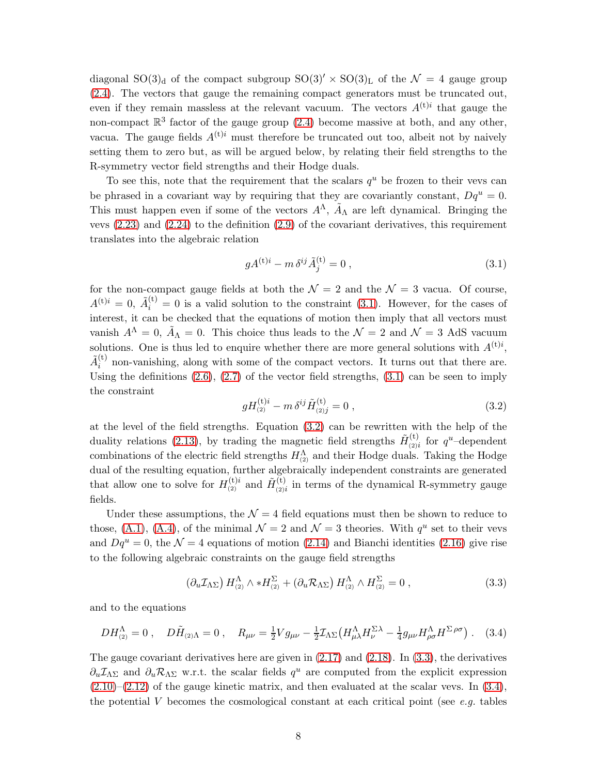diagonal SO(3)<sub>d</sub> of the compact subgroup  $SO(3)' \times SO(3)_{L}$  of the  $\mathcal{N} = 4$  gauge group [\(2.4\)](#page-4-0). The vectors that gauge the remaining compact generators must be truncated out, even if they remain massless at the relevant vacuum. The vectors  $A^{(t)i}$  that gauge the non-compact  $\mathbb{R}^3$  factor of the gauge group [\(2.4\)](#page-4-0) become massive at both, and any other, vacua. The gauge fields  $A^{(t)i}$  must therefore be truncated out too, albeit not by naively setting them to zero but, as will be argued below, by relating their field strengths to the R-symmetry vector field strengths and their Hodge duals.

To see this, note that the requirement that the scalars  $q<sup>u</sup>$  be frozen to their vevs can be phrased in a covariant way by requiring that they are covariantly constant,  $Dq^u = 0$ . This must happen even if some of the vectors  $A^{\Lambda}$ ,  $\tilde{A}_{\Lambda}$  are left dynamical. Bringing the vevs  $(2.23)$  and  $(2.24)$  to the definition  $(2.9)$  of the covariant derivatives, this requirement translates into the algebraic relation

<span id="page-8-0"></span>
$$
gA^{(t)i} - m \,\delta^{ij}\tilde{A}^{(t)}_j = 0 \,, \tag{3.1}
$$

for the non-compact gauge fields at both the  $\mathcal{N}=2$  and the  $\mathcal{N}=3$  vacua. Of course,  $A^{(t)i} = 0$ ,  $\tilde{A}^{(t)}_i = 0$  is a valid solution to the constraint [\(3.1\)](#page-8-0). However, for the cases of interest, it can be checked that the equations of motion then imply that all vectors must vanish  $A^{\Lambda} = 0$ ,  $\tilde{A}_{\Lambda} = 0$ . This choice thus leads to the  $\mathcal{N} = 2$  and  $\mathcal{N} = 3$  AdS vacuum solutions. One is thus led to enquire whether there are more general solutions with  $A^{(t)i}$ ,  $\tilde{A}_i^{({\rm t})}$  $i_j^{(k)}$  non-vanishing, along with some of the compact vectors. It turns out that there are. Using the definitions  $(2.6)$ ,  $(2.7)$  of the vector field strengths,  $(3.1)$  can be seen to imply the constraint

<span id="page-8-1"></span>
$$
gH_{(2)}^{(t)i} - m \,\delta^{ij}\tilde{H}_{(2)j}^{(t)} = 0\,,\tag{3.2}
$$

at the level of the field strengths. Equation [\(3.2\)](#page-8-1) can be rewritten with the help of the duality relations [\(2.13\)](#page-5-2), by trading the magnetic field strengths  $\tilde{H}^{(t)}_{\alpha\alpha}$  $\chi_{(2)i}^{(t)}$  for  $q^u$ -dependent combinations of the electric field strengths  $H_{(2)}^{\Lambda}$  and their Hodge duals. Taking the Hodge dual of the resulting equation, further algebraically independent constraints are generated that allow one to solve for  $H_{(2)}^{(t)i}$  and  $\tilde{H}_{(2)}^{(t)}$  $\frac{d^{(1)}}{d^{(2)}}$  in terms of the dynamical R-symmetry gauge fields.

Under these assumptions, the  $\mathcal{N} = 4$  field equations must then be shown to reduce to those, [\(A.1\)](#page-20-4), [\(A.4\)](#page-20-5), of the minimal  $\mathcal{N}=2$  and  $\mathcal{N}=3$  theories. With  $q^u$  set to their vevs and  $Dq^u = 0$ , the  $\mathcal{N} = 4$  equations of motion [\(2.14\)](#page-5-3) and Bianchi identities [\(2.16\)](#page-6-0) give rise to the following algebraic constraints on the gauge field strengths

<span id="page-8-2"></span>
$$
\left(\partial_u \mathcal{I}_{\Lambda \Sigma}\right) H^{\Lambda}_{(2)} \wedge * H^{\Sigma}_{(2)} + \left(\partial_u \mathcal{R}_{\Lambda \Sigma}\right) H^{\Lambda}_{(2)} \wedge H^{\Sigma}_{(2)} = 0 ,\qquad (3.3)
$$

and to the equations

<span id="page-8-3"></span>
$$
DH^{\Lambda}_{(2)} = 0 \ , \quad D\tilde{H}_{(2)\Lambda} = 0 \ , \quad R_{\mu\nu} = \frac{1}{2}Vg_{\mu\nu} - \frac{1}{2}\mathcal{I}_{\Lambda\Sigma}\left(H^{\Lambda}_{\mu\lambda}H^{\Sigma\lambda}_{\nu} - \frac{1}{4}g_{\mu\nu}H^{\Lambda}_{\rho\sigma}H^{\Sigma\,\rho\sigma}\right) \ . \tag{3.4}
$$

The gauge covariant derivatives here are given in  $(2.17)$  and  $(2.18)$ . In  $(3.3)$ , the derivatives  $\partial_u \mathcal{I}_{\Lambda \Sigma}$  and  $\partial_u \mathcal{R}_{\Lambda \Sigma}$  w.r.t. the scalar fields  $q^u$  are computed from the explicit expression  $(2.10)$ – $(2.12)$  of the gauge kinetic matrix, and then evaluated at the scalar vevs. In  $(3.4)$ , the potential V becomes the cosmological constant at each critical point (see *e.g.* tables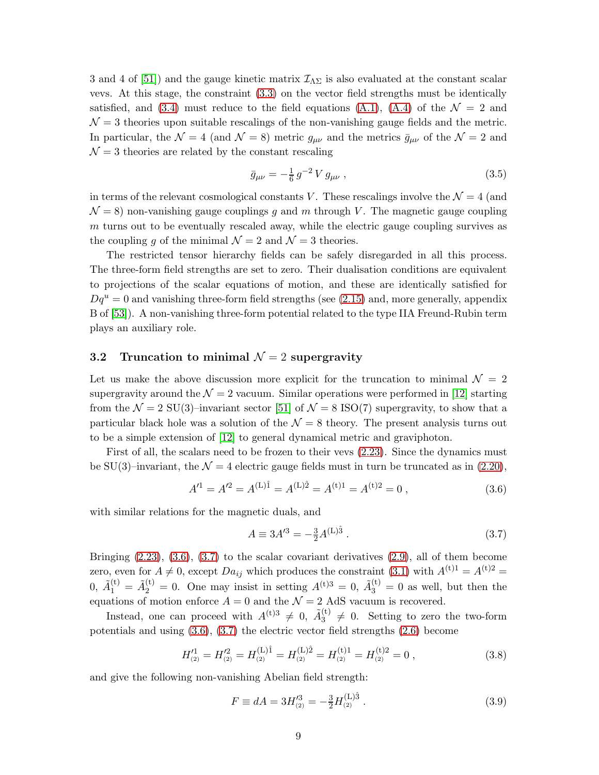3 and 4 of [\[51\]](#page-33-8)) and the gauge kinetic matrix  $\mathcal{I}_{\Lambda\Sigma}$  is also evaluated at the constant scalar vevs. At this stage, the constraint [\(3.3\)](#page-8-2) on the vector field strengths must be identically satisfied, and [\(3.4\)](#page-8-3) must reduce to the field equations [\(A.1\)](#page-20-4), [\(A.4\)](#page-20-5) of the  $\mathcal{N} = 2$  and  $\mathcal{N}=3$  theories upon suitable rescalings of the non-vanishing gauge fields and the metric. In particular, the  $\mathcal{N} = 4$  (and  $\mathcal{N} = 8$ ) metric  $g_{\mu\nu}$  and the metrics  $\bar{g}_{\mu\nu}$  of the  $\mathcal{N} = 2$  and  $\mathcal{N}=3$  theories are related by the constant rescaling

<span id="page-9-5"></span>
$$
\bar{g}_{\mu\nu} = -\frac{1}{6} \, g^{-2} \, V \, g_{\mu\nu} \,, \tag{3.5}
$$

in terms of the relevant cosmological constants V. These rescalings involve the  $\mathcal{N}=4$  (and  $\mathcal{N} = 8$ ) non-vanishing gauge couplings q and m through V. The magnetic gauge coupling  $m$  turns out to be eventually rescaled away, while the electric gauge coupling survives as the coupling g of the minimal  $\mathcal{N}=2$  and  $\mathcal{N}=3$  theories.

The restricted tensor hierarchy fields can be safely disregarded in all this process. The three-form field strengths are set to zero. Their dualisation conditions are equivalent to projections of the scalar equations of motion, and these are identically satisfied for  $Dq^u = 0$  and vanishing three-form field strengths (see [\(2.15\)](#page-6-3) and, more generally, appendix B of [\[53\]](#page-33-10)). A non-vanishing three-form potential related to the type IIA Freund-Rubin term plays an auxiliary role.

### <span id="page-9-0"></span>3.2 Truncation to minimal  $\mathcal{N}=2$  supergravity

Let us make the above discussion more explicit for the truncation to minimal  $\mathcal{N} = 2$ supergravity around the  $\mathcal{N} = 2$  vacuum. Similar operations were performed in [\[12\]](#page-31-5) starting from the  $\mathcal{N} = 2$  SU(3)–invariant sector [\[51\]](#page-33-8) of  $\mathcal{N} = 8$  ISO(7) supergravity, to show that a particular black hole was a solution of the  $\mathcal{N} = 8$  theory. The present analysis turns out to be a simple extension of [\[12\]](#page-31-5) to general dynamical metric and graviphoton.

First of all, the scalars need to be frozen to their vevs [\(2.23\)](#page-7-2). Since the dynamics must be SU(3)–invariant, the  $\mathcal{N} = 4$  electric gauge fields must in turn be truncated as in [\(2.20\)](#page-6-4),

<span id="page-9-1"></span>
$$
A'^{1} = A'^{2} = A^{(L)\hat{1}} = A^{(L)\hat{2}} = A^{(t)1} = A^{(t)2} = 0 ,
$$
\n(3.6)

with similar relations for the magnetic duals, and

<span id="page-9-2"></span>
$$
A \equiv 3A^{\prime 3} = -\frac{3}{2}A^{(\text{L})\hat{3}}\,. \tag{3.7}
$$

Bringing  $(2.23)$ ,  $(3.6)$ ,  $(3.7)$  to the scalar covariant derivatives  $(2.9)$ , all of them become zero, even for  $A \neq 0$ , except  $Da_{ij}$  which produces the constraint [\(3.1\)](#page-8-0) with  $A^{(t)1} = A^{(t)2} =$  $0, \tilde{A}_1^{(t)} = \tilde{A}_2^{(t)} = 0.$  One may insist in setting  $A^{(t)3} = 0, \tilde{A}_3^{(t)} = 0$  as well, but then the equations of motion enforce  $A = 0$  and the  $\mathcal{N} = 2$  AdS vacuum is recovered.

Instead, one can proceed with  $A^{(t)3} \neq 0$ ,  $\tilde{A}_3^{(t)}$  $3^{(0)} \neq 0$ . Setting to zero the two-form potentials and using [\(3.6\)](#page-9-1), [\(3.7\)](#page-9-2) the electric vector field strengths [\(2.6\)](#page-4-1) become

<span id="page-9-4"></span>
$$
H_{(2)}^{\prime 1} = H_{(2)}^{\prime 2} = H_{(2)}^{(L)\hat{1}} = H_{(2)}^{(L)\hat{2}} = H_{(2)}^{(t)1} = H_{(2)}^{(t)2} = 0 ,
$$
\n(3.8)

and give the following non-vanishing Abelian field strength:

<span id="page-9-3"></span>
$$
F \equiv dA = 3H_{(2)}^{\prime 3} = -\frac{3}{2}H_{(2)}^{(L)\hat{3}}\,. \tag{3.9}
$$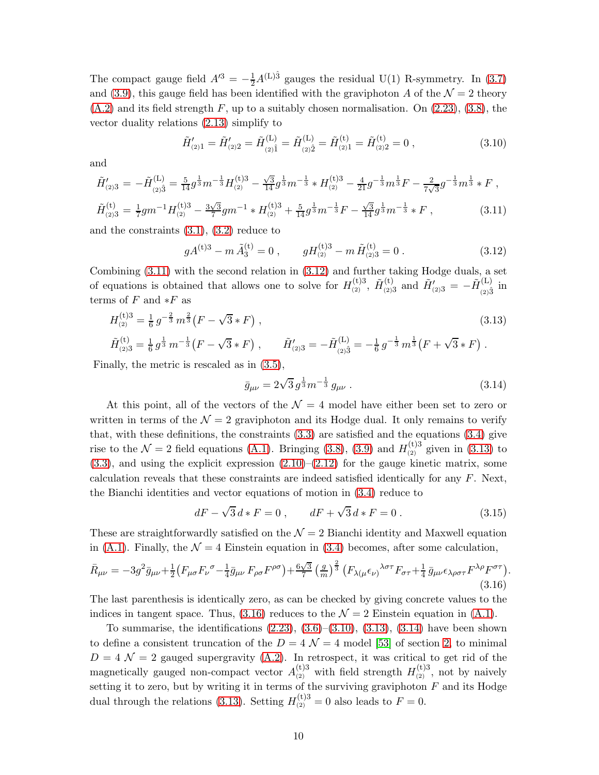The compact gauge field  $A'^3 = -\frac{1}{2}A^{(L)\hat{3}}$  gauges the residual U(1) R-symmetry. In [\(3.7\)](#page-9-2) and [\(3.9\)](#page-9-3), this gauge field has been identified with the graviphoton A of the  $\mathcal{N} = 2$  theory  $(A.2)$  and its field strength F, up to a suitably chosen normalisation. On  $(2.23)$ ,  $(3.8)$ , the vector duality relations [\(2.13\)](#page-5-2) simplify to

<span id="page-10-4"></span>
$$
\tilde{H}'_{(2)1} = \tilde{H}'_{(2)2} = \tilde{H}^{(L)}_{(2)\hat{1}} = \tilde{H}^{(L)}_{(2)\hat{2}} = \tilde{H}^{(t)}_{(2)1} = \tilde{H}^{(t)}_{(2)2} = 0,
$$
\n(3.10)

and

<span id="page-10-0"></span>
$$
\tilde{H}'_{(2)3} = -\tilde{H}^{(\text{L})}_{(2)\hat{3}} = \frac{5}{14} g^{\frac{1}{3}} m^{-\frac{1}{3}} H^{(\text{t})3}_{(2)} - \frac{\sqrt{3}}{14} g^{\frac{1}{3}} m^{-\frac{1}{3}} * H^{(\text{t})3}_{(2)} - \frac{4}{21} g^{-\frac{1}{3}} m^{\frac{1}{3}} F - \frac{2}{7\sqrt{3}} g^{-\frac{1}{3}} m^{\frac{1}{3}} * F ,
$$
\n
$$
\tilde{H}^{(\text{t})}_{(2)3} = \frac{1}{7} g m^{-1} H^{(\text{t})3}_{(2)} - \frac{3\sqrt{3}}{7} g m^{-1} * H^{(\text{t})3}_{(2)} + \frac{5}{14} g^{\frac{1}{3}} m^{-\frac{1}{3}} F - \frac{\sqrt{3}}{14} g^{\frac{1}{3}} m^{-\frac{1}{3}} * F ,
$$
\n(3.11)

and the constraints  $(3.1), (3.2)$  $(3.1), (3.2)$  reduce to

<span id="page-10-1"></span>
$$
gA^{(t)3} - m\tilde{A}_3^{(t)} = 0
$$
,  $gH_{(2)}^{(t)3} - m\tilde{H}_{(2)3}^{(t)} = 0$ . (3.12)

Combining [\(3.11\)](#page-10-0) with the second relation in [\(3.12\)](#page-10-1) and further taking Hodge duals, a set of equations is obtained that allows one to solve for  $H_{(2)}^{(t)3}$ ,  $\tilde{H}_{(2)}^{(t)}$  $\tilde{H}'_{(2)3}$  and  $\tilde{H}'_{(2)3} = -\tilde{H}_{(2)3}^{(L)}$  $\sum_{(2)\hat{3}}^{(L)}$  in terms of  $F$  and  $*F$  as

<span id="page-10-2"></span>
$$
H_{(2)}^{(t)3} = \frac{1}{6} g^{-\frac{2}{3}} m^{\frac{2}{3}} (F - \sqrt{3} * F) ,
$$
\n(3.13)

$$
\tilde{H}_{(2)3}^{(t)} = \frac{1}{6} g^{\frac{1}{3}} m^{-\frac{1}{3}} (F - \sqrt{3} * F) , \qquad \tilde{H}_{(2)3}' = -\tilde{H}_{(2)\hat{3}}^{(L)} = -\frac{1}{6} g^{-\frac{1}{3}} m^{\frac{1}{3}} (F + \sqrt{3} * F) .
$$

Finally, the metric is rescaled as in [\(3.5\)](#page-9-5),

<span id="page-10-5"></span>
$$
\bar{g}_{\mu\nu} = 2\sqrt{3} \, g^{\frac{1}{3}} m^{-\frac{1}{3}} \, g_{\mu\nu} \,. \tag{3.14}
$$

At this point, all of the vectors of the  $\mathcal{N} = 4$  model have either been set to zero or written in terms of the  $\mathcal{N} = 2$  graviphoton and its Hodge dual. It only remains to verify that, with these definitions, the constraints  $(3.3)$  are satisfied and the equations  $(3.4)$  give rise to the  $\mathcal{N}=2$  field equations [\(A.1\)](#page-20-4). Bringing [\(3.8\)](#page-9-4), [\(3.9\)](#page-9-3) and  $H_{(2)}^{(t)3}$  given in [\(3.13\)](#page-10-2) to  $(3.3)$ , and using the explicit expression  $(2.10)$ – $(2.12)$  for the gauge kinetic matrix, some calculation reveals that these constraints are indeed satisfied identically for any  $F$ . Next, the Bianchi identities and vector equations of motion in [\(3.4\)](#page-8-3) reduce to

$$
dF - \sqrt{3} d * F = 0 , \qquad dF + \sqrt{3} d * F = 0 . \qquad (3.15)
$$

.

These are straightforwardly satisfied on the  $\mathcal{N}=2$  Bianchi identity and Maxwell equation in [\(A.1\)](#page-20-4). Finally, the  $\mathcal{N} = 4$  Einstein equation in [\(3.4\)](#page-8-3) becomes, after some calculation,

<span id="page-10-3"></span>
$$
\bar{R}_{\mu\nu} = -3g^2 \bar{g}_{\mu\nu} + \frac{1}{2} \left( F_{\mu\sigma} F_{\nu}{}^{\sigma} - \frac{1}{4} \bar{g}_{\mu\nu} F_{\rho\sigma} F^{\rho\sigma} \right) + \frac{6\sqrt{3}}{7} \left( \frac{g}{m} \right)^{\frac{2}{3}} \left( F_{\lambda(\mu} \epsilon_{\nu)}{}^{\lambda\sigma\tau} F_{\sigma\tau} + \frac{1}{4} \bar{g}_{\mu\nu} \epsilon_{\lambda\rho\sigma\tau} F^{\lambda\rho} F^{\sigma\tau} \right) \tag{3.16}
$$

The last parenthesis is identically zero, as can be checked by giving concrete values to the indices in tangent space. Thus, [\(3.16\)](#page-10-3) reduces to the  $\mathcal{N}=2$  Einstein equation in [\(A.1\)](#page-20-4).

To summarise, the identifications  $(2.23)$ ,  $(3.6)$ – $(3.10)$ ,  $(3.13)$ ,  $(3.14)$  have been shown to define a consistent truncation of the  $D = 4 \mathcal{N} = 4$  model [\[53\]](#page-33-10) of section [2,](#page-3-0) to minimal  $D = 4 \mathcal{N} = 2$  gauged supergravity [\(A.2\)](#page-20-1). In retrospect, it was critical to get rid of the magnetically gauged non-compact vector  $A_{(2)}^{(t)3}$  with field strength  $H_{(2)}^{(t)3}$ , not by naively setting it to zero, but by writing it in terms of the surviving graviphoton  $F$  and its Hodge dual through the relations [\(3.13\)](#page-10-2). Setting  $H_{(2)}^{(t)3} = 0$  also leads to  $F = 0$ .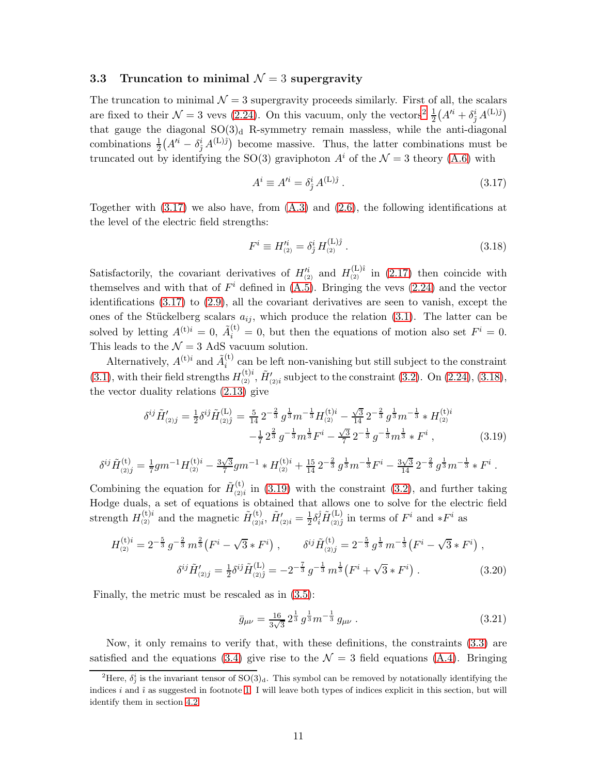#### <span id="page-11-0"></span>3.3 Truncation to minimal  $\mathcal{N}=3$  supergravity

The truncation to minimal  $\mathcal{N} = 3$  supergravity proceeds similarly. First of all, the scalars are fixed to their  $\mathcal{N} = 3$  vevs [\(2.24\)](#page-7-3). On this vacuum, only the vectors<sup>[2](#page-11-1)</sup>  $\frac{1}{2}(A^{i} + \delta_j^i A^{(L)j})$ that gauge the diagonal  $SO(3)<sub>d</sub>$  R-symmetry remain massless, while the anti-diagonal combinations  $\frac{1}{2}(A^{i} - \delta_j^{i} A^{(L)j})$  become massive. Thus, the latter combinations must be truncated out by identifying the SO(3) graviphoton  $A^i$  of the  $\mathcal{N} = 3$  theory [\(A.6\)](#page-20-2) with

<span id="page-11-2"></span>
$$
A^i \equiv A'^i = \delta^i_j A^{(\text{L})\hat{\jmath}} \,. \tag{3.17}
$$

Together with [\(3.17\)](#page-11-2) we also have, from [\(A.3\)](#page-20-6) and [\(2.6\)](#page-4-1), the following identifications at the level of the electric field strengths:

<span id="page-11-3"></span>
$$
F^i \equiv H_{(2)}^{\prime i} = \delta_j^i H_{(2)}^{(L)j} \,. \tag{3.18}
$$

Satisfactorily, the covariant derivatives of  $H_{(2)}^{\prime i}$  and  $H_{(2)}^{(L)i}$  in [\(2.17\)](#page-6-1) then coincide with themselves and with that of  $F^i$  defined in [\(A.5\)](#page-20-7). Bringing the vevs [\(2.24\)](#page-7-3) and the vector identifications [\(3.17\)](#page-11-2) to [\(2.9\)](#page-5-1), all the covariant derivatives are seen to vanish, except the ones of the Stückelberg scalars  $a_{ij}$ , which produce the relation [\(3.1\)](#page-8-0). The latter can be solved by letting  $A^{(t)i} = 0$ ,  $\tilde{A}_i^{(t)} = 0$ , but then the equations of motion also set  $F^i = 0$ . This leads to the  $\mathcal{N}=3$  AdS vacuum solution.

Alternatively,  $A^{(t)i}$  and  $\tilde{A}_i^{(t)}$  $i^{(i)}$  can be left non-vanishing but still subject to the constraint [\(3.1\)](#page-8-0), with their field strengths  $H_{(2)}^{(t)i}$ ,  $\tilde{H}_{(2)i}'$  subject to the constraint [\(3.2\)](#page-8-1). On [\(2.24\)](#page-7-3), [\(3.18\)](#page-11-3), the vector duality relations [\(2.13\)](#page-5-2) give

<span id="page-11-4"></span>
$$
\delta^{ij}\tilde{H}'_{(2)j} = \frac{1}{2}\delta^{ij}\tilde{H}_{(2)\hat{j}}^{(\text{L})} = \frac{5}{14}2^{-\frac{2}{3}}g^{\frac{1}{3}}m^{-\frac{1}{3}}H_{(2)}^{(\text{t})i} - \frac{\sqrt{3}}{14}2^{-\frac{2}{3}}g^{\frac{1}{3}}m^{-\frac{1}{3}} * H_{(2)}^{(\text{t})i} -\frac{1}{7}2^{\frac{2}{3}}g^{-\frac{1}{3}}m^{\frac{1}{3}}F^i - \frac{\sqrt{3}}{7}2^{-\frac{1}{3}}g^{-\frac{1}{3}}m^{\frac{1}{3}} * F^i ,
$$
(3.19)

$$
\delta^{ij}\tilde{H}_{(2)j}^{(\mathrm{t})}=\tfrac{1}{7}gm^{-1}H_{(2)}^{(\mathrm{t})i}-\tfrac{3\sqrt{3}}{7}gm^{-1}*H_{(2)}^{(\mathrm{t})i}+\tfrac{15}{14}2^{-\frac{2}{3}}\,g^{\frac{1}{3}}m^{-\frac{1}{3}}F^{i}-\tfrac{3\sqrt{3}}{14}2^{-\frac{2}{3}}\,g^{\frac{1}{3}}m^{-\frac{1}{3}}*F^{i}\ .
$$

Combining the equation for  $\tilde{H}^{(t)}_{(2)}$  $\binom{10}{(2)i}$  in [\(3.19\)](#page-11-4) with the constraint [\(3.2\)](#page-8-1), and further taking Hodge duals, a set of equations is obtained that allows one to solve for the electric field strength  $H_{(2)}^{(\mathbf{t})i}$  and the magnetic  $\tilde{H}_{(2)i}^{(\mathbf{t})i}$  $\tilde{H}'_{(2)i},\,\tilde{H}'_{(2)i}=\frac{1}{2}$  $\frac{1}{2}\delta_i^{\hat{j}}\tilde{H}_{\left(2\right)\hat{j}}^{\left(\mathrm{L}\right)}$  $\sum_{(2)\hat{j}}^{(L)}$  in terms of  $F^i$  and  $*F^i$  as

<span id="page-11-5"></span>
$$
H_{(2)}^{(t)i} = 2^{-\frac{5}{3}} g^{-\frac{2}{3}} m^{\frac{2}{3}} (F^i - \sqrt{3} * F^i) , \qquad \delta^{ij} \tilde{H}_{(2)j}^{(t)} = 2^{-\frac{5}{3}} g^{\frac{1}{3}} m^{-\frac{1}{3}} (F^i - \sqrt{3} * F^i) ,
$$

$$
\delta^{ij} \tilde{H}_{(2)j}' = \frac{1}{2} \delta^{ij} \tilde{H}_{(2)j}^{(L)} = -2^{-\frac{7}{3}} g^{-\frac{1}{3}} m^{\frac{1}{3}} (F^i + \sqrt{3} * F^i) . \qquad (3.20)
$$

Finally, the metric must be rescaled as in [\(3.5\)](#page-9-5):

<span id="page-11-6"></span>
$$
\bar{g}_{\mu\nu} = \frac{16}{3\sqrt{3}} 2^{\frac{1}{3}} g^{\frac{1}{3}} m^{-\frac{1}{3}} g_{\mu\nu} . \tag{3.21}
$$

Now, it only remains to verify that, with these definitions, the constraints [\(3.3\)](#page-8-2) are satisfied and the equations [\(3.4\)](#page-8-3) give rise to the  $\mathcal{N} = 3$  field equations [\(A.4\)](#page-20-5). Bringing

<span id="page-11-1"></span><sup>&</sup>lt;sup>2</sup>Here,  $\delta_j^i$  is the invariant tensor of SO(3)<sub>d</sub>. This symbol can be removed by notationally identifying the indices i and  $\hat{i}$  as suggested in footnote [1.](#page-3-1) I will leave both types of indices explicit in this section, but will identify them in section [4.2.](#page-15-0)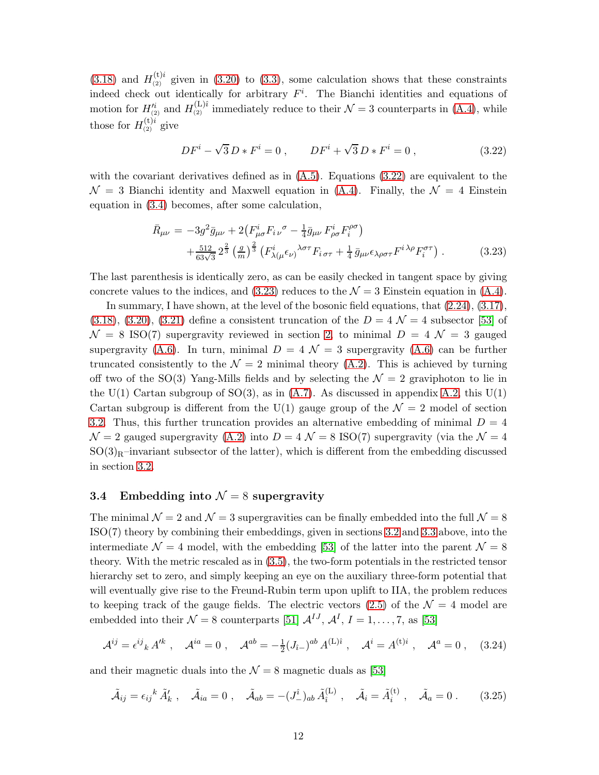[\(3.18\)](#page-11-3) and  $H_{(2)}^{(t)i}$  given in [\(3.20\)](#page-11-5) to [\(3.3\)](#page-8-2), some calculation shows that these constraints indeed check out identically for arbitrary  $F^i$ . The Bianchi identities and equations of motion for  $H_{(2)}^{\prime i}$  and  $H_{(2)}^{(L)i}$  immediately reduce to their  $\mathcal{N}=3$  counterparts in [\(A.4\)](#page-20-5), while those for  $H_{(2)}^{(t)i}$  give

<span id="page-12-1"></span>
$$
DF^{i} - \sqrt{3} D * F^{i} = 0 , \qquad DF^{i} + \sqrt{3} D * F^{i} = 0 , \qquad (3.22)
$$

with the covariant derivatives defined as in  $(A.5)$ . Equations  $(3.22)$  are equivalent to the  $\mathcal{N} = 3$  Bianchi identity and Maxwell equation in [\(A.4\)](#page-20-5). Finally, the  $\mathcal{N} = 4$  Einstein equation in [\(3.4\)](#page-8-3) becomes, after some calculation,

<span id="page-12-2"></span>
$$
\bar{R}_{\mu\nu} = -3g^2 \bar{g}_{\mu\nu} + 2(F_{\mu\sigma}^i F_i{}_{\nu}{}^{\sigma} - \frac{1}{4}\bar{g}_{\mu\nu} F_{\rho\sigma}^i F_i^{\rho\sigma}) \n+ \frac{512}{63\sqrt{3}} 2^{\frac{2}{3}} \left(\frac{g}{m}\right)^{\frac{2}{3}} \left(F_{\lambda(\mu}^i \epsilon_{\nu)}{}^{\lambda\sigma\tau} F_i{}_{\sigma\tau} + \frac{1}{4} \bar{g}_{\mu\nu} \epsilon_{\lambda\rho\sigma\tau} F^{i\lambda\rho} F_i^{\sigma\tau}\right).
$$
\n(3.23)

The last parenthesis is identically zero, as can be easily checked in tangent space by giving concrete values to the indices, and [\(3.23\)](#page-12-2) reduces to the  $\mathcal{N} = 3$  Einstein equation in [\(A.4\)](#page-20-5).

In summary, I have shown, at the level of the bosonic field equations, that [\(2.24\)](#page-7-3), [\(3.17\)](#page-11-2),  $(3.18), (3.20), (3.21)$  $(3.18), (3.20), (3.21)$  $(3.18), (3.20), (3.21)$  $(3.18), (3.20), (3.21)$  $(3.18), (3.20), (3.21)$  define a consistent truncation of the  $D = 4 \mathcal{N} = 4$  subsector [\[53\]](#page-33-10) of  $\mathcal{N} = 8$  ISO(7) supergravity reviewed in section [2,](#page-3-0) to minimal  $D = 4$   $\mathcal{N} = 3$  gauged supergravity [\(A.6\)](#page-20-2). In turn, minimal  $D = 4 \mathcal{N} = 3$  supergravity (A.6) can be further truncated consistently to the  $\mathcal{N} = 2$  minimal theory [\(A.2\)](#page-20-1). This is achieved by turning off two of the SO(3) Yang-Mills fields and by selecting the  $\mathcal{N}=2$  graviphoton to lie in the U(1) Cartan subgroup of SO(3), as in  $(A.7)$ . As discussed in appendix [A.2,](#page-21-1) this U(1) Cartan subgroup is different from the U(1) gauge group of the  $\mathcal{N}=2$  model of section [3.2.](#page-9-0) Thus, this further truncation provides an alternative embedding of minimal  $D = 4$  $\mathcal{N}=2$  gauged supergravity [\(A.2\)](#page-20-1) into  $D=4 \mathcal{N}=8$  ISO(7) supergravity (via the  $\mathcal{N}=4$  $SO(3)<sub>R</sub>$ –invariant subsector of the latter), which is different from the embedding discussed in section [3.2.](#page-9-0)

#### <span id="page-12-0"></span>3.4 Embedding into  $\mathcal{N}=8$  supergravity

The minimal  $\mathcal{N} = 2$  and  $\mathcal{N} = 3$  supergravities can be finally embedded into the full  $\mathcal{N} = 8$ ISO(7) theory by combining their embeddings, given in sections [3.2](#page-9-0) and [3.3](#page-11-0) above, into the intermediate  $\mathcal{N} = 4$  model, with the embedding [\[53\]](#page-33-10) of the latter into the parent  $\mathcal{N} = 8$ theory. With the metric rescaled as in [\(3.5\)](#page-9-5), the two-form potentials in the restricted tensor hierarchy set to zero, and simply keeping an eye on the auxiliary three-form potential that will eventually give rise to the Freund-Rubin term upon uplift to IIA, the problem reduces to keeping track of the gauge fields. The electric vectors [\(2.5\)](#page-4-3) of the  $\mathcal{N}=4$  model are embedded into their  $\mathcal{N} = 8$  counterparts [\[51\]](#page-33-8)  $\mathcal{A}^{IJ}$ ,  $\mathcal{A}^{I}$ ,  $I = 1, ..., 7$ , as [\[53\]](#page-33-10)

<span id="page-12-3"></span>
$$
\mathcal{A}^{ij} = \epsilon^{ij}{}_k \, A'^k \ , \quad \mathcal{A}^{ia} = 0 \ , \quad \mathcal{A}^{ab} = -\frac{1}{2} (J_{\hat{i}-})^{ab} \, A^{(L)\hat{i}} \ , \quad \mathcal{A}^i = A^{(t)i} \ , \quad \mathcal{A}^a = 0 \ , \quad (3.24)
$$

and their magnetic duals into the  $\mathcal{N} = 8$  magnetic duals as [\[53\]](#page-33-10)

<span id="page-12-4"></span>
$$
\tilde{\mathcal{A}}_{ij} = \epsilon_{ij}{}^{k} \tilde{A}'_{k} , \quad \tilde{\mathcal{A}}_{ia} = 0 , \quad \tilde{\mathcal{A}}_{ab} = -(\tilde{J}_{-})_{ab} \tilde{A}_{i}^{(L)} , \quad \tilde{\mathcal{A}}_{i} = \tilde{A}_{i}^{(t)} , \quad \tilde{\mathcal{A}}_{a} = 0 .
$$
 (3.25)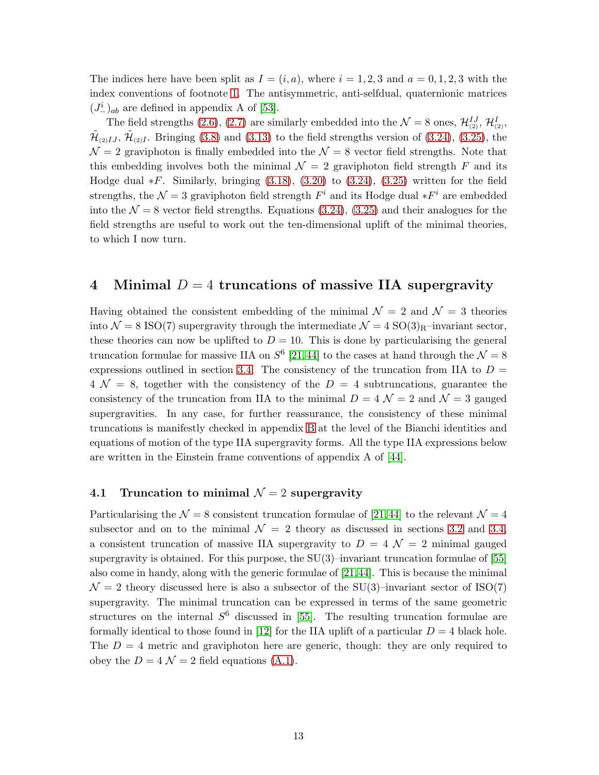The indices here have been split as  $I = (i, a)$ , where  $i = 1, 2, 3$  and  $a = 0, 1, 2, 3$  with the index conventions of footnote [1.](#page-3-1) The antisymmetric, anti-selfdual, quaternionic matrices  $(J_{-})_{ab}$  are defined in appendix A of [\[53\]](#page-33-10).

The field strengths [\(2.6\)](#page-4-1), [\(2.7\)](#page-4-2) are similarly embedded into the  $\mathcal{N}=8$  ones,  $\mathcal{H}_{(2)}^{IJ}, \mathcal{H}_{(2)}^I$ ,  $\tilde{\mathcal{H}}_{(2)IJ}$ ,  $\tilde{\mathcal{H}}_{(2)I}$ . Bringing [\(3.8\)](#page-9-4) and [\(3.13\)](#page-10-2) to the field strengths version of [\(3.24\)](#page-12-3), [\(3.25\)](#page-12-4), the  $\mathcal{N}=2$  graviphoton is finally embedded into the  $\mathcal{N}=8$  vector field strengths. Note that this embedding involves both the minimal  $\mathcal{N} = 2$  graviphoton field strength F and its Hodge dual  $*F$ . Similarly, bringing  $(3.18)$ ,  $(3.20)$  to  $(3.24)$ ,  $(3.25)$  written for the field strengths, the  $\mathcal{N}=3$  graviphoton field strength  $F^i$  and its Hodge dual  $*F^i$  are embedded into the  $\mathcal{N} = 8$  vector field strengths. Equations [\(3.24\)](#page-12-3), [\(3.25\)](#page-12-4) and their analogues for the field strengths are useful to work out the ten-dimensional uplift of the minimal theories, to which I now turn.

# <span id="page-13-0"></span>4 Minimal  $D = 4$  truncations of massive IIA supergravity

Having obtained the consistent embedding of the minimal  $\mathcal{N}=2$  and  $\mathcal{N}=3$  theories into  $\mathcal{N} = 8$  ISO(7) supergravity through the intermediate  $\mathcal{N} = 4$  SO(3)<sub>R</sub>–invariant sector, these theories can now be uplifted to  $D = 10$ . This is done by particularising the general truncation formulae for massive IIA on  $S^6$  [\[21,](#page-31-4)[44\]](#page-33-3) to the cases at hand through the  $\mathcal{N} = 8$ expressions outlined in section [3.4.](#page-12-0) The consistency of the truncation from IIA to  $D =$  $4 \mathcal{N} = 8$ , together with the consistency of the  $D = 4$  subtruncations, guarantee the consistency of the truncation from IIA to the minimal  $D = 4 \mathcal{N} = 2$  and  $\mathcal{N} = 3$  gauged supergravities. In any case, for further reassurance, the consistency of these minimal truncations is manifestly checked in appendix [B](#page-21-0) at the level of the Bianchi identities and equations of motion of the type IIA supergravity forms. All the type IIA expressions below are written in the Einstein frame conventions of appendix A of [\[44\]](#page-33-3).

#### <span id="page-13-1"></span>4.1 Truncation to minimal  $\mathcal{N}=2$  supergravity

Particularising the  $\mathcal{N} = 8$  consistent truncation formulae of [\[21,](#page-31-4)44] to the relevant  $\mathcal{N} = 4$ subsector and on to the minimal  $\mathcal{N} = 2$  theory as discussed in sections [3.2](#page-9-0) and [3.4,](#page-12-0) a consistent truncation of massive IIA supergravity to  $D = 4 \mathcal{N} = 2$  minimal gauged supergravity is obtained. For this purpose, the  $SU(3)$ –invariant truncation formulae of [\[55\]](#page-34-1) also come in handy, along with the generic formulae of [\[21,](#page-31-4)[44\]](#page-33-3). This is because the minimal  $\mathcal{N} = 2$  theory discussed here is also a subsector of the SU(3)–invariant sector of ISO(7) supergravity. The minimal truncation can be expressed in terms of the same geometric structures on the internal  $S^6$  discussed in [\[55\]](#page-34-1). The resulting truncation formulae are formally identical to those found in [\[12\]](#page-31-5) for the IIA uplift of a particular  $D = 4$  black hole. The  $D = 4$  metric and graviphoton here are generic, though: they are only required to obey the  $D = 4 \mathcal{N} = 2$  field equations [\(A.1\)](#page-20-4).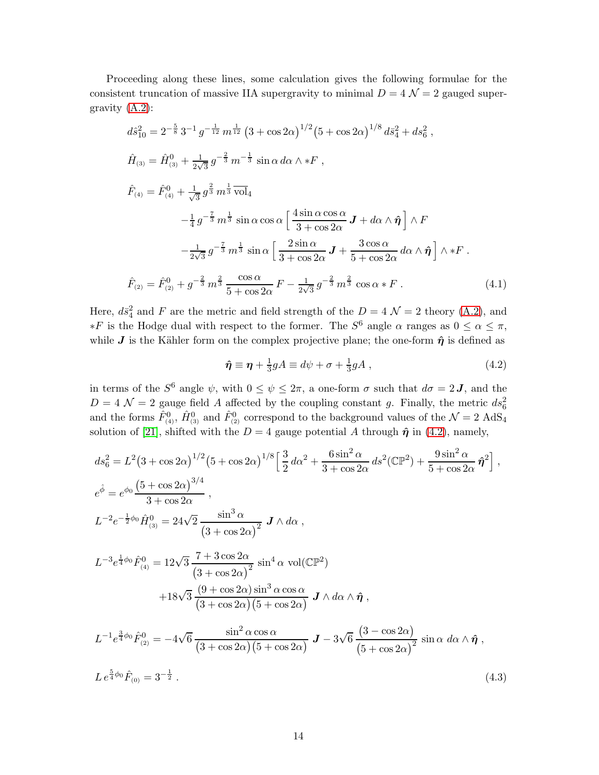Proceeding along these lines, some calculation gives the following formulae for the consistent truncation of massive IIA supergravity to minimal  $D = 4 \mathcal{N} = 2$  gauged supergravity [\(A.2\)](#page-20-1):

<span id="page-14-1"></span>
$$
d\hat{s}_{10}^{2} = 2^{-\frac{5}{8}} 3^{-1} g^{-\frac{1}{12}} m^{\frac{1}{12}} (3 + \cos 2\alpha)^{1/2} (5 + \cos 2\alpha)^{1/8} d\bar{s}_{4}^{2} + ds_{6}^{2},
$$
  
\n
$$
\hat{H}_{(3)} = \hat{H}_{(3)}^{0} + \frac{1}{2\sqrt{3}} g^{-\frac{2}{3}} m^{-\frac{1}{3}} \sin \alpha \, d\alpha \wedge *F,
$$
  
\n
$$
\hat{F}_{(4)} = \hat{F}_{(4)}^{0} + \frac{1}{\sqrt{3}} g^{\frac{2}{3}} m^{\frac{1}{3}} \overline{\text{vol}}_{4}
$$
  
\n
$$
-\frac{1}{4} g^{-\frac{7}{3}} m^{\frac{1}{3}} \sin \alpha \cos \alpha \left[ \frac{4 \sin \alpha \cos \alpha}{3 + \cos 2\alpha} \mathbf{J} + d\alpha \wedge \hat{\eta} \right] \wedge F
$$
  
\n
$$
-\frac{1}{2\sqrt{3}} g^{-\frac{7}{3}} m^{\frac{1}{3}} \sin \alpha \left[ \frac{2 \sin \alpha}{3 + \cos 2\alpha} \mathbf{J} + \frac{3 \cos \alpha}{5 + \cos 2\alpha} d\alpha \wedge \hat{\eta} \right] \wedge *F.
$$
  
\n
$$
\hat{F}_{(2)} = \hat{F}_{(2)}^{0} + g^{-\frac{2}{3}} m^{\frac{2}{3}} \frac{\cos \alpha}{5 + \cos 2\alpha} F - \frac{1}{2\sqrt{3}} g^{-\frac{2}{3}} m^{\frac{2}{3}} \cos \alpha *F.
$$
 (4.1)

Here,  $d\bar{s}_4^2$  and F are the metric and field strength of the  $D = 4 \mathcal{N} = 2$  theory [\(A.2\)](#page-20-1), and  $*F$  is the Hodge dual with respect to the former. The S<sup>6</sup> angle α ranges as  $0 \leq \alpha \leq \pi$ , while J is the Kähler form on the complex projective plane; the one-form  $\hat{\eta}$  is defined as

<span id="page-14-0"></span>
$$
\hat{\eta} \equiv \eta + \frac{1}{3}gA \equiv d\psi + \sigma + \frac{1}{3}gA , \qquad (4.2)
$$

in terms of the  $S^6$  angle  $\psi$ , with  $0 \le \psi \le 2\pi$ , a one-form  $\sigma$  such that  $d\sigma = 2J$ , and the  $D = 4 \mathcal{N} = 2$  gauge field A affected by the coupling constant g. Finally, the metric  $ds_6^2$ and the forms  $\hat{F}_{(4)}^0$ ,  $\hat{H}_{(3)}^0$  and  $\hat{F}_{(2)}^0$  correspond to the background values of the  $\mathcal{N}=2$  AdS<sub>4</sub> solution of [\[21\]](#page-31-4), shifted with the  $D = 4$  gauge potential A through  $\hat{\eta}$  in [\(4.2\)](#page-14-0), namely,

<span id="page-14-2"></span>
$$
ds_{6}^{2} = L^{2}(3 + \cos 2\alpha)^{1/2}(5 + \cos 2\alpha)^{1/8}\left[\frac{3}{2}d\alpha^{2} + \frac{6\sin^{2}\alpha}{3 + \cos 2\alpha}ds^{2}(\mathbb{CP}^{2}) + \frac{9\sin^{2}\alpha}{5 + \cos 2\alpha}\hat{\eta}^{2}\right],
$$
  
\n
$$
e^{\hat{\phi}} = e^{\phi_{0}}\frac{(5 + \cos 2\alpha)^{3/4}}{3 + \cos 2\alpha},
$$
  
\n
$$
L^{-2}e^{-\frac{1}{2}\phi_{0}}\hat{H}_{(3)}^{0} = 24\sqrt{2}\frac{\sin^{3}\alpha}{(3 + \cos 2\alpha)^{2}} J \wedge d\alpha,
$$
  
\n
$$
L^{-3}e^{\frac{1}{4}\phi_{0}}\hat{F}_{(4)}^{0} = 12\sqrt{3}\frac{7 + 3\cos 2\alpha}{(3 + \cos 2\alpha)^{2}}\sin^{4}\alpha \text{ vol}(\mathbb{CP}^{2}) + 18\sqrt{3}\frac{(9 + \cos 2\alpha)\sin^{3}\alpha\cos\alpha}{(3 + \cos 2\alpha)(5 + \cos 2\alpha)} J \wedge d\alpha \wedge \hat{\eta},
$$
  
\n
$$
L^{-1}e^{\frac{3}{4}\phi_{0}}\hat{F}_{(2)}^{0} = -4\sqrt{6}\frac{\sin^{2}\alpha\cos\alpha}{(3 + \cos 2\alpha)(5 + \cos 2\alpha)} J - 3\sqrt{6}\frac{(3 - \cos 2\alpha)}{(5 + \cos 2\alpha)^{2}}\sin\alpha \ d\alpha \wedge \hat{\eta},
$$

$$
Le^{\frac{5}{4}\phi_0}\hat{F}_{(0)} = 3^{-\frac{1}{2}}.
$$
\n(4.3)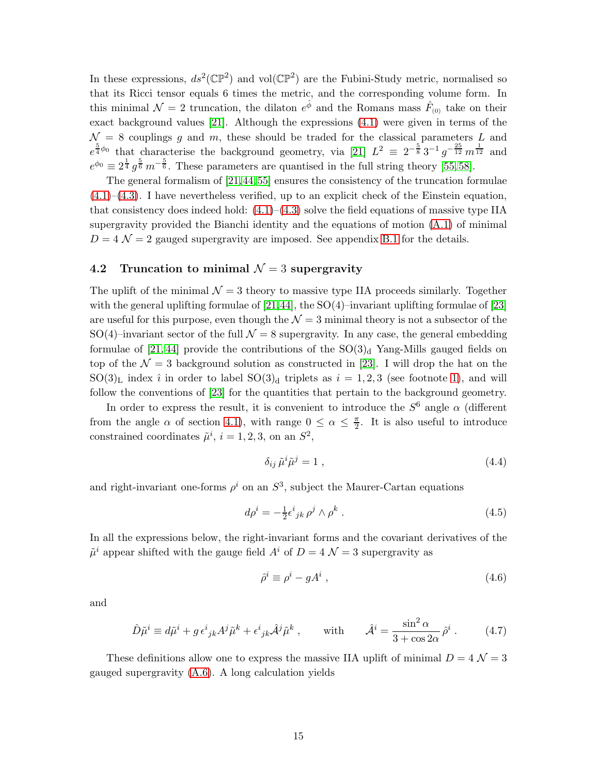In these expressions,  $ds^2(\mathbb{CP}^2)$  and vol $(\mathbb{CP}^2)$  are the Fubini-Study metric, normalised so that its Ricci tensor equals 6 times the metric, and the corresponding volume form. In this minimal  $\mathcal{N}=2$  truncation, the dilaton  $e^{\hat{\phi}}$  and the Romans mass  $\hat{F}_{(0)}$  take on their exact background values [\[21\]](#page-31-4). Although the expressions [\(4.1\)](#page-14-1) were given in terms of the  $\mathcal{N} = 8$  couplings q and m, these should be traded for the classical parameters L and  $e^{\frac{5}{4}\phi_0}$  that characterise the background geometry, via [\[21\]](#page-31-4)  $L^2 \equiv 2^{-\frac{5}{8}}3^{-1}g^{-\frac{25}{12}}m^{\frac{1}{12}}$  and  $e^{\phi_0} \equiv 2^{\frac{1}{4}} g^{\frac{5}{6}} m^{-\frac{5}{6}}$ . These parameters are quantised in the full string theory [\[55,](#page-34-1)58].

The general formalism of [\[21,](#page-31-4)[44,](#page-33-3)[55\]](#page-34-1) ensures the consistency of the truncation formulae [\(4.1\)](#page-14-1)–[\(4.3\)](#page-14-2). I have nevertheless verified, up to an explicit check of the Einstein equation, that consistency does indeed hold:  $(4.1)$ – $(4.3)$  solve the field equations of massive type IIA supergravity provided the Bianchi identity and the equations of motion [\(A.1\)](#page-20-4) of minimal  $D = 4 \mathcal{N} = 2$  gauged supergravity are imposed. See appendix [B.1](#page-21-2) for the details.

### <span id="page-15-0"></span>4.2 Truncation to minimal  $\mathcal{N}=3$  supergravity

The uplift of the minimal  $\mathcal{N}=3$  theory to massive type IIA proceeds similarly. Together with the general uplifting formulae of  $[21,44]$  $[21,44]$ , the SO(4)–invariant uplifting formulae of  $[23]$ are useful for this purpose, even though the  $\mathcal{N}=3$  minimal theory is not a subsector of the SO(4)–invariant sector of the full  $\mathcal{N} = 8$  supergravity. In any case, the general embedding formulae of [\[21,](#page-31-4) [44\]](#page-33-3) provide the contributions of the  $SO(3)<sub>d</sub>$  Yang-Mills gauged fields on top of the  $\mathcal{N} = 3$  background solution as constructed in [\[23\]](#page-32-1). I will drop the hat on the  $SO(3)<sub>L</sub>$  index i in order to label  $SO(3)<sub>d</sub>$  triplets as  $i = 1, 2, 3$  (see footnote [1\)](#page-3-1), and will follow the conventions of [\[23\]](#page-32-1) for the quantities that pertain to the background geometry.

In order to express the result, it is convenient to introduce the  $S^6$  angle  $\alpha$  (different from the angle  $\alpha$  of section [4.1\)](#page-13-1), with range  $0 \leq \alpha \leq \frac{\pi}{2}$ . It is also useful to introduce constrained coordinates  $\tilde{\mu}^i$ ,  $i = 1, 2, 3$ , on an  $S^2$ ,

<span id="page-15-3"></span>
$$
\delta_{ij}\,\tilde{\mu}^i\tilde{\mu}^j = 1\,,\tag{4.4}
$$

and right-invariant one-forms  $\rho^i$  on an  $S^3$ , subject the Maurer-Cartan equations

$$
d\rho^i = -\frac{1}{2}\epsilon^i{}_{jk}\,\rho^j\wedge\rho^k\,. \tag{4.5}
$$

In all the expressions below, the right-invariant forms and the covariant derivatives of the  $\tilde{\mu}^i$  appear shifted with the gauge field  $A^i$  of  $D = 4 \mathcal{N} = 3$  supergravity as

<span id="page-15-1"></span>
$$
\hat{\rho}^i \equiv \rho^i - gA^i \,,\tag{4.6}
$$

and

<span id="page-15-2"></span>
$$
\hat{D}\tilde{\mu}^i \equiv d\tilde{\mu}^i + g \,\epsilon^i{}_{jk} A^j \tilde{\mu}^k + \epsilon^i{}_{jk} \hat{A}^j \tilde{\mu}^k \,, \qquad \text{with} \qquad \hat{A}^i = \frac{\sin^2 \alpha}{3 + \cos 2\alpha} \,\hat{\rho}^i \,. \tag{4.7}
$$

These definitions allow one to express the massive IIA uplift of minimal  $D = 4 \mathcal{N} = 3$ gauged supergravity [\(A.6\)](#page-20-2). A long calculation yields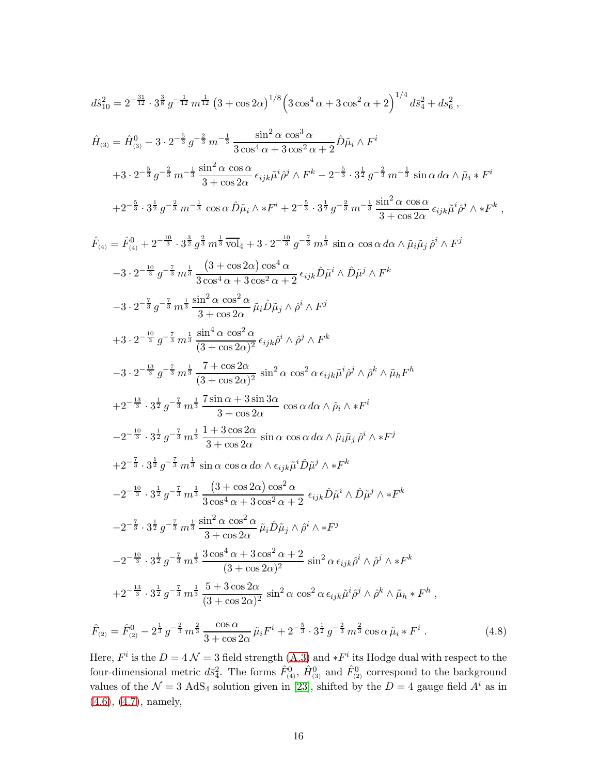<span id="page-16-0"></span>
$$
d\hat{s}_{10}^{2} = 2^{-\frac{31}{12}} \cdot 3^{\frac{3}{8}} g^{-\frac{1}{12}} m^{\frac{1}{12}} (3 + \cos 2\alpha)^{1/8} \left( 3 \cos^{4} \alpha + 3 \cos^{2} \alpha + 2 \right)^{1/4} d\bar{s}_{4}^{2} + ds_{6}^{2} ,
$$
  

$$
\hat{H}_{(3)} = \hat{H}_{(3)}^{0} - 3 \cdot 2^{-\frac{5}{3}} g^{-\frac{2}{3}} m^{-\frac{1}{3}} \frac{\sin^{2} \alpha \cos^{3} \alpha}{3 \cos^{4} \alpha + 3 \cos^{2} \alpha + 2} \hat{D} \tilde{\mu}_{i} \wedge F^{i}
$$

$$
+ 3 \cdot 2^{-\frac{5}{3}} g^{-\frac{2}{3}} m^{-\frac{1}{3}} \frac{\sin^{2} \alpha \cos \alpha}{3 + \cos 2\alpha} \epsilon_{ijk} \tilde{\mu}^{i} \hat{\rho}^{j} \wedge F^{k} - 2^{-\frac{5}{3}} \cdot 3^{\frac{1}{2}} g^{-\frac{2}{3}} m^{-\frac{1}{3}} \sin \alpha \, d\alpha \wedge \tilde{\mu}_{i} * F^{i}
$$

$$
+ 2^{-\frac{5}{3}} \cdot 3^{\frac{1}{2}} g^{-\frac{2}{3}} m^{-\frac{1}{3}} \cos \alpha \hat{D} \tilde{\mu}_{i} \wedge * F^{i} + 2^{-\frac{5}{3}} \cdot 3^{\frac{1}{2}} g^{-\frac{2}{3}} m^{-\frac{1}{3}} \frac{\sin^{2} \alpha \cos \alpha}{3 + \cos 2\alpha} \epsilon_{ijk} \tilde{\mu}^{i} \hat{\rho}^{j} \wedge * F^{k} ,
$$

$$
\hat{F}_{(4)} = \hat{F}_{(4)}^{0} + 2^{-\frac{10}{3}} \cdot 3^{\frac{3}{2}} g^{\frac{2}{3}} m^{\frac{1}{3}} \overline{\text{vol}}_4 + 3 \cdot 2^{-\frac{10}{3}} g^{-\frac{7}{3}} m^{\frac{1}{3}} \sin \alpha \cos \alpha \, d\alpha \wedge \bar{\mu}_i \bar{\mu}_j \, \hat{\rho}^i \wedge F^j
$$
  
\n
$$
-3 \cdot 2^{-\frac{10}{3}} g^{-\frac{7}{3}} m^{\frac{1}{3}} \frac{(3 + \cos 2\alpha) \cos^4 \alpha}{3 \cos^4 \alpha + 3 \cos^2 \alpha + 2} \epsilon_{ijk} \hat{D} \bar{\mu}^i \wedge \hat{D} \bar{\mu}^j \wedge F^k
$$
  
\n
$$
-3 \cdot 2^{-\frac{7}{3}} g^{-\frac{7}{3}} m^{\frac{1}{3}} \frac{\sin^2 \alpha \cos^2 \alpha}{3 + \cos 2\alpha} \tilde{\mu}_i \hat{D} \tilde{\mu}_j \wedge \hat{\rho}^i \wedge F^j
$$
  
\n
$$
+3 \cdot 2^{-\frac{10}{3}} g^{-\frac{7}{3}} m^{\frac{1}{3}} \frac{\sin^4 \alpha \cos^2 \alpha}{(3 + \cos 2\alpha)^2} \epsilon_{ijk} \hat{\rho}^i \wedge \hat{\rho}^j \wedge F^k
$$
  
\n
$$
-3 \cdot 2^{-\frac{13}{3}} g^{-\frac{7}{3}} m^{\frac{1}{3}} \frac{7 + \cos 2\alpha}{(3 + \cos 2\alpha)^2} \sin^2 \alpha \cos^2 \alpha \epsilon_{ijk} \tilde{\mu}^i \hat{\rho}^j \wedge \hat{\rho}^k \wedge \tilde{\mu}_h F^h
$$
  
\n
$$
+2^{-\frac{13}{3}} \cdot 3^{\frac{1}{2}} g^{-\frac{7}{3}} m^{\frac{1}{3}} \frac{7 + \cos 2\alpha}{3 + \cos 2\alpha} \cos \alpha \, d\alpha \wedge \hat{\mu}_i \tilde{\mu}_j \hat{\rho}^i \wedge \ast F^i
$$
  
\n
$$
-2^{-\frac{10}{3}} \cdot 3^{\frac{1}{2}} g^{-\frac{7}{3}} m^{\frac
$$

Here,  $F^i$  is the  $D = 4 \mathcal{N} = 3$  field strength  $(A.3)$  and  $*F^i$  its Hodge dual with respect to the four-dimensional metric  $d\bar{s}_4^2$ . The forms  $\hat{F}_{(4)}^0$ ,  $\hat{H}_{(3)}^0$  and  $\hat{F}_{(2)}^0$  correspond to the background values of the  $\mathcal{N} = 3$  AdS<sub>4</sub> solution given in [\[23\]](#page-32-1), shifted by the  $D = 4$  gauge field  $A<sup>i</sup>$  as in [\(4.6\)](#page-15-1), [\(4.7\)](#page-15-2), namely,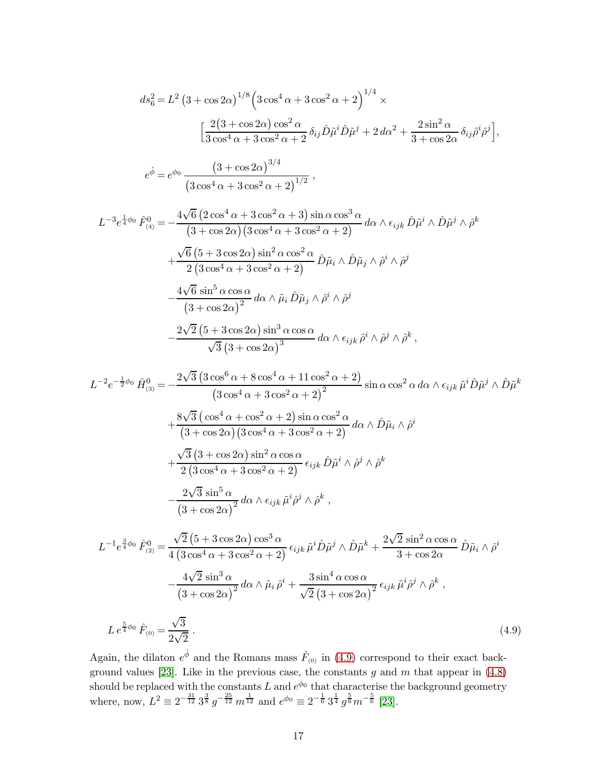<span id="page-17-0"></span>
$$
ds_6^2 = L^2 (3 + \cos 2\alpha)^{1/8} \left( 3 \cos^4 \alpha + 3 \cos^2 \alpha + 2 \right)^{1/4} \times
$$
  

$$
\left[ \frac{2(3 + \cos 2\alpha) \cos^2 \alpha}{3 \cos^4 \alpha + 3 \cos^2 \alpha + 2} \delta_{ij} \hat{D} \tilde{\mu}^i \hat{D} \tilde{\mu}^j + 2 d\alpha^2 + \frac{2 \sin^2 \alpha}{3 + \cos 2\alpha} \delta_{ij} \hat{\rho}^i \hat{\rho}^j \right],
$$
  

$$
e^{\hat{\phi}} = e^{\phi_0} \frac{(3 + \cos 2\alpha)^{3/4}}{(3 \cos^4 \alpha + 3 \cos^2 \alpha + 2)^{1/2}},
$$

$$
L^{-3}e^{\frac{1}{4}\phi_0} \hat{F}_{(4)}^0 = -\frac{4\sqrt{6} (2 \cos^4 \alpha + 3 \cos^2 \alpha + 3) \sin \alpha \cos^3 \alpha}{(3 + \cos 2\alpha)(3 \cos^4 \alpha + 3 \cos^2 \alpha + 2)} d\alpha \wedge \epsilon_{ijk} \hat{D}\tilde{\mu}^i \wedge \hat{D}\tilde{\mu}^j \wedge \hat{\rho}^k + \frac{\sqrt{6} (5 + 3 \cos 2\alpha) \sin^2 \alpha \cos^2 \alpha}{2 (3 \cos^4 \alpha + 3 \cos^2 \alpha + 2)} \hat{D}\tilde{\mu}_i \wedge \hat{D}\tilde{\mu}_j \wedge \hat{\rho}^i \wedge \hat{\rho}^j - \frac{4\sqrt{6} \sin^5 \alpha \cos \alpha}{(3 + \cos 2\alpha)^2} d\alpha \wedge \tilde{\mu}_i \hat{D}\tilde{\mu}_j \wedge \hat{\rho}^i \wedge \hat{\rho}^j - \frac{2\sqrt{2} (5 + 3 \cos 2\alpha) \sin^3 \alpha \cos \alpha}{\sqrt{3} (3 + \cos 2\alpha)^3} d\alpha \wedge \epsilon_{ijk} \hat{\rho}^i \wedge \hat{\rho}^j \wedge \hat{\rho}^k,
$$

$$
L^{-2}e^{-\frac{1}{2}\phi_0}\hat{H}_{(3)}^0 = -\frac{2\sqrt{3}\left(3\cos^6\alpha + 8\cos^4\alpha + 11\cos^2\alpha + 2\right)}{\left(3\cos^4\alpha + 3\cos^2\alpha + 2\right)^2}\sin\alpha\cos^2\alpha\,d\alpha \wedge \epsilon_{ijk}\tilde{\mu}^i\hat{D}\tilde{\mu}^j \wedge \hat{D}\tilde{\mu}^k
$$
  
+ 
$$
\frac{8\sqrt{3}\left(\cos^4\alpha + \cos^2\alpha + 2\right)\sin\alpha\cos^2\alpha}{\left(3+\cos 2\alpha\right)\left(3\cos^4\alpha + 3\cos^2\alpha + 2\right)}\,d\alpha \wedge \hat{D}\tilde{\mu}_i \wedge \hat{\rho}^i
$$
  
+ 
$$
\frac{\sqrt{3}\left(3+\cos 2\alpha\right)\sin^2\alpha\cos\alpha}{2\left(3\cos^4\alpha + 3\cos^2\alpha + 2\right)}\,\epsilon_{ijk}\hat{D}\tilde{\mu}^i \wedge \hat{\rho}^j \wedge \hat{\rho}^k
$$
  
- 
$$
\frac{2\sqrt{3}\sin^5\alpha}{\left(3+\cos 2\alpha\right)^2}\,d\alpha \wedge \epsilon_{ijk}\tilde{\mu}^i\hat{\rho}^j \wedge \hat{\rho}^k,
$$
  

$$
L^{-1}e^{\frac{3}{4}\phi_0}\,\hat{F}_{(2)}^0 = \frac{\sqrt{2}\left(5+3\cos 2\alpha\right)\cos^3\alpha}{4\left(3\cos^4\alpha + 3\cos^2\alpha + 2\right)}\,\epsilon_{ijk}\,\tilde{\mu}^i\hat{D}\tilde{\mu}^j \wedge \hat{D}\tilde{\mu}^k + \frac{2\sqrt{2}\sin^2\alpha\cos\alpha}{3+\cos 2\alpha}\,\hat{D}\tilde{\mu}_i \wedge \hat{\rho}^i
$$
  
- 
$$
\frac{4\sqrt{2}\sin^3\alpha}{\left(3+\cos 2\alpha\right)^2}\,d\alpha \wedge \tilde{\mu}_i\,\hat{\rho}^i + \frac{3\sin^4\alpha\cos\alpha}{\sqrt{2}\left(3+\cos 2\alpha\right)^2}\,\epsilon_{ijk}\,\tilde{\mu}^i\hat{\rho}^j \wedge \hat{\rho}^k,
$$

$$
L e^{\frac{5}{4}\phi_0} \hat{F}_{(0)} = \frac{\sqrt{3}}{2\sqrt{2}} \,. \tag{4.9}
$$

Again, the dilaton  $e^{\hat{\phi}}$  and the Romans mass  $\hat{F}_{(0)}$  in [\(4.9\)](#page-17-0) correspond to their exact back-ground values [\[23\]](#page-32-1). Like in the previous case, the constants g and m that appear in  $(4.8)$ should be replaced with the constants L and  $e^{\phi_0}$  that characterise the background geometry where, now,  $L^2 \equiv 2^{-\frac{31}{12}} 3^{\frac{3}{8}} g^{-\frac{25}{12}} m^{\frac{1}{12}}$  and  $e^{\phi_0} \equiv 2^{-\frac{1}{6}} 3^{\frac{1}{4}} g^{\frac{5}{6}} m^{-\frac{5}{6}}$  [\[23\]](#page-32-1).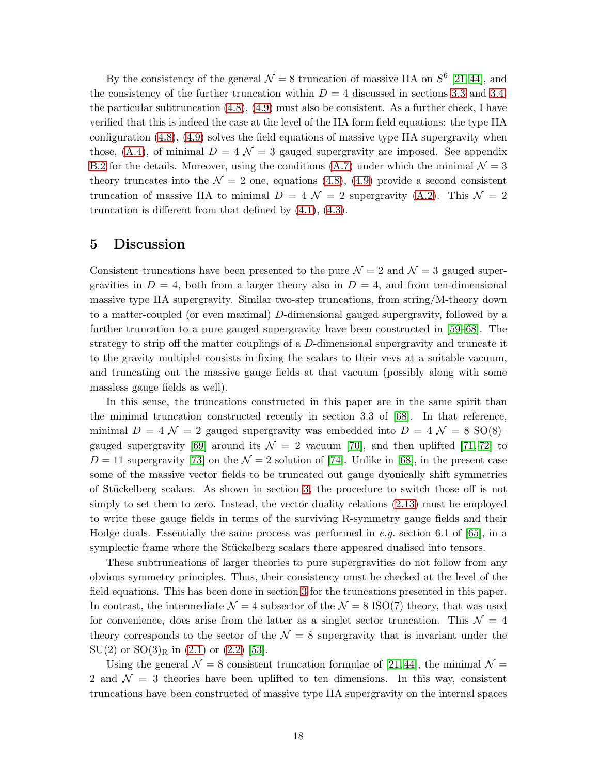By the consistency of the general  $\mathcal{N} = 8$  truncation of massive IIA on  $S^6$  [\[21,](#page-31-4)44], and the consistency of the further truncation within  $D = 4$  discussed in sections [3.3](#page-11-0) and [3.4,](#page-12-0) the particular subtruncation  $(4.8)$ ,  $(4.9)$  must also be consistent. As a further check, I have verified that this is indeed the case at the level of the IIA form field equations: the type IIA configuration [\(4.8\)](#page-16-0), [\(4.9\)](#page-17-0) solves the field equations of massive type IIA supergravity when those, [\(A.4\)](#page-20-5), of minimal  $D = 4 \mathcal{N} = 3$  gauged supergravity are imposed. See appendix [B.2](#page-23-0) for the details. Moreover, using the conditions [\(A.7\)](#page-20-8) under which the minimal  $\mathcal{N} = 3$ theory truncates into the  $\mathcal{N} = 2$  one, equations [\(4.8\)](#page-16-0), [\(4.9\)](#page-17-0) provide a second consistent truncation of massive IIA to minimal  $D = 4 \mathcal{N} = 2$  supergravity [\(A.2\)](#page-20-1). This  $\mathcal{N} = 2$ truncation is different from that defined by [\(4.1\)](#page-14-1), [\(4.3\)](#page-14-2).

### <span id="page-18-0"></span>5 Discussion

Consistent truncations have been presented to the pure  $\mathcal{N}=2$  and  $\mathcal{N}=3$  gauged supergravities in  $D = 4$ , both from a larger theory also in  $D = 4$ , and from ten-dimensional massive type IIA supergravity. Similar two-step truncations, from string/M-theory down to a matter-coupled (or even maximal) D-dimensional gauged supergravity, followed by a further truncation to a pure gauged supergravity have been constructed in [\[59](#page-34-5)[–68\]](#page-34-6). The strategy to strip off the matter couplings of a D-dimensional supergravity and truncate it to the gravity multiplet consists in fixing the scalars to their vevs at a suitable vacuum, and truncating out the massive gauge fields at that vacuum (possibly along with some massless gauge fields as well).

In this sense, the truncations constructed in this paper are in the same spirit than the minimal truncation constructed recently in section 3.3 of [\[68\]](#page-34-6). In that reference, minimal  $D = 4 \mathcal{N} = 2$  gauged supergravity was embedded into  $D = 4 \mathcal{N} = 8$  SO(8)– gauged supergravity [\[69\]](#page-35-0) around its  $\mathcal{N} = 2$  vacuum [\[70\]](#page-35-1), and then uplifted [\[71,](#page-35-2) [72\]](#page-35-3) to  $D = 11$  supergravity [\[73\]](#page-35-4) on the  $\mathcal{N} = 2$  solution of [\[74\]](#page-35-5). Unlike in [\[68\]](#page-34-6), in the present case some of the massive vector fields to be truncated out gauge dyonically shift symmetries of Stückelberg scalars. As shown in section [3,](#page-7-0) the procedure to switch those off is not simply to set them to zero. Instead, the vector duality relations [\(2.13\)](#page-5-2) must be employed to write these gauge fields in terms of the surviving R-symmetry gauge fields and their Hodge duals. Essentially the same process was performed in *e.g.* section 6.1 of [\[65\]](#page-34-7), in a symplectic frame where the Stückelberg scalars there appeared dualised into tensors.

These subtruncations of larger theories to pure supergravities do not follow from any obvious symmetry principles. Thus, their consistency must be checked at the level of the field equations. This has been done in section [3](#page-7-0) for the truncations presented in this paper. In contrast, the intermediate  $\mathcal{N} = 4$  subsector of the  $\mathcal{N} = 8$  ISO(7) theory, that was used for convenience, does arise from the latter as a singlet sector truncation. This  $\mathcal{N} = 4$ theory corresponds to the sector of the  $\mathcal{N} = 8$  supergravity that is invariant under the  $SU(2)$  or  $SO(3)_R$  in  $(2.1)$  or  $(2.2)$  [\[53\]](#page-33-10).

Using the general  $\mathcal{N} = 8$  consistent truncation formulae of [\[21,](#page-31-4) [44\]](#page-33-3), the minimal  $\mathcal{N} =$ 2 and  $\mathcal{N} = 3$  theories have been uplifted to ten dimensions. In this way, consistent truncations have been constructed of massive type IIA supergravity on the internal spaces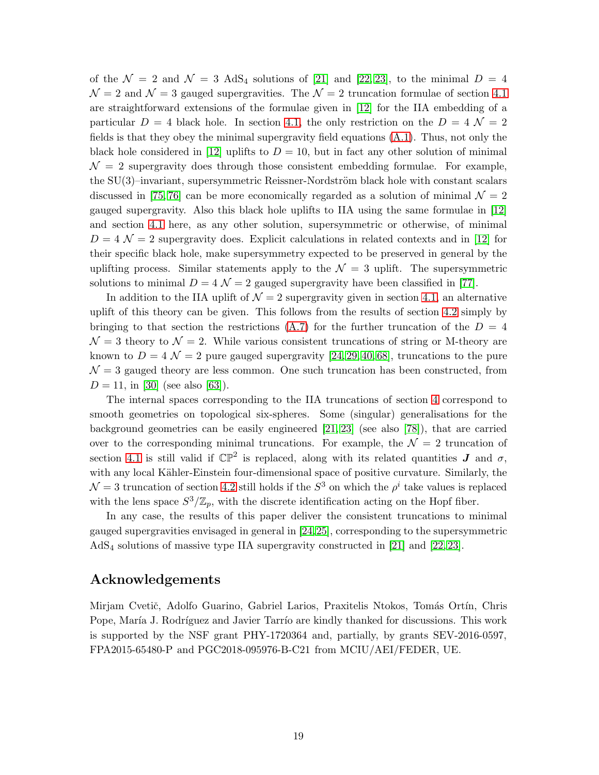of the  $\mathcal{N} = 2$  and  $\mathcal{N} = 3$  AdS<sub>4</sub> solutions of [\[21\]](#page-31-4) and [\[22,](#page-32-0) [23\]](#page-32-1), to the minimal  $D = 4$  $\mathcal{N}=2$  and  $\mathcal{N}=3$  gauged supergravities. The  $\mathcal{N}=2$  truncation formulae of section [4.1](#page-13-1) are straightforward extensions of the formulae given in [\[12\]](#page-31-5) for the IIA embedding of a particular  $D = 4$  black hole. In section [4.1,](#page-13-1) the only restriction on the  $D = 4 \mathcal{N} = 2$ fields is that they obey the minimal supergravity field equations [\(A.1\)](#page-20-4). Thus, not only the black hole considered in [\[12\]](#page-31-5) uplifts to  $D = 10$ , but in fact any other solution of minimal  $\mathcal{N}=2$  supergravity does through those consistent embedding formulae. For example, the  $SU(3)$ –invariant, supersymmetric Reissner-Nordström black hole with constant scalars discussed in [\[75,](#page-35-6) [76\]](#page-35-7) can be more economically regarded as a solution of minimal  $\mathcal{N}=2$ gauged supergravity. Also this black hole uplifts to IIA using the same formulae in [\[12\]](#page-31-5) and section [4.1](#page-13-1) here, as any other solution, supersymmetric or otherwise, of minimal  $D = 4 \mathcal{N} = 2$  supergravity does. Explicit calculations in related contexts and in [\[12\]](#page-31-5) for their specific black hole, make supersymmetry expected to be preserved in general by the uplifting process. Similar statements apply to the  $\mathcal{N} = 3$  uplift. The supersymmetric solutions to minimal  $D = 4 \mathcal{N} = 2$  gauged supergravity have been classified in [\[77\]](#page-35-8).

In addition to the IIA uplift of  $\mathcal{N} = 2$  supergravity given in section [4.1,](#page-13-1) an alternative uplift of this theory can be given. This follows from the results of section [4.2](#page-15-0) simply by bringing to that section the restrictions  $(A.7)$  for the further truncation of the  $D = 4$  $\mathcal{N} = 3$  theory to  $\mathcal{N} = 2$ . While various consistent truncations of string or M-theory are known to  $D = 4 \mathcal{N} = 2$  pure gauged supergravity [\[24,](#page-32-2) [29,](#page-32-7) [40,](#page-33-0) [68\]](#page-34-6), truncations to the pure  $\mathcal{N}=3$  gauged theory are less common. One such truncation has been constructed, from  $D = 11$ , in [\[30\]](#page-32-8) (see also [\[63\]](#page-34-8)).

The internal spaces corresponding to the IIA truncations of section [4](#page-13-0) correspond to smooth geometries on topological six-spheres. Some (singular) generalisations for the background geometries can be easily engineered [\[21,](#page-31-4) [23\]](#page-32-1) (see also [\[78\]](#page-35-9)), that are carried over to the corresponding minimal truncations. For example, the  $\mathcal{N}=2$  truncation of section [4.1](#page-13-1) is still valid if  $\mathbb{CP}^2$  is replaced, along with its related quantities  $J$  and  $\sigma$ , with any local Kähler-Einstein four-dimensional space of positive curvature. Similarly, the  $\mathcal{N}=3$  truncation of section [4.2](#page-15-0) still holds if the  $S^3$  on which the  $\rho^i$  take values is replaced with the lens space  $S^3/\mathbb{Z}_p$ , with the discrete identification acting on the Hopf fiber.

In any case, the results of this paper deliver the consistent truncations to minimal gauged supergravities envisaged in general in [\[24,](#page-32-2)[25\]](#page-32-3), corresponding to the supersymmetric AdS<sup>4</sup> solutions of massive type IIA supergravity constructed in [\[21\]](#page-31-4) and [\[22,](#page-32-0) [23\]](#page-32-1).

# Acknowledgements

Mirjam Cvetič, Adolfo Guarino, Gabriel Larios, Praxitelis Ntokos, Tomás Ortín, Chris Pope, María J. Rodríguez and Javier Tarrío are kindly thanked for discussions. This work is supported by the NSF grant PHY-1720364 and, partially, by grants SEV-2016-0597, FPA2015-65480-P and PGC2018-095976-B-C21 from MCIU/AEI/FEDER, UE.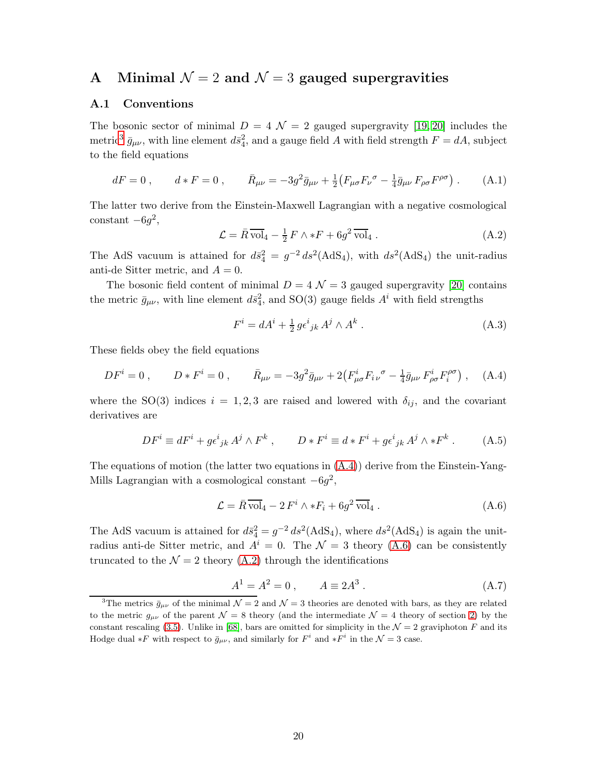# <span id="page-20-3"></span><span id="page-20-0"></span>A Minimal  $\mathcal{N} = 2$  and  $\mathcal{N} = 3$  gauged supergravities

#### A.1 Conventions

The bosonic sector of minimal  $D = 4 \mathcal{N} = 2$  gauged supergravity [\[19,](#page-31-2) [20\]](#page-31-3) includes the metric<sup>[3](#page-20-9)</sup>  $\bar{g}_{\mu\nu}$ , with line element  $d\bar{s}_4^2$ , and a gauge field A with field strength  $F = dA$ , subject to the field equations

<span id="page-20-4"></span>
$$
dF = 0, \t d * F = 0, \t \bar{R}_{\mu\nu} = -3g^2 \bar{g}_{\mu\nu} + \frac{1}{2} \left( F_{\mu\sigma} F_{\nu}{}^{\sigma} - \frac{1}{4} \bar{g}_{\mu\nu} F_{\rho\sigma} F^{\rho\sigma} \right). \t (A.1)
$$

The latter two derive from the Einstein-Maxwell Lagrangian with a negative cosmological  $constant -6g^2$ ,

<span id="page-20-1"></span>
$$
\mathcal{L} = \bar{R}\,\overline{\text{vol}}_4 - \frac{1}{2}\,F \wedge *F + 6g^2\,\overline{\text{vol}}_4\,. \tag{A.2}
$$

The AdS vacuum is attained for  $d\bar{s}_4^2 = g^{-2} ds^2(AdS_4)$ , with  $ds^2(AdS_4)$  the unit-radius anti-de Sitter metric, and  $A = 0$ .

The bosonic field content of minimal  $D = 4 \mathcal{N} = 3$  gauged supergravity [\[20\]](#page-31-3) contains the metric  $\bar{g}_{\mu\nu}$ , with line element  $d\bar{s}_4^2$ , and SO(3) gauge fields  $A^i$  with field strengths

<span id="page-20-6"></span>
$$
F^i = dA^i + \frac{1}{2} g \epsilon^i_{\ jk} A^j \wedge A^k \ . \tag{A.3}
$$

These fields obey the field equations

<span id="page-20-5"></span>
$$
DF^{i} = 0 , \qquad D * F^{i} = 0 , \qquad \bar{R}_{\mu\nu} = -3g^{2} \bar{g}_{\mu\nu} + 2(F^{i}_{\mu\sigma} F_{i\nu}{}^{\sigma} - \frac{1}{4} \bar{g}_{\mu\nu} F^{i}_{\rho\sigma} F_{i}^{\rho\sigma}), \quad (A.4)
$$

where the SO(3) indices  $i = 1, 2, 3$  are raised and lowered with  $\delta_{ij}$ , and the covariant derivatives are

<span id="page-20-7"></span>
$$
DF^{i} \equiv dF^{i} + g\epsilon^{i}{}_{jk}A^{j}\wedge F^{k} , \qquad D*F^{i} \equiv d*F^{i} + g\epsilon^{i}{}_{jk}A^{j}\wedge *F^{k} . \tag{A.5}
$$

The equations of motion (the latter two equations in  $(A.4)$ ) derive from the Einstein-Yang-Mills Lagrangian with a cosmological constant  $-6g^2$ ,

<span id="page-20-2"></span>
$$
\mathcal{L} = \bar{R} \,\overline{\text{vol}}_4 - 2 F^i \wedge *F_i + 6g^2 \,\overline{\text{vol}}_4 \,. \tag{A.6}
$$

The AdS vacuum is attained for  $d\bar{s}_4^2 = g^{-2} ds^2(AdS_4)$ , where  $ds^2(AdS_4)$  is again the unitradius anti-de Sitter metric, and  $A^i = 0$ . The  $\mathcal{N} = 3$  theory [\(A.6\)](#page-20-2) can be consistently truncated to the  $\mathcal{N} = 2$  theory [\(A.2\)](#page-20-1) through the identifications

<span id="page-20-8"></span>
$$
A^1 = A^2 = 0 , \t A \equiv 2A^3 . \t (A.7)
$$

<span id="page-20-9"></span><sup>&</sup>lt;sup>3</sup>The metrics  $\bar{g}_{\mu\nu}$  of the minimal  $\mathcal{N}=2$  and  $\mathcal{N}=3$  theories are denoted with bars, as they are related to the metric  $g_{\mu\nu}$  of the parent  $\mathcal{N} = 8$  theory (and the intermediate  $\mathcal{N} = 4$  theory of section [2\)](#page-3-0) by the constant rescaling [\(3.5\)](#page-9-5). Unlike in [\[68\]](#page-34-6), bars are omitted for simplicity in the  $\mathcal{N}=2$  graviphoton F and its Hodge dual \*F with respect to  $\bar{g}_{\mu\nu}$ , and similarly for  $F^i$  and \* $F^i$  in the  $\mathcal{N}=3$  case.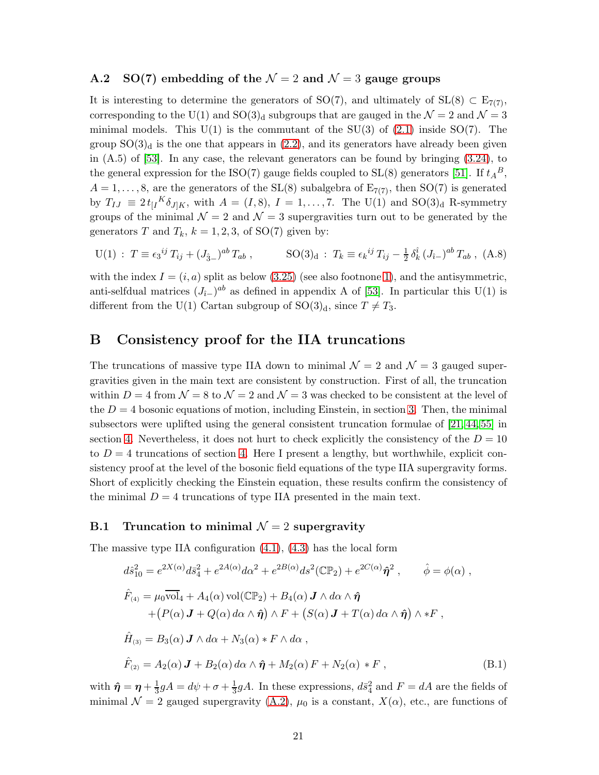#### <span id="page-21-1"></span>A.2 SO(7) embedding of the  $\mathcal{N}=2$  and  $\mathcal{N}=3$  gauge groups

It is interesting to determine the generators of SO(7), and ultimately of SL(8) ⊂  $E_{7(7)}$ , corresponding to the U(1) and SO(3)<sub>d</sub> subgroups that are gauged in the  $\mathcal{N} = 2$  and  $\mathcal{N} = 3$ minimal models. This  $U(1)$  is the commutant of the SU(3) of [\(2.1\)](#page-3-2) inside SO(7). The group  $SO(3)<sub>d</sub>$  is the one that appears in  $(2.2)$ , and its generators have already been given in  $(A.5)$  of  $[53]$ . In any case, the relevant generators can be found by bringing  $(3.24)$ , to the general expression for the ISO(7) gauge fields coupled to  $SL(8)$  generators [\[51\]](#page-33-8). If  $t_A{}^B$ ,  $A = 1, \ldots, 8$ , are the generators of the SL(8) subalgebra of  $E_{7(7)}$ , then SO(7) is generated by  $T_{IJ} \equiv 2 t_{[I}{}^K \delta_{J]K}$ , with  $A = (I, 8)$ ,  $I = 1, ..., 7$ . The U(1) and SO(3)<sub>d</sub> R-symmetry groups of the minimal  $\mathcal{N} = 2$  and  $\mathcal{N} = 3$  supergravities turn out to be generated by the generators T and  $T_k$ ,  $k = 1, 2, 3$ , of SO(7) given by:

$$
U(1): T \equiv \epsilon_3^{ij} T_{ij} + (J_{\hat{3}-})^{ab} T_{ab} , \qquad SO(3)_d: T_k \equiv \epsilon_k^{ij} T_{ij} - \frac{1}{2} \delta_k^{\hat{i}} (J_{\hat{i}-})^{ab} T_{ab} , (A.8)
$$

with the index  $I = (i, a)$  split as below [\(3.25\)](#page-12-4) (see also footnone [1\)](#page-3-1), and the antisymmetric, anti-selfdual matrices  $(J_{i-})^{ab}$  as defined in appendix A of [\[53\]](#page-33-10). In particular this U(1) is different from the U(1) Cartan subgroup of  $SO(3)<sub>d</sub>$ , since  $T \neq T_3$ .

### <span id="page-21-0"></span>B Consistency proof for the IIA truncations

The truncations of massive type IIA down to minimal  $\mathcal{N}=2$  and  $\mathcal{N}=3$  gauged supergravities given in the main text are consistent by construction. First of all, the truncation within  $D = 4$  from  $\mathcal{N} = 8$  to  $\mathcal{N} = 2$  and  $\mathcal{N} = 3$  was checked to be consistent at the level of the  $D = 4$  bosonic equations of motion, including Einstein, in section [3.](#page-7-0) Then, the minimal subsectors were uplifted using the general consistent truncation formulae of [\[21,](#page-31-4) [44,](#page-33-3) [55\]](#page-34-1) in section [4.](#page-13-0) Nevertheless, it does not hurt to check explicitly the consistency of the  $D = 10$ to  $D = 4$  truncations of section [4.](#page-13-0) Here I present a lengthy, but worthwhile, explicit consistency proof at the level of the bosonic field equations of the type IIA supergravity forms. Short of explicitly checking the Einstein equation, these results confirm the consistency of the minimal  $D = 4$  truncations of type IIA presented in the main text.

#### <span id="page-21-2"></span>B.1 Truncation to minimal  $\mathcal{N}=2$  supergravity

The massive type IIA configuration  $(4.1)$ ,  $(4.3)$  has the local form

<span id="page-21-3"></span>
$$
d\hat{s}_{10}^{2} = e^{2X(\alpha)} d\bar{s}_{4}^{2} + e^{2A(\alpha)} d\alpha^{2} + e^{2B(\alpha)} ds^{2} (\mathbb{CP}_{2}) + e^{2C(\alpha)} \hat{\eta}^{2} , \qquad \hat{\phi} = \phi(\alpha) ,
$$
  

$$
\hat{F}_{(4)} = \mu_{0} \overline{\text{vol}}_{4} + A_{4}(\alpha) \text{ vol}(\mathbb{CP}_{2}) + B_{4}(\alpha) \mathbf{J} \wedge d\alpha \wedge \hat{\eta} + (P(\alpha) \mathbf{J} + Q(\alpha) d\alpha \wedge \hat{\eta}) \wedge F + (S(\alpha) \mathbf{J} + T(\alpha) d\alpha \wedge \hat{\eta}) \wedge *F ,
$$
  

$$
\hat{H}_{(3)} = B_{3}(\alpha) \mathbf{J} \wedge d\alpha + N_{3}(\alpha) * F \wedge d\alpha ,
$$
  

$$
\hat{F}_{(2)} = A_{2}(\alpha) \mathbf{J} + B_{2}(\alpha) d\alpha \wedge \hat{\eta} + M_{2}(\alpha) F + N_{2}(\alpha) * F , \qquad (B.1)
$$

with  $\hat{\eta} = \eta + \frac{1}{3}gA = d\psi + \sigma + \frac{1}{3}gA$ . In these expressions,  $d\bar{s}_4^2$  and  $F = dA$  are the fields of minimal  $\mathcal{N} = 2$  gauged supergravity [\(A.2\)](#page-20-1),  $\mu_0$  is a constant,  $X(\alpha)$ , etc., are functions of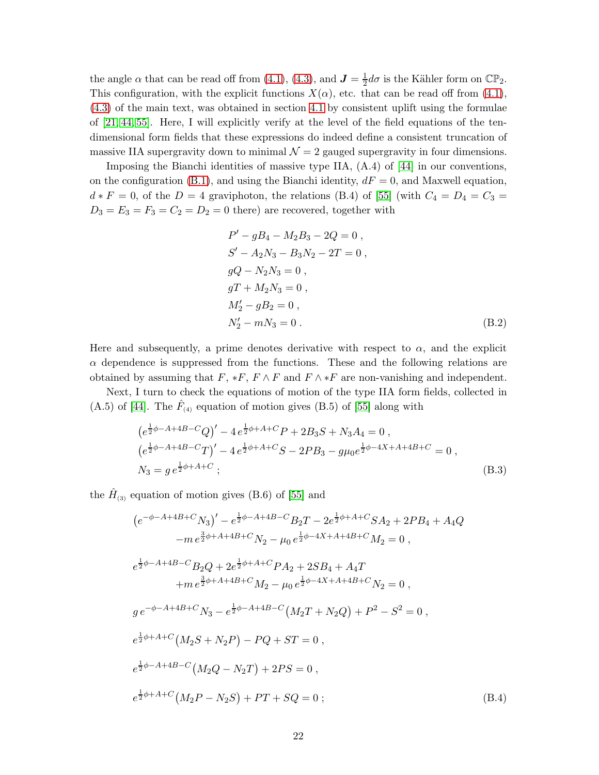the angle  $\alpha$  that can be read off from [\(4.1\)](#page-14-1), [\(4.3\)](#page-14-2), and  $J = \frac{1}{2}d\sigma$  is the Kähler form on  $\mathbb{CP}_2$ . This configuration, with the explicit functions  $X(\alpha)$ , etc. that can be read off from [\(4.1\)](#page-14-1), [\(4.3\)](#page-14-2) of the main text, was obtained in section [4.1](#page-13-1) by consistent uplift using the formulae of [\[21,](#page-31-4) [44,](#page-33-3) [55\]](#page-34-1). Here, I will explicitly verify at the level of the field equations of the tendimensional form fields that these expressions do indeed define a consistent truncation of massive IIA supergravity down to minimal  $\mathcal{N} = 2$  gauged supergravity in four dimensions.

Imposing the Bianchi identities of massive type IIA, (A.4) of [\[44\]](#page-33-3) in our conventions, on the configuration [\(B.1\)](#page-21-3), and using the Bianchi identity,  $dF = 0$ , and Maxwell equation,  $d * F = 0$ , of the  $D = 4$  graviphoton, the relations (B.4) of [\[55\]](#page-34-1) (with  $C_4 = D_4 = C_3 =$  $D_3 = E_3 = F_3 = C_2 = D_2 = 0$  there) are recovered, together with

<span id="page-22-0"></span>
$$
P' - gB_4 - M_2B_3 - 2Q = 0,
$$
  
\n
$$
S' - A_2N_3 - B_3N_2 - 2T = 0,
$$
  
\n
$$
gQ - N_2N_3 = 0,
$$
  
\n
$$
gT + M_2N_3 = 0,
$$
  
\n
$$
M'_2 - gB_2 = 0,
$$
  
\n
$$
N'_2 - mN_3 = 0.
$$
\n(B.2)

Here and subsequently, a prime denotes derivative with respect to  $\alpha$ , and the explicit  $\alpha$  dependence is suppressed from the functions. These and the following relations are obtained by assuming that  $F, *F, F \wedge F$  and  $F \wedge *F$  are non-vanishing and independent.

Next, I turn to check the equations of motion of the type IIA form fields, collected in  $(A.5)$  of [\[44\]](#page-33-3). The  $\hat{F}_{(4)}$  equation of motion gives (B.5) of [\[55\]](#page-34-1) along with

$$
(e^{\frac{1}{2}\phi - A + 4B - C}Q)' - 4e^{\frac{1}{2}\phi + A + C}P + 2B_3S + N_3A_4 = 0,
$$
  
\n
$$
(e^{\frac{1}{2}\phi - A + 4B - C}T)' - 4e^{\frac{1}{2}\phi + A + C}S - 2PB_3 - g\mu_0e^{\frac{1}{2}\phi - 4X + A + 4B + C} = 0,
$$
  
\n
$$
N_3 = g e^{\frac{1}{2}\phi + A + C};
$$
\n(B.3)

the  $\hat{H}_{(3)}$  equation of motion gives (B.6) of [\[55\]](#page-34-1) and

$$
(e^{-\phi - A + 4B + C} N_3)' - e^{\frac{1}{2}\phi - A + 4B - C} B_2 T - 2e^{\frac{1}{2}\phi + A + C} SA_2 + 2PB_4 + A_4Q
$$
  
\n
$$
-m e^{\frac{3}{2}\phi + A + 4B + C} N_2 - \mu_0 e^{\frac{1}{2}\phi - 4X + A + 4B + C} M_2 = 0,
$$
  
\n
$$
e^{\frac{1}{2}\phi - A + 4B - C} B_2 Q + 2e^{\frac{1}{2}\phi + A + C} P A_2 + 2SB_4 + A_4 T
$$
  
\n
$$
+ m e^{\frac{3}{2}\phi + A + 4B + C} M_2 - \mu_0 e^{\frac{1}{2}\phi - 4X + A + 4B + C} N_2 = 0,
$$
  
\n
$$
g e^{-\phi - A + 4B + C} N_3 - e^{\frac{1}{2}\phi - A + 4B - C} (M_2 T + N_2 Q) + P^2 - S^2 = 0,
$$
  
\n
$$
e^{\frac{1}{2}\phi + A + C} (M_2 S + N_2 P) - PQ + ST = 0,
$$
  
\n
$$
e^{\frac{1}{2}\phi - A + 4B - C} (M_2 Q - N_2 T) + 2PS = 0,
$$
  
\n
$$
e^{\frac{1}{2}\phi + A + C} (M_2 P - N_2 S) + PT + SQ = 0;
$$
  
\n(B.4)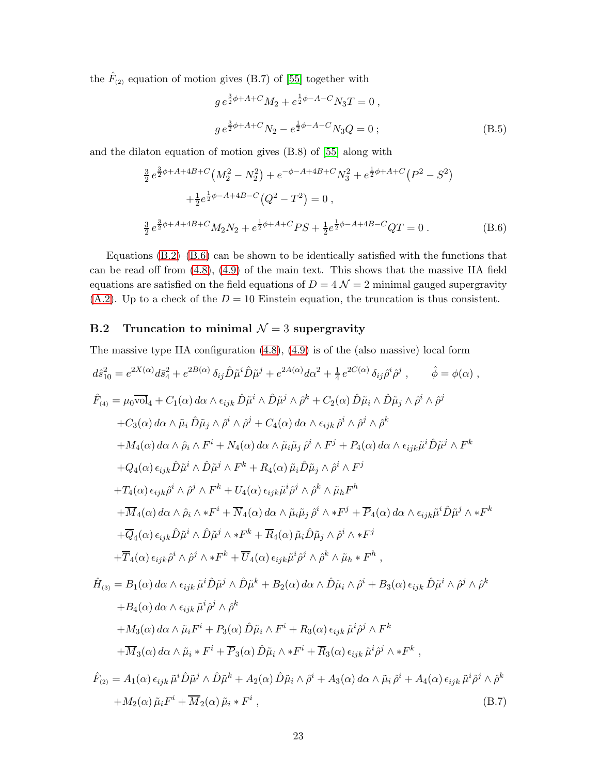the  $\hat{F}_{(2)}$  equation of motion gives (B.7) of [\[55\]](#page-34-1) together with

$$
g e^{\frac{3}{2}\phi + A + C} M_2 + e^{\frac{1}{2}\phi - A - C} N_3 T = 0 ,
$$
  
\n
$$
g e^{\frac{3}{2}\phi + A + C} N_2 - e^{\frac{1}{2}\phi - A - C} N_3 Q = 0 ;
$$
 (B.5)

and the dilaton equation of motion gives (B.8) of [\[55\]](#page-34-1) along with

<span id="page-23-1"></span>
$$
\frac{3}{2}e^{\frac{3}{2}\phi + A + 4B + C} \left(M_2^2 - N_2^2\right) + e^{-\phi - A + 4B + C} N_3^2 + e^{\frac{1}{2}\phi + A + C} \left(P^2 - S^2\right) \n+ \frac{1}{2}e^{\frac{1}{2}\phi - A + 4B - C} \left(Q^2 - T^2\right) = 0 ,
$$
\n
$$
\frac{3}{2}e^{\frac{3}{2}\phi + A + 4B + C} M_2 N_2 + e^{\frac{1}{2}\phi + A + C} PS + \frac{1}{2}e^{\frac{1}{2}\phi - A + 4B - C} QT = 0 .
$$
\n(B.6)

Equations  $(B.2)$ – $(B.6)$  can be shown to be identically satisfied with the functions that can be read off from [\(4.8\)](#page-16-0), [\(4.9\)](#page-17-0) of the main text. This shows that the massive IIA field equations are satisfied on the field equations of  $D = 4 \mathcal{N} = 2$  minimal gauged supergravity [\(A.2\)](#page-20-1). Up to a check of the  $D = 10$  Einstein equation, the truncation is thus consistent.

### <span id="page-23-0"></span>B.2 Truncation to minimal  $\mathcal{N}=3$  supergravity

The massive type IIA configuration [\(4.8\)](#page-16-0), [\(4.9\)](#page-17-0) is of the (also massive) local form

<span id="page-23-2"></span>
$$
d\hat{s}_{10}^{2} = e^{2X(\alpha)} d\bar{s}_{4}^{2} + e^{2B(\alpha)} \delta_{ij} \hat{D} \tilde{\mu}^{i} \hat{D} \tilde{\mu}^{j} + e^{2A(\alpha)} d\alpha^{2} + \frac{1}{4} e^{2C(\alpha)} \delta_{ij} \hat{\rho}^{i} \hat{\rho}^{j} , \qquad \hat{\phi} = \phi(\alpha) ,
$$
  
\n
$$
\hat{F}_{(4)} = \mu_{0} \overline{\text{vol}}_{4} + C_{1}(\alpha) d\alpha \wedge \epsilon_{ijk} \hat{D} \tilde{\mu}^{i} \wedge \hat{D} \tilde{\mu}^{j} \wedge \hat{\rho}^{k} + C_{2}(\alpha) \hat{D} \tilde{\mu}_{i} \wedge \hat{D} \tilde{\mu}_{j} \wedge \hat{\rho}^{i} \wedge \hat{\rho}^{j}
$$
  
\n
$$
+ C_{3}(\alpha) d\alpha \wedge \tilde{\mu}_{i} \hat{D} \tilde{\mu}_{j} \wedge \hat{\rho}^{i} \wedge \hat{\rho}^{j} + C_{4}(\alpha) d\alpha \wedge \epsilon_{ijk} \hat{\rho}^{i} \wedge \hat{\rho}^{j} \wedge \hat{\rho}^{k}
$$
  
\n
$$
+ M_{4}(\alpha) d\alpha \wedge \hat{\rho}_{i} \wedge F^{i} + N_{4}(\alpha) d\alpha \wedge \tilde{\mu}_{i} \tilde{\mu}_{j} \hat{\rho}^{i} \wedge F^{j} + P_{4}(\alpha) d\alpha \wedge \epsilon_{ijk} \tilde{\mu}^{i} \hat{D} \tilde{\mu}^{j} \wedge F^{k}
$$
  
\n
$$
+ Q_{4}(\alpha) \epsilon_{ijk} \hat{D} \tilde{\mu}^{i} \wedge \hat{D} \tilde{\mu}^{j} \wedge F^{k} + R_{4}(\alpha) \tilde{\mu}_{i} \hat{D} \tilde{\mu}_{j} \wedge \hat{\rho}^{i} \wedge F^{j}
$$
  
\n
$$
+ T_{4}(\alpha) \epsilon_{ijk} \hat{\rho}^{i} \wedge \hat{\rho}^{j} \wedge F^{k} + U_{4}(\alpha) \epsilon_{ijk} \tilde{\mu}^{i} \hat{\rho}^{j} \wedge \hat{\rho}^{k} \wedge \tilde{\mu}_{h} F^{h}
$$
<

$$
\hat{H}_{(3)} = B_1(\alpha) d\alpha \wedge \epsilon_{ijk} \tilde{\mu}^i \hat{D} \tilde{\mu}^j \wedge \hat{D} \tilde{\mu}^k + B_2(\alpha) d\alpha \wedge \hat{D} \tilde{\mu}_i \wedge \hat{\rho}^i + B_3(\alpha) \epsilon_{ijk} \hat{D} \tilde{\mu}^i \wedge \hat{\rho}^j \wedge \hat{\rho}^k \n+ B_4(\alpha) d\alpha \wedge \epsilon_{ijk} \tilde{\mu}^i \hat{\rho}^j \wedge \hat{\rho}^k \n+ M_3(\alpha) d\alpha \wedge \tilde{\mu}_i F^i + P_3(\alpha) \hat{D} \tilde{\mu}_i \wedge F^i + R_3(\alpha) \epsilon_{ijk} \tilde{\mu}^i \hat{\rho}^j \wedge F^k \n+ \overline{M}_3(\alpha) d\alpha \wedge \tilde{\mu}_i * F^i + \overline{P}_3(\alpha) \hat{D} \tilde{\mu}_i \wedge * F^i + \overline{R}_3(\alpha) \epsilon_{ijk} \tilde{\mu}^i \hat{\rho}^j \wedge * F^k ,
$$

$$
\hat{F}_{(2)} = A_1(\alpha) \epsilon_{ijk} \tilde{\mu}^i \hat{D} \tilde{\mu}^j \wedge \hat{D} \tilde{\mu}^k + A_2(\alpha) \hat{D} \tilde{\mu}_i \wedge \hat{\rho}^i + A_3(\alpha) d\alpha \wedge \tilde{\mu}_i \hat{\rho}^i + A_4(\alpha) \epsilon_{ijk} \tilde{\mu}^i \hat{\rho}^j \wedge \hat{\rho}^k + M_2(\alpha) \tilde{\mu}_i F^i + \overline{M}_2(\alpha) \tilde{\mu}_i * F^i ,
$$
\n(B.7)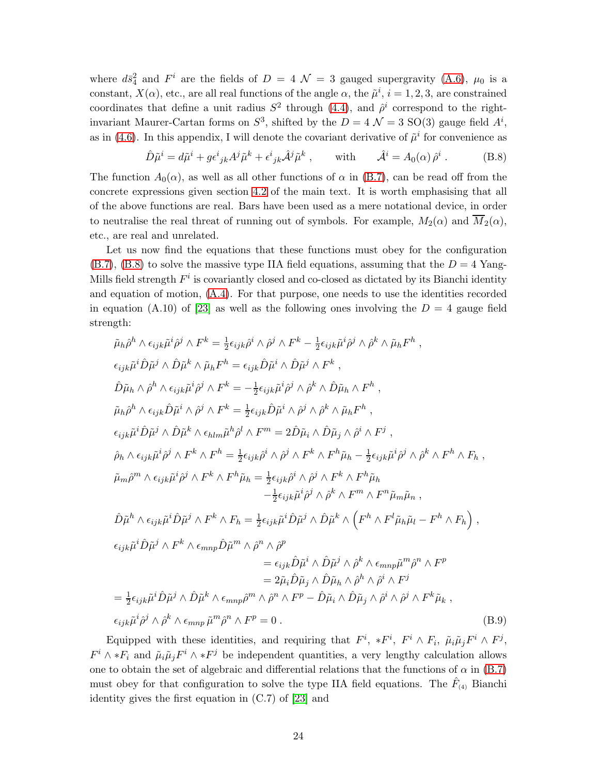where  $d\bar{s}_4^2$  and  $F^i$  are the fields of  $D = 4 \mathcal{N} = 3$  gauged supergravity [\(A.6\)](#page-20-2),  $\mu_0$  is a constant,  $X(\alpha)$ , etc., are all real functions of the angle  $\alpha$ , the  $\tilde{\mu}^i$ ,  $i = 1, 2, 3$ , are constrained coordinates that define a unit radius  $S^2$  through [\(4.4\)](#page-15-3), and  $\hat{\rho}^i$  correspond to the rightinvariant Maurer-Cartan forms on  $S^3$ , shifted by the  $D = 4 \mathcal{N} = 3$  SO(3) gauge field  $A^i$ , as in [\(4.6\)](#page-15-1). In this appendix, I will denote the covariant derivative of  $\tilde{\mu}^i$  for convenience as

<span id="page-24-0"></span>
$$
\hat{D}\tilde{\mu}^i = d\tilde{\mu}^i + g\epsilon^i{}_{jk}A^j\tilde{\mu}^k + \epsilon^i{}_{jk}\hat{A}^j\tilde{\mu}^k , \qquad \text{with} \qquad \hat{\mathcal{A}}^i = A_0(\alpha)\,\hat{\rho}^i . \tag{B.8}
$$

The function  $A_0(\alpha)$ , as well as all other functions of  $\alpha$  in [\(B.7\)](#page-23-2), can be read off from the concrete expressions given section [4.2](#page-15-0) of the main text. It is worth emphasising that all of the above functions are real. Bars have been used as a mere notational device, in order to neutralise the real threat of running out of symbols. For example,  $M_2(\alpha)$  and  $\overline{M}_2(\alpha)$ , etc., are real and unrelated.

Let us now find the equations that these functions must obey for the configuration  $(B.7)$ ,  $(B.8)$  to solve the massive type IIA field equations, assuming that the  $D = 4$  Yang-Mills field strength  $F^i$  is covariantly closed and co-closed as dictated by its Bianchi identity and equation of motion, [\(A.4\)](#page-20-5). For that purpose, one needs to use the identities recorded in equation (A.10) of [\[23\]](#page-32-1) as well as the following ones involving the  $D = 4$  gauge field strength:

$$
\tilde{\mu}_{h}\hat{\rho}^{h}\wedge\epsilon_{ijk}\tilde{\mu}^{i}\hat{\rho}^{j}\wedge F^{k} = \frac{1}{2}\epsilon_{ijk}\hat{\rho}^{i}\wedge\hat{\rho}^{j}\wedge F^{k} - \frac{1}{2}\epsilon_{ijk}\tilde{\mu}^{i}\hat{\rho}^{j}\wedge\hat{\rho}^{k}\wedge\tilde{\mu}_{h}F^{h},
$$
\n
$$
\epsilon_{ijk}\tilde{\mu}^{i}\hat{D}\tilde{\mu}^{j}\wedge\hat{D}\tilde{\mu}^{k}\wedge\tilde{\mu}_{h}F^{h} = \epsilon_{ijk}\hat{D}\tilde{\mu}^{i}\wedge\hat{D}\tilde{\mu}^{j}\wedge F^{k},
$$
\n
$$
\hat{D}\tilde{\mu}_{h}\wedge\hat{\rho}^{h}\wedge\epsilon_{ijk}\tilde{\mu}^{i}\hat{\rho}^{j}\wedge F^{k} = -\frac{1}{2}\epsilon_{ijk}\tilde{\mu}^{i}\hat{\rho}^{j}\wedge\hat{\rho}^{k}\wedge\hat{D}\tilde{\mu}_{h}\wedge F^{h},
$$
\n
$$
\tilde{\mu}_{h}\hat{\rho}^{h}\wedge\epsilon_{ijk}\hat{D}\tilde{\mu}^{i}\wedge\hat{\rho}^{j}\wedge F^{k} = \frac{1}{2}\epsilon_{ijk}\hat{D}\tilde{\mu}^{i}\wedge\hat{\rho}^{j}\wedge\hat{\rho}^{k}\wedge\tilde{\mu}_{h}F^{h},
$$
\n
$$
\epsilon_{ijk}\tilde{\mu}^{i}\hat{D}\tilde{\mu}^{j}\wedge\hat{D}\tilde{\mu}^{k}\wedge\epsilon_{hlm}\tilde{\mu}^{h}\hat{\rho}^{j}\wedge F^{m} = 2\hat{D}\tilde{\mu}_{i}\wedge\hat{D}\tilde{\mu}_{j}\wedge\hat{\rho}^{i}\wedge F^{j},
$$
\n
$$
\hat{\rho}_{h}\wedge\epsilon_{ijk}\tilde{\mu}^{i}\hat{\rho}^{j}\wedge F^{k}\wedge F^{h} = \frac{1}{2}\epsilon_{ijk}\hat{\rho}^{i}\wedge\hat{\rho}^{j}\wedge F^{k}\wedge F^{h}\tilde{\mu}_{h} - \frac{1}{2}\epsilon_{ijk}\tilde{\mu}^{i}\hat{\rho}^{j}\wedge\hat{\rho}^{k}\wedge F^{h}\wedge F^{h},
$$
\n
$$
\tilde{\mu}_{m}\tilde{\rho}^{m}\
$$

Equipped with these identities, and requiring that  $F^i$ ,  $*F^i \wedge F_i$ ,  $\tilde{\mu}_i \tilde{\mu}_j F^i \wedge F^j$ ,  $F^i \wedge *F_i$  and  $\tilde{\mu}_i \tilde{\mu}_j F^i \wedge *F^j$  be independent quantities, a very lengthy calculation allows one to obtain the set of algebraic and differential relations that the functions of  $\alpha$  in [\(B.7\)](#page-23-2) must obey for that configuration to solve the type IIA field equations. The  $\hat{F}_{(4)}$  Bianchi identity gives the first equation in (C.7) of [\[23\]](#page-32-1) and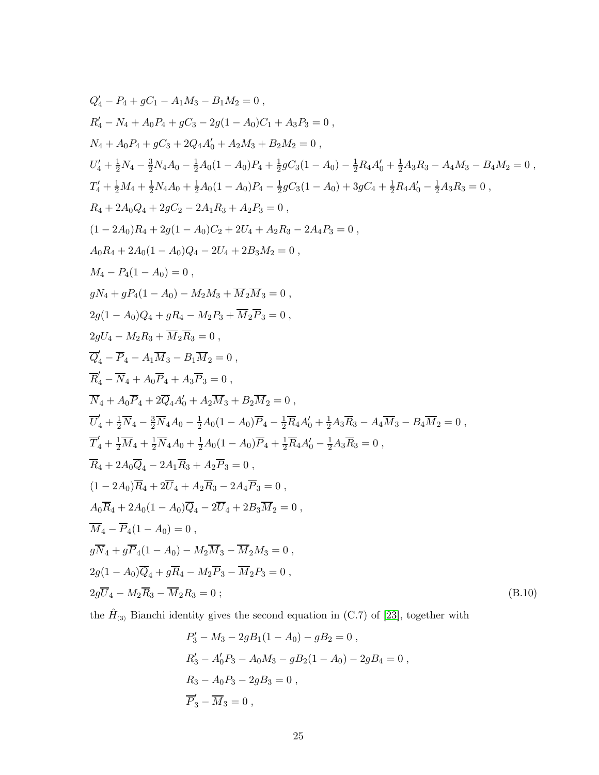<span id="page-25-0"></span>
$$
Q'_4 - P_4 + gC_1 - A_1M_3 - B_1M_2 = 0,
$$
  
\n
$$
R'_4 - N_4 + A_0P_4 + gC_3 - 2g(1 - A_0)C_1 + A_3P_3 = 0,
$$
  
\n
$$
N_4 + A_0P_4 + gC_3 + 2Q_4A'_0 + A_2M_3 + B_2M_2 = 0,
$$
  
\n
$$
U'_4 + \frac{1}{2}N_4 - \frac{3}{2}N_4A_0 - \frac{1}{2}A_0(1 - A_0)P_4 + \frac{1}{2}gC_3(1 - A_0) - \frac{1}{2}R_4A'_0 + \frac{1}{2}A_3R_3 - A_4M_3 - B_4M_2 = 0,
$$
  
\n
$$
T'_4 + \frac{1}{2}M_4 + \frac{1}{2}N_4A_0 + \frac{1}{2}A_0(1 - A_0)P_4 - \frac{1}{2}gC_3(1 - A_0) + 3gC_4 + \frac{1}{2}R_4A'_0 - \frac{1}{2}A_3R_3 = 0,
$$
  
\n
$$
R_4 + 2A_0Q_4 + 2gC_2 - 2A_1R_3 + A_2P_3 = 0,
$$
  
\n
$$
(1 - 2A_0)R_4 + 2g(1 - A_0)Q_4 - 2U_4 + 2B_3M_2 = 0,
$$
  
\n
$$
A_0R_4 + 2A_0(1 - A_0) = 0,
$$
  
\n
$$
gN_4 + gP_4(1 - A_0) = 0,
$$
  
\n
$$
gN_4 + gP_4(1 - A_0) = M_2M_3 + \overline{M_2}N_3 = 0,
$$
  
\n
$$
2g(1 - A_0)Q_4 + gR_4 - M_2P_3 + \overline{M_2}P_3 = 0,
$$
  
\n
$$
\overline{Q}'_4 - \overline{P}_4 - A_1\overline{M}_3 - B_1\overline{M}_2 = 0,
$$
  
\n
$$
\overline{Q}'_4 - \overline{P}_4 - A_1\overline{M}_3 - B_1\overline{M}_2 = 0,
$$

the  $\hat{H}_{(3)}$  Bianchi identity gives the second equation in (C.7) of [\[23\]](#page-32-1), together with

$$
P'_3 - M_3 - 2gB_1(1 - A_0) - gB_2 = 0,
$$
  
\n
$$
R'_3 - A'_0P_3 - A_0M_3 - gB_2(1 - A_0) - 2gB_4 = 0,
$$
  
\n
$$
R_3 - A_0P_3 - 2gB_3 = 0,
$$
  
\n
$$
\overline{P'_3} - \overline{M_3} = 0,
$$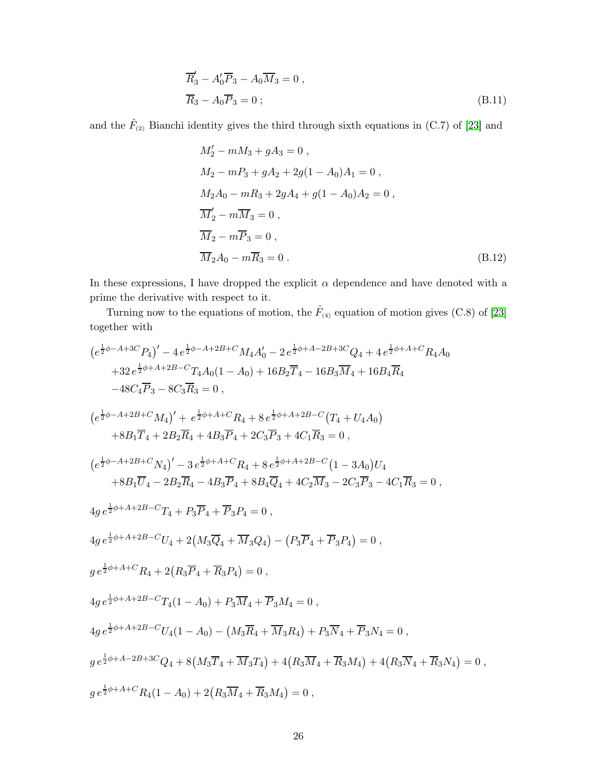$$
\overline{R}'_3 - A'_0 \overline{P}_3 - A_0 \overline{M}_3 = 0 ,
$$
\n
$$
\overline{R}_3 - A_0 \overline{P}_3 = 0 ;
$$
\n(B.11)

and the  $\hat{F}_{(2)}$  Bianchi identity gives the third through sixth equations in (C.7) of [\[23\]](#page-32-1) and

$$
M'_{2} - mM_{3} + gA_{3} = 0,
$$
  
\n
$$
M_{2} - mP_{3} + gA_{2} + 2g(1 - A_{0})A_{1} = 0,
$$
  
\n
$$
M_{2}A_{0} - mR_{3} + 2gA_{4} + g(1 - A_{0})A_{2} = 0,
$$
  
\n
$$
\overline{M}'_{2} - m\overline{M}_{3} = 0,
$$
  
\n
$$
\overline{M}_{2} - m\overline{P}_{3} = 0,
$$
  
\n
$$
\overline{M}_{2}A_{0} - m\overline{R}_{3} = 0.
$$
\n(B.12)

In these expressions, I have dropped the explicit  $\alpha$  dependence and have denoted with a prime the derivative with respect to it.

Turning now to the equations of motion, the  $\hat{F}_{(4)}$  equation of motion gives (C.8) of [\[23\]](#page-32-1) together with

$$
(e^{\frac{1}{2}\phi-A+3C}P_{4})' - 4e^{\frac{1}{2}\phi-A+2B+C}M_{4}A'_{0} - 2e^{\frac{1}{2}\phi+A-2B+3C}Q_{4} + 4e^{\frac{1}{2}\phi+A+C}R_{4}A_{0}
$$
  
\n
$$
+32e^{\frac{1}{2}\phi+A+2B-C}T_{4}A_{0}(1-A_{0}) + 16B_{2}\overline{T}_{4} - 16B_{3}\overline{M}_{4} + 16B_{4}\overline{R}_{4}
$$
  
\n
$$
-48C_{4}\overline{P}_{3} - 8C_{3}\overline{R}_{3} = 0,
$$
  
\n
$$
(e^{\frac{1}{2}\phi-A+2B+C}M_{4})' + e^{\frac{1}{2}\phi+A+C}R_{4} + 8e^{\frac{1}{2}\phi+A+2B-C}(T_{4} + U_{4}A_{0})
$$
  
\n
$$
+8B_{1}\overline{T}_{4} + 2B_{2}\overline{R}_{4} + 4B_{3}\overline{P}_{4} + 2C_{3}\overline{P}_{3} + 4C_{1}\overline{R}_{3} = 0,
$$
  
\n
$$
(e^{\frac{1}{2}\phi-A+2B+C}N_{4})' - 3e^{\frac{1}{2}\phi+A+C}R_{4} + 8e^{\frac{1}{2}\phi+A+2B-C}(1-3A_{0})U_{4}
$$
  
\n
$$
+8B_{1}\overline{U}_{4} - 2B_{2}\overline{R}_{4} - 4B_{3}\overline{P}_{4} + 8B_{4}\overline{Q}_{4} + 4C_{2}\overline{M}_{3} - 2C_{3}\overline{P}_{3} - 4C_{1}\overline{R}_{3} = 0,
$$
  
\n
$$
4g e^{\frac{1}{2}\phi+A+2B-C}T_{4} + P_{3}\overline{P}_{4} + \overline{P}_{3}P_{4} = 0,
$$
  
\n
$$
4g e^{\frac{1}{2}\phi+A+2B-C}U_{4} + 2(M_{3}\overline{Q}_{4} + \overline{M}_{3}Q_{4}) - (P_{3}\overline{P}_{4} + \overline{P}_{3}P_{4}) = 0,
$$
  
\n
$$
g e^{\frac{1}{2
$$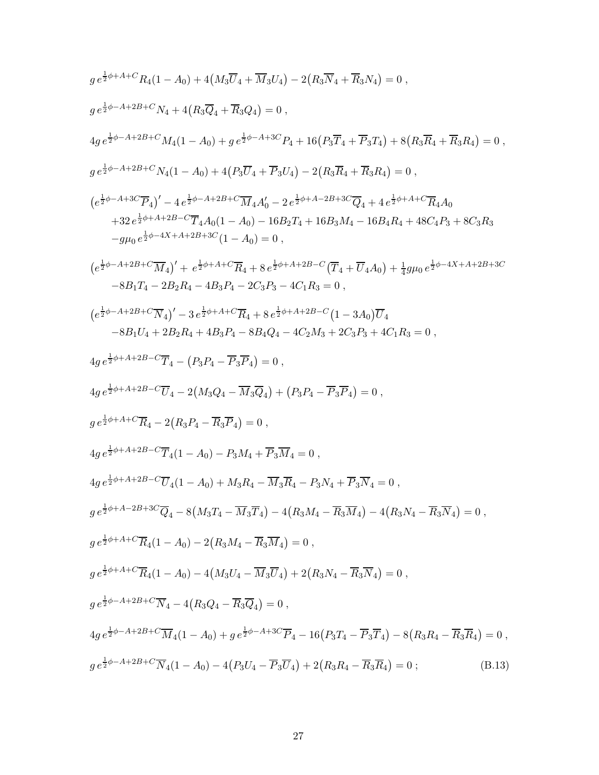$$
g e^{\frac{1}{2}\phi + A + C} R_{4}(1 - A_{0}) + 4(M_{3}\overline{U}_{4} + \overline{M}_{3}U_{4}) - 2(R_{3}\overline{N}_{4} + \overline{R}_{3}N_{4}) = 0 ,
$$
  
\n
$$
g e^{\frac{1}{2}\phi - A + 2B + C} N_{4} + 4(R_{3}\overline{Q}_{4} + \overline{R}_{3}Q_{4}) = 0 ,
$$
  
\n
$$
4g e^{\frac{1}{2}\phi - A + 2B + C} N_{4}(1 - A_{0}) + g e^{\frac{1}{2}\phi - A + 3C} P_{4} + 16(P_{3}\overline{T}_{4} + \overline{P}_{3}T_{4}) + 8(R_{3}\overline{R}_{4} + \overline{R}_{3}R_{4}) = 0 ,
$$
  
\n
$$
e^{\frac{1}{2}\phi - A + 2B + C} N_{4}(1 - A_{0}) + 4(P_{3}\overline{U}_{4} + \overline{P}_{3}U_{4}) - 2(R_{3}\overline{R}_{4} + \overline{R}_{3}R_{4}) = 0 ,
$$
  
\n
$$
(e^{\frac{1}{2}\phi - A + 3C}\overline{P}_{4})' - 4e^{\frac{1}{2}\phi - A + 2B + C}\overline{M}_{4}A'_{0} - 2e^{\frac{1}{2}\phi + A - 2B + 3C}\overline{Q}_{4} + 4e^{\frac{1}{2}\phi + A + C}\overline{R}_{4}A_{0}
$$
  
\n
$$
+ 32e^{\frac{1}{2}\phi + A + 2B - C}\overline{T}_{4}A_{0}(1 - A_{0}) - 16D_{2}T_{4} + 16B_{3}M_{4} - 16D_{4}R_{4} + 48C_{4}P_{3} + 8C_{3}R_{3}
$$
  
\n
$$
-g\mu_{0}e^{\frac{1}{2}\phi + A + 2B + C}\overline{M}_{4}\Big) + e^{\frac{1}{2}\phi + A + C}\overline{R}_{4} + 8e^{\frac{1}{2}\phi + A + 2B - C}\overline{T}_{4} + \overline{U}_{4}A_{0}\Big) + \frac{1}{4}g\mu_{0}e^{\frac{1}{2}\phi - 4X + A + 2
$$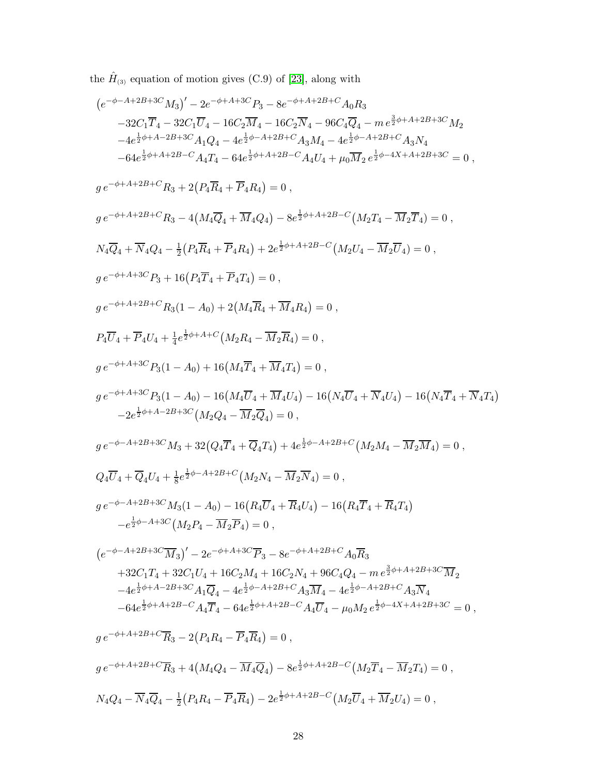the  $\hat{H}_{(3)}$  equation of motion gives (C.9) of [\[23\]](#page-32-1), along with

$$
\begin{split} & (e^{-\phi-A+2B+3C}M_3)'-2e^{-\phi+A+3C}P_3-8e^{-\phi+A+2B+C}A_0R_3\\ & -32C_1\overline{T}_4-32C_1\overline{U}_4-16C_2\overline{M}_4-16C_2\overline{N}_4-96C_4\overline{Q}_4-m\,e^{\frac{1}{2}\phi+A+2B+3C}M_2\\ & -4e^{\frac{1}{2}\phi+A+2B+3C}A_1Q_4-4e^{\frac{1}{2}\phi-A+2B+C}A_3M_4-4e^{\frac{1}{2}\phi-A+2B+C}A_3M_4\\ & -64e^{\frac{1}{2}\phi+A+2B-C}A_4T_4-64e^{\frac{1}{2}\phi-A+2B+C}A_4U_4+\mu_0\overline{M}_2\,e^{\frac{1}{2}\phi-A+A+2B+3C}=0\;,\\ & g\,e^{-\phi+A+2B+1C}R_3+2\left(P_4\overline{R}_4+\overline{P}_4R_4\right)=0\;,\\ & g\,e^{-\phi+A+2B+C}R_3-4\left(M_4\overline{Q}_4+\overline{M}_4Q_4\right)-8e^{\frac{1}{2}\phi+A+2B-C}\left(M_2T_4-\overline{M}_2\overline{T}_4\right)=0\;,\\ & g\,e^{-\phi+A+2B+C}R_3+16\left(P_4\overline{T}_4+\overline{P}_4R_4\right)+2e^{\frac{1}{2}\phi+A+2B-C}\left(M_2U_4-\overline{M}_2\overline{T}_4\right)=0\;,\\ & g\,e^{-\phi+A+3C}P_3+16\left(P_4\overline{T}_4+\overline{P}_4T_4\right)=0\;,\\ & g\,e^{-\phi+A+3C}P_3\left(1-A_0\right)+2\left(M_4\overline{R}_4+\overline{M}_4R_4\right)=0\;,\\ & g\,e^{-\phi+A+3C}P_3\left(1-A_0\right)+16\left(M_4\overline{T}_4+\overline{M}_4T_4\right)=0\;,\\ & g\,e^{-\phi+A+3C}P_3\left(1-A_0\right)-16\left(M_4\overline{T}_4+\overline{M}_4T_4\right)=0\;,\\ & g\,e^{-\phi
$$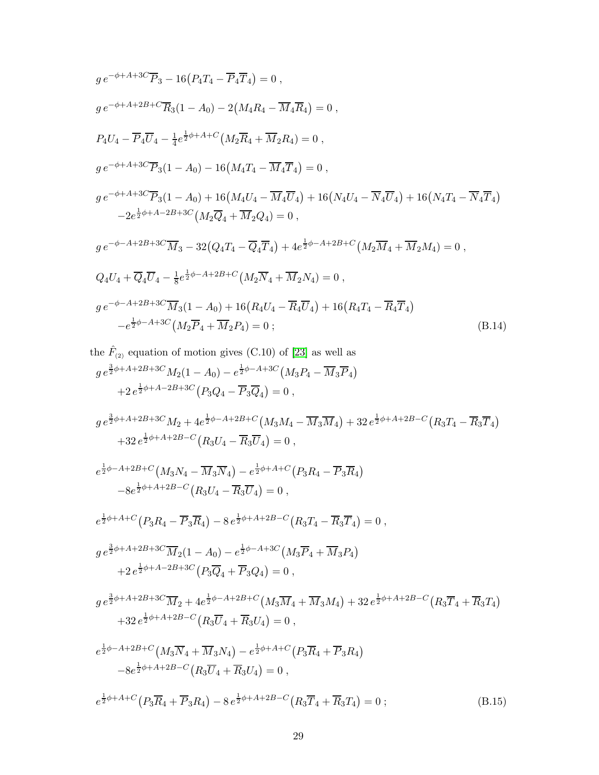$$
g e^{-\phi + A + 3C} \overline{P}_3 - 16(P_4 T_4 - \overline{P}_4 \overline{T}_4) = 0,
$$
  
\n
$$
g e^{-\phi + A + 2B + C} \overline{R}_3 (1 - A_0) - 2(M_4 R_4 - \overline{M}_4 \overline{R}_4) = 0,
$$
  
\n
$$
P_4 U_4 - \overline{P}_4 \overline{U}_4 - \frac{1}{4} e^{\frac{1}{2}\phi + A + C} (M_2 \overline{R}_4 + \overline{M}_2 R_4) = 0,
$$
  
\n
$$
g e^{-\phi + A + 3C} \overline{P}_3 (1 - A_0) - 16(M_4 T_4 - \overline{M}_4 \overline{T}_4) = 0,
$$
  
\n
$$
g e^{-\phi + A + 3C} \overline{P}_3 (1 - A_0) + 16(M_4 U_4 - \overline{M}_4 \overline{U}_4) + 16(N_4 U_4 - \overline{N}_4 \overline{U}_4) + 16(N_4 T_4 - \overline{N}_4 \overline{T}_4)
$$
  
\n
$$
-2e^{\frac{1}{2}\phi + A - 2B + 3C} (M_2 \overline{Q}_4 + \overline{M}_2 Q_4) = 0,
$$
  
\n
$$
g e^{-\phi - A + 2B + 3C} \overline{M}_3 - 32(Q_4 T_4 - \overline{Q}_4 \overline{T}_4) + 4e^{\frac{1}{2}\phi - A + 2B + C} (M_2 \overline{M}_4 + \overline{M}_2 M_4) = 0,
$$
  
\n
$$
Q_4 U_4 + \overline{Q}_4 \overline{U}_4 - \frac{1}{8} e^{\frac{1}{2}\phi - A + 2B + C} (M_2 \overline{N}_4 + \overline{M}_2 N_4) = 0,
$$
  
\n
$$
g e^{-\phi - A + 2B + 3C} \overline{M}_3 (1 - A_0) + 16(R_4 U_4 - \overline{R}_4 \overline{U}_4) + 16(R_4 T_4 - \overline{R}_4 \overline{T}_4)
$$
  
\n
$$
-e^{\frac{1}{2}\phi - A + 3C} (M_2 \
$$

the 
$$
\hat{F}_{(2)}
$$
 equation of motion gives (C.10) of [23] as well as  
\n $g e^{\frac{3}{2}\phi + A + 2B + 3C} M_2 (1 - A_0) - e^{\frac{1}{2}\phi - A + 3C} (M_3 P_4 - \overline{M}_3 \overline{P}_4)$   
\n $+ 2 e^{\frac{1}{2}\phi + A - 2B + 3C} (P_3 Q_4 - \overline{P}_3 \overline{Q}_4) = 0$ ,

$$
g e^{\frac{3}{2}\phi + A + 2B + 3C} M_2 + 4e^{\frac{1}{2}\phi - A + 2B + C} (M_3 M_4 - \overline{M}_3 \overline{M}_4) + 32 e^{\frac{1}{2}\phi + A + 2B - C} (R_3 T_4 - \overline{R}_3 \overline{T}_4)
$$
  
+32  $e^{\frac{1}{2}\phi + A + 2B - C} (R_3 U_4 - \overline{R}_3 \overline{U}_4) = 0$ ,

$$
e^{\frac{1}{2}\phi - A + 2B + C} \left( M_3 N_4 - \overline{M}_3 \overline{N}_4 \right) - e^{\frac{1}{2}\phi + A + C} \left( P_3 R_4 - \overline{P}_3 \overline{R}_4 \right) - 8e^{\frac{1}{2}\phi + A + 2B - C} \left( R_3 U_4 - \overline{R}_3 \overline{U}_4 \right) = 0,
$$

$$
e^{\frac{1}{2}\phi + A + C} \left( P_3 R_4 - \overline{P}_3 \overline{R}_4 \right) - 8 e^{\frac{1}{2}\phi + A + 2B - C} \left( R_3 T_4 - \overline{R}_3 \overline{T}_4 \right) = 0 ,
$$

$$
g e^{\frac{3}{2}\phi + A + 2B + 3C} \overline{M}_2 (1 - A_0) - e^{\frac{1}{2}\phi - A + 3C} (M_3 \overline{P}_4 + \overline{M}_3 P_4)
$$
  
+ 
$$
2 e^{\frac{1}{2}\phi + A - 2B + 3C} (P_3 \overline{Q}_4 + \overline{P}_3 Q_4) = 0,
$$

$$
g e^{\frac{3}{2}\phi + A + 2B + 3C} \overline{M}_2 + 4e^{\frac{1}{2}\phi - A + 2B + C} (M_3 \overline{M}_4 + \overline{M}_3 M_4) + 32 e^{\frac{1}{2}\phi + A + 2B - C} (R_3 \overline{T}_4 + \overline{R}_3 T_4)
$$
  
+32  $e^{\frac{1}{2}\phi + A + 2B - C} (R_3 \overline{U}_4 + \overline{R}_3 U_4) = 0$ ,

$$
e^{\frac{1}{2}\phi - A + 2B + C} \left( M_3 \overline{N}_4 + \overline{M}_3 N_4 \right) - e^{\frac{1}{2}\phi + A + C} \left( P_3 \overline{R}_4 + \overline{P}_3 R_4 \right) - 8e^{\frac{1}{2}\phi + A + 2B - C} \left( R_3 \overline{U}_4 + \overline{R}_3 U_4 \right) = 0 ,
$$
  

$$
e^{\frac{1}{2}\phi + A + C} \left( P_3 \overline{R}_4 + \overline{P}_3 R_4 \right) - 8e^{\frac{1}{2}\phi + A + 2B - C} \left( R_3 \overline{T}_4 + \overline{R}_3 T_4 \right) = 0 ;
$$
 (B.15)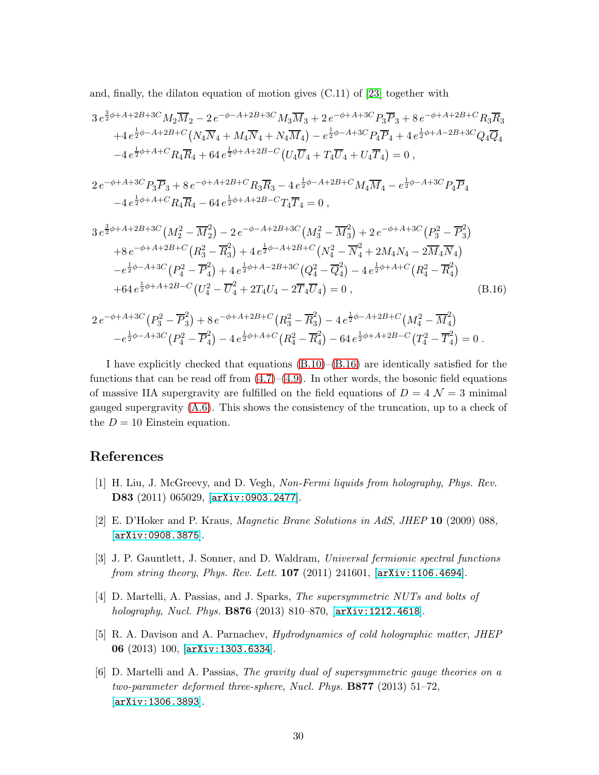and, finally, the dilaton equation of motion gives (C.11) of [\[23\]](#page-32-1) together with

<span id="page-30-1"></span>
$$
3e^{\frac{3}{2}\phi+A+2B+3C}M_2\overline{M}_2 - 2e^{-\phi-A+2B+3C}M_3\overline{M}_3 + 2e^{-\phi+A+3C}P_3\overline{P}_3 + 8e^{-\phi+A+2B+C}R_3\overline{R}_3
$$
  
\n
$$
+4e^{\frac{1}{2}\phi-A+2B+C}\left(N_4\overline{N}_4 + M_4\overline{N}_4 + N_4\overline{M}_4\right) - e^{\frac{1}{2}\phi-A+3C}P_4\overline{P}_4 + 4e^{\frac{1}{2}\phi+A-2B+3C}Q_4\overline{Q}_4
$$
  
\n
$$
-4e^{\frac{1}{2}\phi+A+C}R_4\overline{R}_4 + 64e^{\frac{1}{2}\phi+A+2B-C}\left(U_4\overline{U}_4 + T_4\overline{U}_4 + U_4\overline{T}_4\right) = 0,
$$
  
\n
$$
2e^{-\phi+A+3C}P_3\overline{P}_3 + 8e^{-\phi+A+2B+C}R_3\overline{R}_3 - 4e^{\frac{1}{2}\phi-A+2B+C}M_4\overline{M}_4 - e^{\frac{1}{2}\phi-A+3C}P_4\overline{P}_4
$$
  
\n
$$
-4e^{\frac{1}{2}\phi+A+C}R_4\overline{R}_4 - 64e^{\frac{1}{2}\phi+A+2B-C}T_4\overline{T}_4 = 0,
$$
  
\n
$$
3e^{\frac{3}{2}\phi+A+2B+3C}\left(M_2^2 - \overline{M}_2^2\right) - 2e^{-\phi-A+2B+3C}\left(M_3^2 - \overline{M}_3^2\right) + 2e^{-\phi+A+3C}\left(P_3^2 - \overline{P}_3^2\right)
$$
  
\n
$$
+8e^{-\phi+A+2B+C}\left(R_3^2 - \overline{R}_3^2\right) + 4e^{\frac{1}{2}\phi-A+2B+C}\left(N_4^2 - \overline{N}_4^2 + 2M_4N_4 - 2\overline{M}_4\overline{N}_4\right)
$$
  
\n
$$
-e^{\frac{1}{2}\phi-A+3C}\left(P_4^2 - \overline{P}_4^
$$

+64 
$$
e^{\frac{1}{2}\phi + A + 2B - C}
$$
  $(U_4^2 - \overline{U}_4^2 + 2T_4U_4 - 2\overline{T}_4\overline{U}_4) = 0$ , (B.16)

$$
2e^{-\phi+A+3C}(P_3^2-\overline{P}_3^2)+8e^{-\phi+A+2B+C}(R_3^2-\overline{R}_3^2)-4e^{\frac{1}{2}\phi-A+2B+C}(M_4^2-\overline{M}_4^2)
$$
  

$$
-e^{\frac{1}{2}\phi-A+3C}(P_4^2-\overline{P}_4^2)-4e^{\frac{1}{2}\phi+A+C}(R_4^2-\overline{R}_4^2)-64e^{\frac{1}{2}\phi+A+2B-C}(T_4^2-\overline{T}_4^2)=0.
$$

I have explicitly checked that equations  $(B.10)$ – $(B.16)$  are identically satisfied for the functions that can be read off from  $(4.7)$ – $(4.9)$ . In other words, the bosonic field equations of massive IIA supergravity are fulfilled on the field equations of  $D = 4 \mathcal{N} = 3$  minimal gauged supergravity  $(A.6)$ . This shows the consistency of the truncation, up to a check of the  $D = 10$  Einstein equation.

### <span id="page-30-0"></span>References

- [1] H. Liu, J. McGreevy, and D. Vegh, *Non-Fermi liquids from holography*, *Phys. Rev.* D83 (2011) 065029, [[arXiv:0903.2477](http://arxiv.org/abs/0903.2477)].
- [2] E. D'Hoker and P. Kraus, *Magnetic Brane Solutions in AdS*, *JHEP* 10 (2009) 088, [[arXiv:0908.3875](http://arxiv.org/abs/0908.3875)].
- [3] J. P. Gauntlett, J. Sonner, and D. Waldram, *Universal fermionic spectral functions from string theory*, *Phys. Rev. Lett.* 107 (2011) 241601, [[arXiv:1106.4694](http://arxiv.org/abs/1106.4694)].
- [4] D. Martelli, A. Passias, and J. Sparks, *The supersymmetric NUTs and bolts of holography*, *Nucl. Phys.* B876 (2013) 810–870, [[arXiv:1212.4618](http://arxiv.org/abs/1212.4618)].
- [5] R. A. Davison and A. Parnachev, *Hydrodynamics of cold holographic matter*, *JHEP* 06 (2013) 100, [[arXiv:1303.6334](http://arxiv.org/abs/1303.6334)].
- [6] D. Martelli and A. Passias, *The gravity dual of supersymmetric gauge theories on a two-parameter deformed three-sphere*, *Nucl. Phys.* B877 (2013) 51–72, [[arXiv:1306.3893](http://arxiv.org/abs/1306.3893)].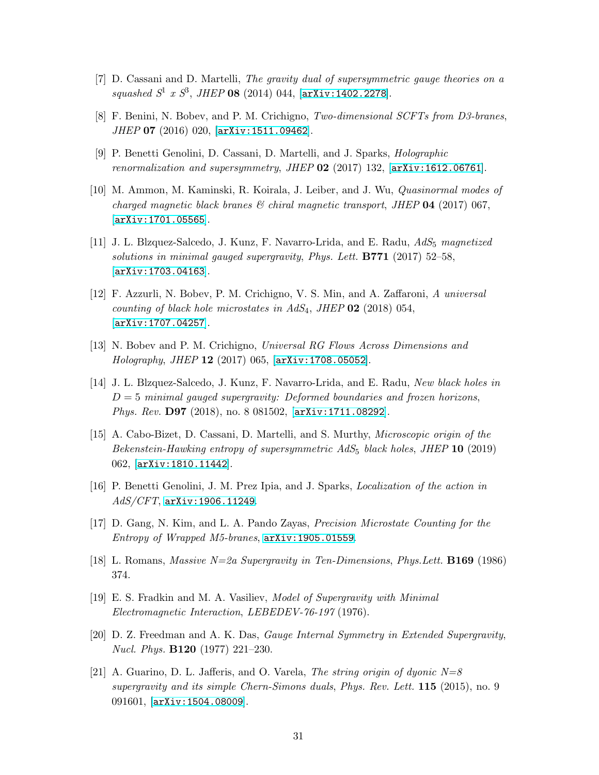- [7] D. Cassani and D. Martelli, *The gravity dual of supersymmetric gauge theories on a squashed S*<sup>1</sup> *x S*<sup>3</sup> , *JHEP* 08 (2014) 044, [[arXiv:1402.2278](http://arxiv.org/abs/1402.2278)].
- [8] F. Benini, N. Bobev, and P. M. Crichigno, *Two-dimensional SCFTs from D3-branes*, *JHEP* 07 (2016) 020, [[arXiv:1511.09462](http://arxiv.org/abs/1511.09462)].
- [9] P. Benetti Genolini, D. Cassani, D. Martelli, and J. Sparks, *Holographic renormalization and supersymmetry*, *JHEP* 02 (2017) 132, [[arXiv:1612.06761](http://arxiv.org/abs/1612.06761)].
- [10] M. Ammon, M. Kaminski, R. Koirala, J. Leiber, and J. Wu, *Quasinormal modes of charged magnetic black branes & chiral magnetic transport*, *JHEP* 04 (2017) 067, [[arXiv:1701.05565](http://arxiv.org/abs/1701.05565)].
- [11] J. L. Blzquez-Salcedo, J. Kunz, F. Navarro-Lrida, and E. Radu, *AdS*<sup>5</sup> *magnetized solutions in minimal gauged supergravity*, *Phys. Lett.* B771 (2017) 52–58, [[arXiv:1703.04163](http://arxiv.org/abs/1703.04163)].
- <span id="page-31-5"></span>[12] F. Azzurli, N. Bobev, P. M. Crichigno, V. S. Min, and A. Zaffaroni, *A universal counting of black hole microstates in AdS*4, *JHEP* 02 (2018) 054, [[arXiv:1707.04257](http://arxiv.org/abs/1707.04257)].
- [13] N. Bobev and P. M. Crichigno, *Universal RG Flows Across Dimensions and Holography*, *JHEP* 12 (2017) 065, [[arXiv:1708.05052](http://arxiv.org/abs/1708.05052)].
- [14] J. L. Blzquez-Salcedo, J. Kunz, F. Navarro-Lrida, and E. Radu, *New black holes in* D = 5 *minimal gauged supergravity: Deformed boundaries and frozen horizons*, *Phys. Rev.* D97 (2018), no. 8 081502, [[arXiv:1711.08292](http://arxiv.org/abs/1711.08292)].
- [15] A. Cabo-Bizet, D. Cassani, D. Martelli, and S. Murthy, *Microscopic origin of the Bekenstein-Hawking entropy of supersymmetric AdS*<sup>5</sup> *black holes*, *JHEP* 10 (2019) 062, [[arXiv:1810.11442](http://arxiv.org/abs/1810.11442)].
- <span id="page-31-0"></span>[16] P. Benetti Genolini, J. M. Prez Ipia, and J. Sparks, *Localization of the action in AdS/CFT*, [arXiv:1906.11249](http://arxiv.org/abs/1906.11249).
- <span id="page-31-1"></span>[17] D. Gang, N. Kim, and L. A. Pando Zayas, *Precision Microstate Counting for the Entropy of Wrapped M5-branes*, [arXiv:1905.01559](http://arxiv.org/abs/1905.01559).
- <span id="page-31-2"></span>[18] L. Romans, *Massive N=2a Supergravity in Ten-Dimensions*, *Phys.Lett.* B169 (1986) 374.
- <span id="page-31-3"></span>[19] E. S. Fradkin and M. A. Vasiliev, *Model of Supergravity with Minimal Electromagnetic Interaction*, *LEBEDEV-76-197* (1976).
- <span id="page-31-4"></span>[20] D. Z. Freedman and A. K. Das, *Gauge Internal Symmetry in Extended Supergravity*, *Nucl. Phys.* B120 (1977) 221–230.
- [21] A. Guarino, D. L. Jafferis, and O. Varela, *The string origin of dyonic N=8 supergravity and its simple Chern-Simons duals*, *Phys. Rev. Lett.* 115 (2015), no. 9 091601, [[arXiv:1504.08009](http://arxiv.org/abs/1504.08009)].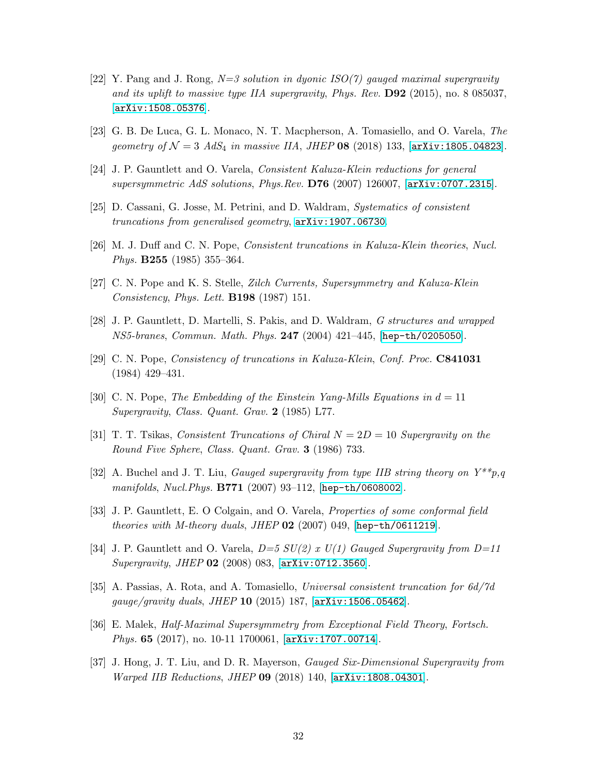- <span id="page-32-0"></span>[22] Y. Pang and J. Rong, *N=3 solution in dyonic ISO(7) gauged maximal supergravity and its uplift to massive type IIA supergravity*, *Phys. Rev.* D92 (2015), no. 8 085037, [[arXiv:1508.05376](http://arxiv.org/abs/1508.05376)].
- <span id="page-32-2"></span><span id="page-32-1"></span>[23] G. B. De Luca, G. L. Monaco, N. T. Macpherson, A. Tomasiello, and O. Varela, *The geometry of*  $\mathcal{N} = 3$  *AdS*<sub>4</sub> *in massive IIA*, *JHEP* **08** (2018) 133, [[arXiv:1805.04823](http://arxiv.org/abs/1805.04823)].
- <span id="page-32-3"></span>[24] J. P. Gauntlett and O. Varela, *Consistent Kaluza-Klein reductions for general supersymmetric AdS solutions*, *Phys.Rev.* D76 (2007) 126007, [[arXiv:0707.2315](http://arxiv.org/abs/0707.2315)].
- <span id="page-32-4"></span>[25] D. Cassani, G. Josse, M. Petrini, and D. Waldram, *Systematics of consistent truncations from generalised geometry*, [arXiv:1907.06730](http://arxiv.org/abs/1907.06730).
- <span id="page-32-5"></span>[26] M. J. Duff and C. N. Pope, *Consistent truncations in Kaluza-Klein theories*, *Nucl. Phys.* B255 (1985) 355–364.
- <span id="page-32-6"></span>[27] C. N. Pope and K. S. Stelle, *Zilch Currents, Supersymmetry and Kaluza-Klein Consistency*, *Phys. Lett.* B198 (1987) 151.
- <span id="page-32-7"></span>[28] J. P. Gauntlett, D. Martelli, S. Pakis, and D. Waldram, *G structures and wrapped NS5-branes*, *Commun. Math. Phys.* 247 (2004) 421–445, [[hep-th/0205050](http://arxiv.org/abs/hep-th/0205050)].
- <span id="page-32-8"></span>[29] C. N. Pope, *Consistency of truncations in Kaluza-Klein*, *Conf. Proc.* C841031 (1984) 429–431.
- [30] C. N. Pope, *The Embedding of the Einstein Yang-Mills Equations in* d = 11 *Supergravity*, *Class. Quant. Grav.* 2 (1985) L77.
- [31] T. T. Tsikas, *Consistent Truncations of Chiral* N = 2D = 10 *Supergravity on the Round Five Sphere*, *Class. Quant. Grav.* 3 (1986) 733.
- [32] A. Buchel and J. T. Liu, *Gauged supergravity from type IIB string theory on Y\*\*p,q manifolds*, *Nucl.Phys.* B771 (2007) 93–112, [[hep-th/0608002](http://arxiv.org/abs/hep-th/0608002)].
- [33] J. P. Gauntlett, E. O Colgain, and O. Varela, *Properties of some conformal field theories with M-theory duals*, *JHEP* 02 (2007) 049, [[hep-th/0611219](http://arxiv.org/abs/hep-th/0611219)].
- [34] J. P. Gauntlett and O. Varela, *D=5 SU(2) x U(1) Gauged Supergravity from D=11 Supergravity*, *JHEP* 02 (2008) 083, [[arXiv:0712.3560](http://arxiv.org/abs/0712.3560)].
- [35] A. Passias, A. Rota, and A. Tomasiello, *Universal consistent truncation for 6d/7d gauge/gravity duals*, *JHEP* 10 (2015) 187, [[arXiv:1506.05462](http://arxiv.org/abs/1506.05462)].
- [36] E. Malek, *Half-Maximal Supersymmetry from Exceptional Field Theory*, *Fortsch. Phys.* 65 (2017), no. 10-11 1700061, [[arXiv:1707.00714](http://arxiv.org/abs/1707.00714)].
- [37] J. Hong, J. T. Liu, and D. R. Mayerson, *Gauged Six-Dimensional Supergravity from Warped IIB Reductions*, *JHEP* 09 (2018) 140, [[arXiv:1808.04301](http://arxiv.org/abs/1808.04301)].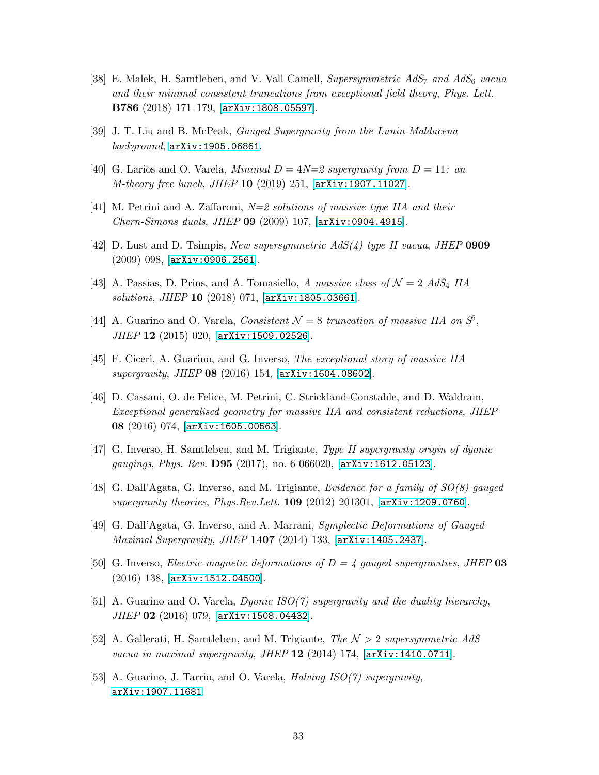- [38] E. Malek, H. Samtleben, and V. Vall Camell, *Supersymmetric AdS*<sup>7</sup> *and AdS*<sup>6</sup> *vacua and their minimal consistent truncations from exceptional field theory*, *Phys. Lett.* B786 (2018) 171–179, [[arXiv:1808.05597](http://arxiv.org/abs/1808.05597)].
- <span id="page-33-0"></span>[39] J. T. Liu and B. McPeak, *Gauged Supergravity from the Lunin-Maldacena background*, [arXiv:1905.06861](http://arxiv.org/abs/1905.06861).
- <span id="page-33-1"></span>[40] G. Larios and O. Varela, *Minimal*  $D = 4N=2$  supergravity from  $D = 11$ : an *M-theory free lunch*, *JHEP* 10 (2019) 251, [[arXiv:1907.11027](http://arxiv.org/abs/1907.11027)].
- [41] M. Petrini and A. Zaffaroni, *N=2 solutions of massive type IIA and their Chern-Simons duals*, *JHEP* 09 (2009) 107, [[arXiv:0904.4915](http://arxiv.org/abs/0904.4915)].
- <span id="page-33-2"></span>[42] D. Lust and D. Tsimpis, *New supersymmetric AdS(4) type II vacua*, *JHEP* 0909 (2009) 098, [[arXiv:0906.2561](http://arxiv.org/abs/0906.2561)].
- <span id="page-33-3"></span>[43] A. Passias, D. Prins, and A. Tomasiello, *A massive class of*  $\mathcal{N} = 2$  *AdS*<sub>4</sub> *IIA solutions*, *JHEP* 10 (2018) 071, [[arXiv:1805.03661](http://arxiv.org/abs/1805.03661)].
- <span id="page-33-4"></span>[44] A. Guarino and O. Varela, *Consistent*  $\mathcal{N} = 8$  *truncation of massive IIA on*  $S^6$ , *JHEP* 12 (2015) 020, [[arXiv:1509.02526](http://arxiv.org/abs/1509.02526)].
- [45] F. Ciceri, A. Guarino, and G. Inverso, *The exceptional story of massive IIA supergravity*, *JHEP* 08 (2016) 154, [[arXiv:1604.08602](http://arxiv.org/abs/1604.08602)].
- [46] D. Cassani, O. de Felice, M. Petrini, C. Strickland-Constable, and D. Waldram, *Exceptional generalised geometry for massive IIA and consistent reductions*, *JHEP* 08 (2016) 074, [[arXiv:1605.00563](http://arxiv.org/abs/1605.00563)].
- <span id="page-33-6"></span><span id="page-33-5"></span>[47] G. Inverso, H. Samtleben, and M. Trigiante, *Type II supergravity origin of dyonic gaugings*, *Phys. Rev.* D95 (2017), no. 6 066020, [[arXiv:1612.05123](http://arxiv.org/abs/1612.05123)].
- [48] G. Dall'Agata, G. Inverso, and M. Trigiante, *Evidence for a family of SO(8) gauged supergravity theories*, *Phys.Rev.Lett.* 109 (2012) 201301, [[arXiv:1209.0760](http://arxiv.org/abs/1209.0760)].
- <span id="page-33-7"></span>[49] G. Dall'Agata, G. Inverso, and A. Marrani, *Symplectic Deformations of Gauged Maximal Supergravity*, *JHEP* 1407 (2014) 133, [[arXiv:1405.2437](http://arxiv.org/abs/1405.2437)].
- <span id="page-33-8"></span>[50] G. Inverso, *Electric-magnetic deformations of D = 4 gauged supergravities*, *JHEP* 03 (2016) 138, [[arXiv:1512.04500](http://arxiv.org/abs/1512.04500)].
- <span id="page-33-9"></span>[51] A. Guarino and O. Varela, *Dyonic ISO(7) supergravity and the duality hierarchy*, *JHEP* 02 (2016) 079, [[arXiv:1508.04432](http://arxiv.org/abs/1508.04432)].
- <span id="page-33-10"></span>[52] A. Gallerati, H. Samtleben, and M. Trigiante, *The* N > 2 *supersymmetric AdS vacua in maximal supergravity*, *JHEP* 12 (2014) 174, [[arXiv:1410.0711](http://arxiv.org/abs/1410.0711)].
- [53] A. Guarino, J. Tarrio, and O. Varela, *Halving ISO(7) supergravity*, [arXiv:1907.11681](http://arxiv.org/abs/1907.11681).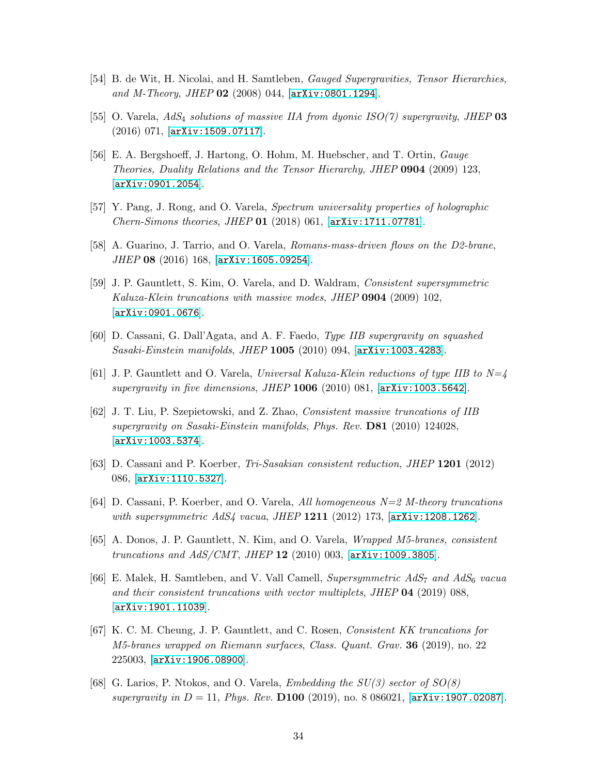- <span id="page-34-1"></span><span id="page-34-0"></span>[54] B. de Wit, H. Nicolai, and H. Samtleben, *Gauged Supergravities, Tensor Hierarchies, and M-Theory*, *JHEP* 02 (2008) 044, [[arXiv:0801.1294](http://arxiv.org/abs/0801.1294)].
- <span id="page-34-2"></span>[55] O. Varela, *AdS*<sup>4</sup> *solutions of massive IIA from dyonic ISO(7) supergravity*, *JHEP* 03 (2016) 071, [[arXiv:1509.07117](http://arxiv.org/abs/1509.07117)].
- [56] E. A. Bergshoeff, J. Hartong, O. Hohm, M. Huebscher, and T. Ortin, *Gauge Theories, Duality Relations and the Tensor Hierarchy*, *JHEP* 0904 (2009) 123, [[arXiv:0901.2054](http://arxiv.org/abs/0901.2054)].
- <span id="page-34-4"></span><span id="page-34-3"></span>[57] Y. Pang, J. Rong, and O. Varela, *Spectrum universality properties of holographic Chern-Simons theories*, *JHEP* 01 (2018) 061, [[arXiv:1711.07781](http://arxiv.org/abs/1711.07781)].
- <span id="page-34-5"></span>[58] A. Guarino, J. Tarrio, and O. Varela, *Romans-mass-driven flows on the D2-brane*, *JHEP* 08 (2016) 168, [[arXiv:1605.09254](http://arxiv.org/abs/1605.09254)].
- [59] J. P. Gauntlett, S. Kim, O. Varela, and D. Waldram, *Consistent supersymmetric Kaluza-Klein truncations with massive modes*, *JHEP* 0904 (2009) 102, [[arXiv:0901.0676](http://arxiv.org/abs/0901.0676)].
- [60] D. Cassani, G. Dall'Agata, and A. F. Faedo, *Type IIB supergravity on squashed Sasaki-Einstein manifolds*, *JHEP* 1005 (2010) 094, [[arXiv:1003.4283](http://arxiv.org/abs/1003.4283)].
- [61] J. P. Gauntlett and O. Varela, *Universal Kaluza-Klein reductions of type IIB to N=4 supergravity in five dimensions*, *JHEP* 1006 (2010) 081, [[arXiv:1003.5642](http://arxiv.org/abs/1003.5642)].
- [62] J. T. Liu, P. Szepietowski, and Z. Zhao, *Consistent massive truncations of IIB supergravity on Sasaki-Einstein manifolds*, *Phys. Rev.* D81 (2010) 124028, [[arXiv:1003.5374](http://arxiv.org/abs/1003.5374)].
- <span id="page-34-8"></span>[63] D. Cassani and P. Koerber, *Tri-Sasakian consistent reduction*, *JHEP* 1201 (2012) 086, [[arXiv:1110.5327](http://arxiv.org/abs/1110.5327)].
- <span id="page-34-7"></span>[64] D. Cassani, P. Koerber, and O. Varela, *All homogeneous N=2 M-theory truncations with supersymmetric AdS4 vacua*, *JHEP* 1211 (2012) 173, [[arXiv:1208.1262](http://arxiv.org/abs/1208.1262)].
- [65] A. Donos, J. P. Gauntlett, N. Kim, and O. Varela, *Wrapped M5-branes, consistent truncations and AdS/CMT*, *JHEP* 12 (2010) 003, [[arXiv:1009.3805](http://arxiv.org/abs/1009.3805)].
- [66] E. Malek, H. Samtleben, and V. Vall Camell, *Supersymmetric AdS*<sup>7</sup> *and AdS*<sup>6</sup> *vacua and their consistent truncations with vector multiplets*, *JHEP* 04 (2019) 088, [[arXiv:1901.11039](http://arxiv.org/abs/1901.11039)].
- [67] K. C. M. Cheung, J. P. Gauntlett, and C. Rosen, *Consistent KK truncations for M5-branes wrapped on Riemann surfaces*, *Class. Quant. Grav.* 36 (2019), no. 22 225003, [[arXiv:1906.08900](http://arxiv.org/abs/1906.08900)].
- <span id="page-34-6"></span>[68] G. Larios, P. Ntokos, and O. Varela, *Embedding the SU(3) sector of SO(8) supergravity in* D = 11, *Phys. Rev.* D100 (2019), no. 8 086021, [[arXiv:1907.02087](http://arxiv.org/abs/1907.02087)].